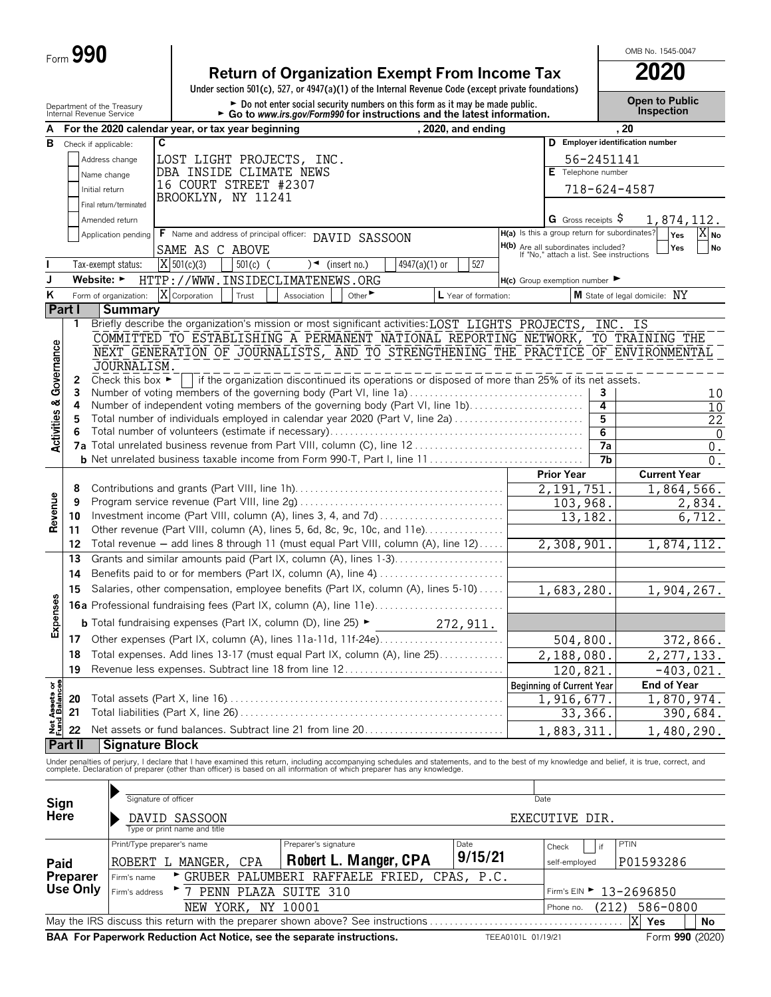|  | Form $990$ |  |
|--|------------|--|
|--|------------|--|

# **Return of Organization Exempt From Income Tax 2020**

**Under section 501(c), 527, or 4947(a)(1) of the Internal Revenue Code (except private foundations)**

Department of the Treasury **and Community of the Treasury Community of the Community of the Community of the Domi**<br>Internal Revenue Service **Community Frank Community Community Community** Community Community Community Com

OMB No. 1545-0047

|                                        |                 | internal Revenue Service                                                                          |                                                                   | $\blacktriangleright$ Go to www.irs.gov/Form990 for instructions and the latest information.    |                      |                       |               |                      |                                                                                 |                | pcco                                                                                                                                                                                                                              |
|----------------------------------------|-----------------|---------------------------------------------------------------------------------------------------|-------------------------------------------------------------------|-------------------------------------------------------------------------------------------------|----------------------|-----------------------|---------------|----------------------|---------------------------------------------------------------------------------|----------------|-----------------------------------------------------------------------------------------------------------------------------------------------------------------------------------------------------------------------------------|
| А                                      |                 | For the 2020 calendar year, or tax year beginning                                                 |                                                                   |                                                                                                 |                      |                       |               | , 2020, and ending   |                                                                                 |                | . 20                                                                                                                                                                                                                              |
| в                                      |                 | Check if applicable:                                                                              | C                                                                 |                                                                                                 |                      |                       |               |                      |                                                                                 |                | D Employer identification number                                                                                                                                                                                                  |
|                                        |                 | Address change                                                                                    | LOST LIGHT PROJECTS, INC.                                         |                                                                                                 |                      |                       |               |                      |                                                                                 | 56-2451141     |                                                                                                                                                                                                                                   |
|                                        |                 | Name change                                                                                       |                                                                   | DBA INSIDE CLIMATE NEWS                                                                         |                      |                       |               |                      | Telephone number<br>Е                                                           |                |                                                                                                                                                                                                                                   |
|                                        |                 | Initial return                                                                                    |                                                                   | 16 COURT STREET #2307                                                                           |                      |                       |               |                      |                                                                                 |                | 718-624-4587                                                                                                                                                                                                                      |
|                                        |                 | Final return/terminated                                                                           |                                                                   | BROOKLYN, NY 11241                                                                              |                      |                       |               |                      |                                                                                 |                |                                                                                                                                                                                                                                   |
|                                        |                 | Amended return                                                                                    |                                                                   |                                                                                                 |                      |                       |               |                      | G Gross receipts \$                                                             |                | 1,874,112.                                                                                                                                                                                                                        |
|                                        |                 | Application pending                                                                               |                                                                   | F Name and address of principal officer: DAVID SASSOON                                          |                      |                       |               |                      | H(a) Is this a group return for subordinates?                                   |                | Yes<br>X <sub>No</sub>                                                                                                                                                                                                            |
|                                        |                 |                                                                                                   | SAME AS C ABOVE                                                   |                                                                                                 |                      |                       |               |                      | H(b) Are all subordinates included?<br>If "No," attach a list. See instructions |                | Yes<br><b>No</b>                                                                                                                                                                                                                  |
|                                        |                 | Tax-exempt status:                                                                                | $X$ 501(c)(3)                                                     | $501(c)$ (                                                                                      |                      | $)$ (insert no.)      | 4947(a)(1) or | 527                  |                                                                                 |                |                                                                                                                                                                                                                                   |
| J                                      |                 | Website: ►                                                                                        | HTTP://WWW.INSIDECLIMATENEWS.ORG                                  |                                                                                                 |                      |                       |               |                      | $H(c)$ Group exemption number                                                   |                |                                                                                                                                                                                                                                   |
| Κ                                      |                 | Form of organization:                                                                             | X Corporation                                                     | Trust                                                                                           | Association          | Other                 |               | L Year of formation: |                                                                                 |                | M State of legal domicile: NY                                                                                                                                                                                                     |
| Part I                                 |                 | <b>Summary</b>                                                                                    |                                                                   |                                                                                                 |                      |                       |               |                      |                                                                                 |                |                                                                                                                                                                                                                                   |
|                                        | 1               | Briefly describe the organization's mission or most significant activities: LOST LIGHTS PROJECTS, |                                                                   |                                                                                                 |                      |                       |               |                      |                                                                                 |                | INC. IS                                                                                                                                                                                                                           |
|                                        |                 |                                                                                                   | COMMITTED TO ESTABLISHING A PERMANENT NATIONAL REPORTING NETWORK, |                                                                                                 |                      |                       |               |                      |                                                                                 |                | TO TRAINING THE                                                                                                                                                                                                                   |
|                                        |                 |                                                                                                   |                                                                   |                                                                                                 |                      |                       |               |                      |                                                                                 |                | NEXT GENERATION OF JOURNALISTS, AND TO STRENGTHENING THE PRACTICE OF ENVIRONMENTAL                                                                                                                                                |
|                                        |                 | JOURNALISM.                                                                                       |                                                                   |                                                                                                 |                      |                       |               |                      |                                                                                 |                |                                                                                                                                                                                                                                   |
| <b>Activities &amp; Governance</b>     | 2               | Check this box $\blacktriangleright$                                                              |                                                                   | if the organization discontinued its operations or disposed of more than 25% of its net assets. |                      |                       |               |                      |                                                                                 |                |                                                                                                                                                                                                                                   |
|                                        | 3               | Number of voting members of the governing body (Part VI, line 1a)                                 |                                                                   |                                                                                                 |                      |                       |               |                      |                                                                                 | 3              | 10                                                                                                                                                                                                                                |
|                                        | 4               | Number of independent voting members of the governing body (Part VI, line 1b)                     |                                                                   |                                                                                                 |                      |                       |               |                      |                                                                                 | $\overline{4}$ | 10                                                                                                                                                                                                                                |
|                                        | 5               | Total number of individuals employed in calendar year 2020 (Part V, line 2a)                      |                                                                   |                                                                                                 |                      |                       |               |                      |                                                                                 | 5              | 22                                                                                                                                                                                                                                |
|                                        | 6               |                                                                                                   |                                                                   |                                                                                                 |                      |                       |               |                      |                                                                                 | 6              | $\overline{0}$                                                                                                                                                                                                                    |
|                                        |                 |                                                                                                   |                                                                   |                                                                                                 |                      |                       |               |                      |                                                                                 | 7a             | $\boldsymbol{0}$ .                                                                                                                                                                                                                |
|                                        |                 |                                                                                                   |                                                                   |                                                                                                 |                      |                       |               |                      |                                                                                 | 7b             | $\overline{0}$ .                                                                                                                                                                                                                  |
|                                        |                 |                                                                                                   |                                                                   |                                                                                                 |                      |                       |               |                      | <b>Prior Year</b>                                                               |                | <b>Current Year</b>                                                                                                                                                                                                               |
|                                        | 8               |                                                                                                   |                                                                   |                                                                                                 |                      |                       |               |                      | 2, 191, 751.                                                                    |                | 1,864,566.                                                                                                                                                                                                                        |
|                                        | 9               |                                                                                                   |                                                                   |                                                                                                 |                      |                       |               | 103,968.             |                                                                                 | 2,834.         |                                                                                                                                                                                                                                   |
| Revenue                                | 10              |                                                                                                   |                                                                   |                                                                                                 |                      |                       |               |                      | 13,182.                                                                         |                | 6,712.                                                                                                                                                                                                                            |
|                                        | 11              | Other revenue (Part VIII, column (A), lines 5, 6d, 8c, 9c, 10c, and 11e)                          |                                                                   |                                                                                                 |                      |                       |               |                      |                                                                                 |                |                                                                                                                                                                                                                                   |
|                                        | 12              | Total revenue - add lines 8 through 11 (must equal Part VIII, column (A), line 12)                |                                                                   |                                                                                                 |                      |                       |               |                      | 2,308,901.                                                                      |                | 1,874,112.                                                                                                                                                                                                                        |
|                                        | 13              | Grants and similar amounts paid (Part IX, column (A), lines 1-3)                                  |                                                                   |                                                                                                 |                      |                       |               |                      |                                                                                 |                |                                                                                                                                                                                                                                   |
|                                        | 14              | Benefits paid to or for members (Part IX, column (A), line 4)                                     |                                                                   |                                                                                                 |                      |                       |               |                      |                                                                                 |                |                                                                                                                                                                                                                                   |
|                                        | 15              | Salaries, other compensation, employee benefits (Part IX, column (A), lines 5-10)                 |                                                                   |                                                                                                 |                      |                       |               |                      | 1,683,280.                                                                      |                | 1,904,267.                                                                                                                                                                                                                        |
|                                        |                 |                                                                                                   |                                                                   |                                                                                                 |                      |                       |               |                      |                                                                                 |                |                                                                                                                                                                                                                                   |
| Expenses                               |                 | <b>b</b> Total fundraising expenses (Part IX, column (D), line 25) $\blacktriangleright$          |                                                                   |                                                                                                 |                      |                       |               | 272,911.             |                                                                                 |                |                                                                                                                                                                                                                                   |
|                                        | 17              |                                                                                                   |                                                                   |                                                                                                 |                      |                       |               |                      | 504,800.                                                                        |                | 372,866.                                                                                                                                                                                                                          |
|                                        | 18              | Total expenses. Add lines 13-17 (must equal Part IX, column (A), line 25)                         |                                                                   |                                                                                                 |                      |                       |               |                      | 2,188,080.                                                                      |                | 2, 277, 133.                                                                                                                                                                                                                      |
|                                        | 19              | Revenue less expenses. Subtract line 18 from line 12                                              |                                                                   |                                                                                                 |                      |                       |               |                      | 120,821.                                                                        |                | $-403,021.$                                                                                                                                                                                                                       |
|                                        |                 |                                                                                                   |                                                                   |                                                                                                 |                      |                       |               |                      | <b>Beginning of Current Year</b>                                                |                | <b>End of Year</b>                                                                                                                                                                                                                |
| <b>Net Assets or<br/>Fund Balances</b> | 20              |                                                                                                   |                                                                   |                                                                                                 |                      |                       |               |                      | 1,916,677.                                                                      |                | 1,870,974.                                                                                                                                                                                                                        |
|                                        | 21              |                                                                                                   |                                                                   |                                                                                                 |                      |                       |               |                      | 33,366.                                                                         |                | 390,684.                                                                                                                                                                                                                          |
|                                        | 22              | Net assets or fund balances. Subtract line 21 from line 20                                        |                                                                   |                                                                                                 |                      |                       |               |                      | 1,883,311                                                                       |                | 1,480,290.                                                                                                                                                                                                                        |
|                                        | Part II         | <b>Signature Block</b>                                                                            |                                                                   |                                                                                                 |                      |                       |               |                      |                                                                                 |                |                                                                                                                                                                                                                                   |
|                                        |                 |                                                                                                   |                                                                   |                                                                                                 |                      |                       |               |                      |                                                                                 |                |                                                                                                                                                                                                                                   |
|                                        |                 |                                                                                                   |                                                                   |                                                                                                 |                      |                       |               |                      |                                                                                 |                | Under penalties of perjury, I declare that I have examined this return, including accompanying schedules and statements, and to the best of my knowledge and belief, it is true, correct, and<br>complete. Declaration of prepare |
|                                        |                 |                                                                                                   |                                                                   |                                                                                                 |                      |                       |               |                      |                                                                                 |                |                                                                                                                                                                                                                                   |
|                                        |                 |                                                                                                   | Signature of officer                                              |                                                                                                 |                      |                       |               |                      | Date                                                                            |                |                                                                                                                                                                                                                                   |
| Sign<br>Here                           |                 |                                                                                                   | DAVID SASSOON                                                     |                                                                                                 |                      |                       |               |                      | EXECUTIVE DIR.                                                                  |                |                                                                                                                                                                                                                                   |
|                                        |                 |                                                                                                   | Type or print name and title                                      |                                                                                                 |                      |                       |               |                      |                                                                                 |                |                                                                                                                                                                                                                                   |
|                                        |                 |                                                                                                   | Print/Type preparer's name                                        |                                                                                                 | Preparer's signature |                       |               | Date                 | Check                                                                           | if             | PTIN                                                                                                                                                                                                                              |
| Paid                                   |                 |                                                                                                   | ROBERT L MANGER,                                                  | CPA                                                                                             |                      | Robert L. Manger, CPA |               | 9/15/21              | self-employed                                                                   |                | P01593286                                                                                                                                                                                                                         |
|                                        | <b>Preparer</b> | Firm's name                                                                                       |                                                                   | GRUBER PALUMBERI RAFFAELE FRIED,                                                                |                      |                       |               | P.C.<br>CPAS,        |                                                                                 |                |                                                                                                                                                                                                                                   |
|                                        | Use Only        | Firm's address                                                                                    | $7\overline{ }$                                                   | PENN PLAZA SUITE 310                                                                            |                      |                       |               |                      |                                                                                 |                | Firm's EIN ► 13-2696850                                                                                                                                                                                                           |
|                                        |                 |                                                                                                   |                                                                   |                                                                                                 |                      |                       |               |                      |                                                                                 |                |                                                                                                                                                                                                                                   |

May the IRS discuss this return with the preparer shown above? See instructions. . . . . . . . . . . . . . . . . . . . . . . . . . . . . . . . . . . . . . . . **Yes No BAA For Paperwork Reduction Act Notice, see the separate instructions.** TEEA0101L 01/19/21 Form 990 (2020) X<sup>Yes</sup>

NEW YORK, NY 10001 (212) 586-0800

Phone no.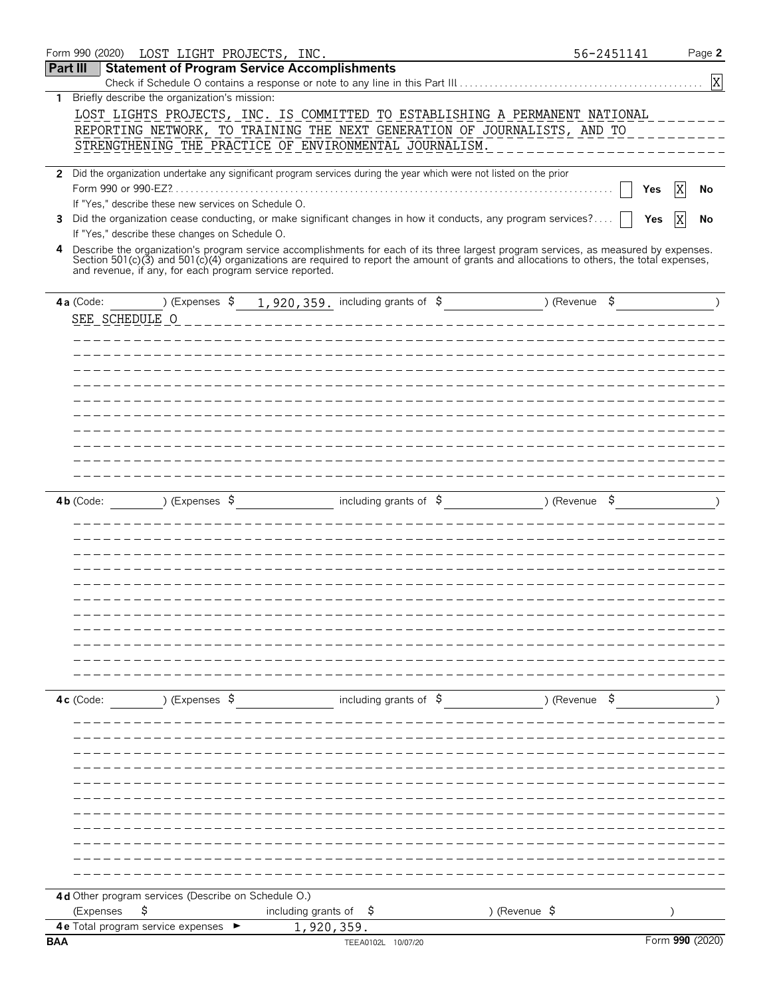|            | Form 990 (2020)<br>LOST LIGHT PROJECTS, INC.                           |                                                                                                                                                                                                                                                                                    |               | 56-2451141 |                 | Page 2    |
|------------|------------------------------------------------------------------------|------------------------------------------------------------------------------------------------------------------------------------------------------------------------------------------------------------------------------------------------------------------------------------|---------------|------------|-----------------|-----------|
| Part III   | <b>Statement of Program Service Accomplishments</b>                    |                                                                                                                                                                                                                                                                                    |               |            |                 |           |
|            | 1 Briefly describe the organization's mission:                         |                                                                                                                                                                                                                                                                                    |               |            |                 | X         |
|            |                                                                        | LOST LIGHTS PROJECTS, INC. IS COMMITTED TO ESTABLISHING A PERMANENT NATIONAL                                                                                                                                                                                                       |               |            |                 |           |
|            |                                                                        | REPORTING NETWORK, TO TRAINING THE NEXT GENERATION OF JOURNALISTS, AND TO                                                                                                                                                                                                          |               |            |                 |           |
|            |                                                                        | STRENGTHENING THE PRACTICE OF ENVIRONMENTAL JOURNALISM.                                                                                                                                                                                                                            |               |            |                 |           |
|            |                                                                        | 2 Did the organization undertake any significant program services during the year which were not listed on the prior                                                                                                                                                               |               |            |                 |           |
|            |                                                                        |                                                                                                                                                                                                                                                                                    |               | Yes        | <b>X</b>        | No        |
|            | If "Yes," describe these new services on Schedule O.                   |                                                                                                                                                                                                                                                                                    |               |            |                 |           |
|            |                                                                        | 3 Did the organization cease conducting, or make significant changes in how it conducts, any program services?                                                                                                                                                                     |               | Yes        | IX              | No        |
|            | If "Yes," describe these changes on Schedule O.                        |                                                                                                                                                                                                                                                                                    |               |            |                 |           |
|            |                                                                        | 4 Describe the organization's program service accomplishments for each of its three largest program services, as measured by expenses.<br>Section 501(c)(3) and 501(c)(4) organizations are required to report the amount of grants and allocations to others, the total expenses, |               |            |                 |           |
|            | and revenue, if any, for each program service reported.                |                                                                                                                                                                                                                                                                                    |               |            |                 |           |
|            |                                                                        |                                                                                                                                                                                                                                                                                    |               |            |                 |           |
|            | $4a$ (Code:                                                            | ) (Expenses $\sqrt{5}$ 1, 920, 359. including grants of $\sqrt{5}$ ) (Revenue $\sqrt{5}$                                                                                                                                                                                           |               |            |                 | $\lambda$ |
|            | SEE SCHEDULE O                                                         |                                                                                                                                                                                                                                                                                    |               |            |                 |           |
|            |                                                                        |                                                                                                                                                                                                                                                                                    |               |            |                 |           |
|            |                                                                        |                                                                                                                                                                                                                                                                                    |               |            |                 |           |
|            |                                                                        |                                                                                                                                                                                                                                                                                    |               |            |                 |           |
|            |                                                                        |                                                                                                                                                                                                                                                                                    |               |            |                 |           |
|            |                                                                        |                                                                                                                                                                                                                                                                                    |               |            |                 |           |
|            |                                                                        |                                                                                                                                                                                                                                                                                    |               |            |                 |           |
|            |                                                                        |                                                                                                                                                                                                                                                                                    |               |            |                 |           |
|            |                                                                        |                                                                                                                                                                                                                                                                                    |               |            |                 |           |
|            |                                                                        |                                                                                                                                                                                                                                                                                    |               |            |                 |           |
|            | ) (Expenses $\beta$<br>$4b$ (Code:                                     | including grants of $\beta$                                                                                                                                                                                                                                                        | ) (Revenue \$ |            |                 |           |
|            |                                                                        |                                                                                                                                                                                                                                                                                    |               |            |                 |           |
|            |                                                                        |                                                                                                                                                                                                                                                                                    |               |            |                 |           |
|            |                                                                        |                                                                                                                                                                                                                                                                                    |               |            |                 |           |
|            |                                                                        |                                                                                                                                                                                                                                                                                    |               |            |                 |           |
|            |                                                                        |                                                                                                                                                                                                                                                                                    |               |            |                 |           |
|            |                                                                        |                                                                                                                                                                                                                                                                                    |               |            |                 |           |
|            |                                                                        |                                                                                                                                                                                                                                                                                    |               |            |                 |           |
|            |                                                                        |                                                                                                                                                                                                                                                                                    |               |            |                 |           |
|            |                                                                        |                                                                                                                                                                                                                                                                                    |               |            |                 |           |
|            |                                                                        |                                                                                                                                                                                                                                                                                    |               |            |                 |           |
|            | ) (Expenses \$<br>4c (Code:                                            | including grants of $\sharp$                                                                                                                                                                                                                                                       | )(Revenue \$  |            |                 |           |
|            |                                                                        |                                                                                                                                                                                                                                                                                    |               |            |                 |           |
|            |                                                                        |                                                                                                                                                                                                                                                                                    |               |            |                 |           |
|            |                                                                        |                                                                                                                                                                                                                                                                                    |               |            |                 |           |
|            |                                                                        |                                                                                                                                                                                                                                                                                    |               |            |                 |           |
|            |                                                                        |                                                                                                                                                                                                                                                                                    |               |            |                 |           |
|            |                                                                        |                                                                                                                                                                                                                                                                                    |               |            |                 |           |
|            |                                                                        |                                                                                                                                                                                                                                                                                    |               |            |                 |           |
|            |                                                                        |                                                                                                                                                                                                                                                                                    |               |            |                 |           |
|            |                                                                        |                                                                                                                                                                                                                                                                                    |               |            |                 |           |
|            |                                                                        |                                                                                                                                                                                                                                                                                    |               |            |                 |           |
|            | 4d Other program services (Describe on Schedule O.)<br>(Expenses<br>\$ | including grants of $\frac{1}{2}$<br>) (Revenue \$                                                                                                                                                                                                                                 |               |            |                 |           |
|            | 4e Total program service expenses                                      | 1,920,359.                                                                                                                                                                                                                                                                         |               |            |                 |           |
| <b>BAA</b> |                                                                        | TEEA0102L 10/07/20                                                                                                                                                                                                                                                                 |               |            | Form 990 (2020) |           |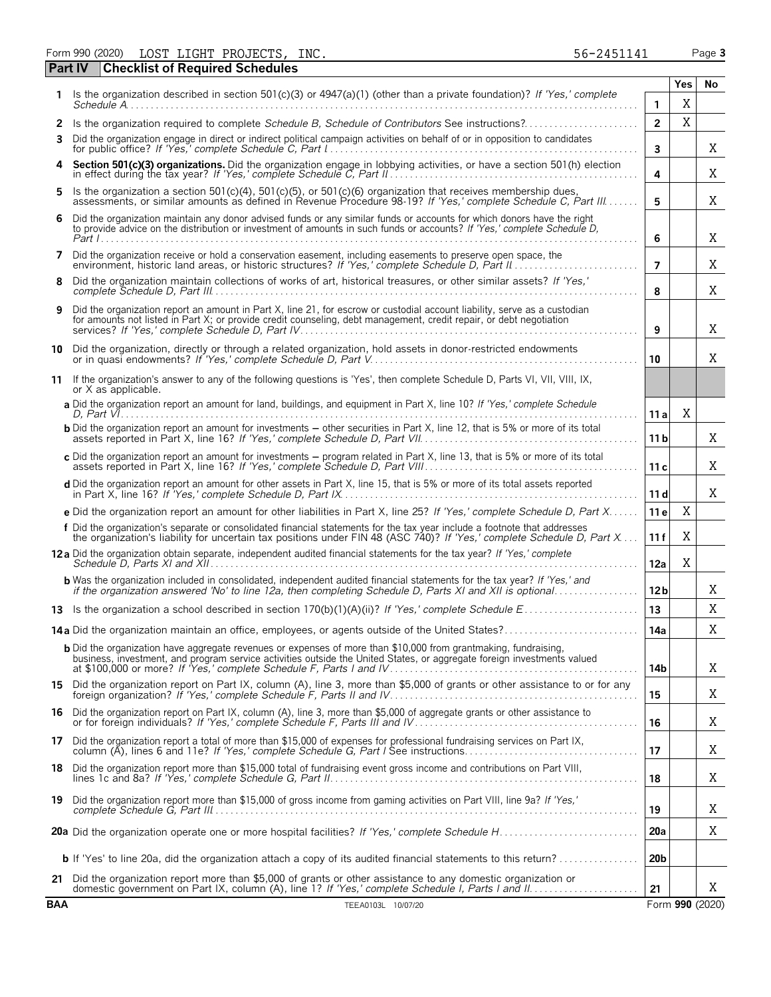Form 990 (2020) Page **3** LOST LIGHT PROJECTS, INC. 56-2451141

|            | <b>Checklist of Required Schedules</b><br><b>Part IV</b>                                                                                                                                                                                            |                 |     |                 |
|------------|-----------------------------------------------------------------------------------------------------------------------------------------------------------------------------------------------------------------------------------------------------|-----------------|-----|-----------------|
|            | Is the organization described in section 501(c)(3) or 4947(a)(1) (other than a private foundation)? If 'Yes,' complete                                                                                                                              |                 | Yes | No              |
|            |                                                                                                                                                                                                                                                     | 1               | X   |                 |
| 2<br>3     | Is the organization required to complete Schedule B, Schedule of Contributors See instructions?<br>Did the organization engage in direct or indirect political campaign activities on behalf of or in opposition to candidates                      | $\overline{2}$  | X   |                 |
|            |                                                                                                                                                                                                                                                     | 3               |     | Χ               |
|            | Section 501(c)(3) organizations. Did the organization engage in lobbying activities, or have a section 501(h) election in effect during the tax year? If 'Yes,' complete Schedule C, Part II.                                                       | 4               |     | Χ               |
| 5.         | Is the organization a section 501(c)(4), 501(c)(5), or 501(c)(6) organization that receives membership dues, assessments, or similar amounts as defined in Revenue Procedure 98-19? If 'Yes,' complete Schedule C, Part III                         | 5               |     | Χ               |
| 6          | Did the organization maintain any donor advised funds or any similar funds or accounts for which donors have the right<br>to provide advice on the distribution or investment of amounts in such funds or accounts? If 'Yes,' complete Schedule D,  | 6               |     | Χ               |
| 7          | Did the organization receive or hold a conservation easement, including easements to preserve open space, the                                                                                                                                       | $\overline{7}$  |     | Χ               |
| 8          | Did the organization maintain collections of works of art, historical treasures, or other similar assets? If 'Yes,'                                                                                                                                 | 8               |     | X               |
| 9          | Did the organization report an amount in Part X, line 21, for escrow or custodial account liability, serve as a custodian<br>for amounts not listed in Part X; or provide credit counseling, debt management, credit repair, or debt negotiation    | 9               |     | X               |
| 10         | Did the organization, directly or through a related organization, hold assets in donor-restricted endowments                                                                                                                                        | 10              |     | X               |
| 11         | If the organization's answer to any of the following questions is 'Yes', then complete Schedule D, Parts VI, VII, VIII, IX,<br>or X as applicable.                                                                                                  |                 |     |                 |
|            | a Did the organization report an amount for land, buildings, and equipment in Part X, line 10? If 'Yes,' complete Schedule                                                                                                                          | 11a             | Χ   |                 |
|            | <b>b</b> Did the organization report an amount for investments – other securities in Part X, line 12, that is 5% or more of its total                                                                                                               | 11 <sub>b</sub> |     | X               |
|            | c Did the organization report an amount for investments - program related in Part X, line 13, that is 5% or more of its total                                                                                                                       | 11c             |     | X               |
|            | d Did the organization report an amount for other assets in Part X, line 15, that is 5% or more of its total assets reported                                                                                                                        | 11d             |     | Χ               |
|            | e Did the organization report an amount for other liabilities in Part X, line 25? If 'Yes,' complete Schedule D, Part X                                                                                                                             | 11 <sub>e</sub> | X   |                 |
|            | f Did the organization's separate or consolidated financial statements for the tax year include a footnote that addresses<br>the organization's liability for uncertain tax positions under FIN 48 (ASC 740)? If 'Yes,' complete Schedule D, Part X | 11 f            | X   |                 |
|            | 12a Did the organization obtain separate, independent audited financial statements for the tax year? If 'Yes,' complete                                                                                                                             | 12a             | X   |                 |
|            | <b>b</b> Was the organization included in consolidated, independent audited financial statements for the tax year? If 'Yes,' and<br>if the organization answered 'No' to line 12a, then completing Schedule D, Parts XI and XII is optional         | 12 <sub>b</sub> |     | Χ               |
|            |                                                                                                                                                                                                                                                     | 13              |     | X               |
|            | 14a Did the organization maintain an office, employees, or agents outside of the United States?                                                                                                                                                     | 14a             |     | Χ               |
|            | <b>b</b> Did the organization have aggregate revenues or expenses of more than \$10,000 from grantmaking, fundraising,<br>business, investment, and program service activities outside the United States, or aggregate foreign investments valued   | 14b             |     | X               |
|            | 15 Did the organization report on Part IX, column (A), line 3, more than \$5,000 of grants or other assistance to or for any foreign organization? If 'Yes,' complete Schedule F, Parts II and IV                                                   | 15              |     | X               |
|            | 16 Did the organization report on Part IX, column (A), line 3, more than \$5,000 of aggregate grants or other assistance to<br>or for foreign individuals? If 'Yes,' complete Schedule F, Parts III and IV                                          | 16              |     | Χ               |
|            | 17 Did the organization report a total of more than \$15,000 of expenses for professional fundraising services on Part IX,<br>column (A), lines 6 and 11e? If 'Yes,' complete Schedule G, Part I See instructions                                   | 17              |     | X               |
|            | 18 Did the organization report more than \$15,000 total of fundraising event gross income and contributions on Part VIII,                                                                                                                           | 18              |     | X               |
|            | 19 Did the organization report more than \$15,000 of gross income from gaming activities on Part VIII, line 9a? If 'Yes,'                                                                                                                           | 19              |     | X               |
|            |                                                                                                                                                                                                                                                     | 20a             |     | Χ               |
|            | <b>b</b> If 'Yes' to line 20a, did the organization attach a copy of its audited financial statements to this return?                                                                                                                               | 20 <sub>b</sub> |     |                 |
| 21         | Did the organization report more than \$5,000 of grants or other assistance to any domestic organization or                                                                                                                                         | 21              |     | X               |
| <b>BAA</b> | TEEA0103L 10/07/20                                                                                                                                                                                                                                  |                 |     | Form 990 (2020) |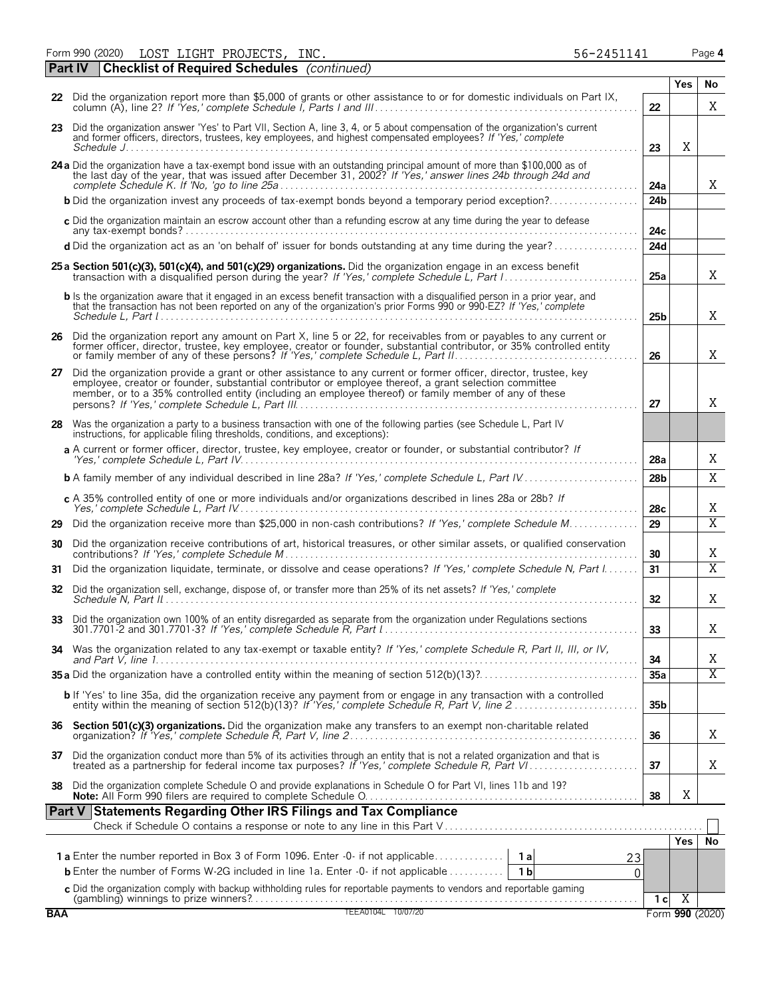Form 990 (2020) LOST LIGHT PROJECTS, INC. 56-2 451141 Page **4** LOST LIGHT PROJECTS, INC.  $56-2451141$ 

|            | <b>Part IV</b> | <b>Checklist of Required Schedules</b> (continued)                                                                                                                                                                                                                                                                                    |                 |                |                         |
|------------|----------------|---------------------------------------------------------------------------------------------------------------------------------------------------------------------------------------------------------------------------------------------------------------------------------------------------------------------------------------|-----------------|----------------|-------------------------|
|            |                | 22 Did the organization report more than \$5,000 of grants or other assistance to or for domestic individuals on Part IX,                                                                                                                                                                                                             |                 | <b>Yes</b>     | No                      |
|            |                |                                                                                                                                                                                                                                                                                                                                       | 22              |                | X                       |
|            |                | 23 Did the organization answer 'Yes' to Part VII, Section A, line 3, 4, or 5 about compensation of the organization's current<br>and former officers, directors, trustees, key employees, and highest compensated employees? If 'Yes,' complete<br>Schedule J                                                                         | 23              | X              |                         |
|            |                | 24 a Did the organization have a tax-exempt bond issue with an outstanding principal amount of more than \$100,000 as of the last day of the year, that was issued after December 31, 2002? If 'Yes,' answer lines 24b through                                                                                                        | 24a             |                | X                       |
|            |                | <b>b</b> Did the organization invest any proceeds of tax-exempt bonds beyond a temporary period exception?                                                                                                                                                                                                                            | 24 <sub>b</sub> |                |                         |
|            |                | c Did the organization maintain an escrow account other than a refunding escrow at any time during the year to defease                                                                                                                                                                                                                | 24c             |                |                         |
|            |                | d Did the organization act as an 'on behalf of' issuer for bonds outstanding at any time during the year?                                                                                                                                                                                                                             | 24d             |                |                         |
|            |                | 25 a Section 501(c)(3), 501(c)(4), and 501(c)(29) organizations. Did the organization engage in an excess benefit                                                                                                                                                                                                                     | 25a             |                | X                       |
|            |                | b Is the organization aware that it engaged in an excess benefit transaction with a disqualified person in a prior year, and<br>that the transaction has not been reported on any of the organization's prior Forms 990 or 990-EZ? If 'Yes,' complete                                                                                 | 25 <sub>b</sub> |                | X                       |
|            |                | 26 Did the organization report any amount on Part X, line 5 or 22, for receivables from or payables to any current or<br>former officer, director, trustee, key employee, creator or founder, substantial contributor, or 35% controlled entity                                                                                       | 26              |                | Χ                       |
| 27         |                | Did the organization provide a grant or other assistance to any current or former officer, director, trustee, key<br>employee, creator or founder, substantial contributor or employee thereof, a grant selection committee<br>member, or to a 35% controlled entity (including an employee thereof) or family member of any of these | 27              |                | X                       |
| 28         |                | Was the organization a party to a business transaction with one of the following parties (see Schedule L, Part IV<br>instructions, for applicable filing thresholds, conditions, and exceptions):                                                                                                                                     |                 |                |                         |
|            |                | a A current or former officer, director, trustee, key employee, creator or founder, or substantial contributor? If                                                                                                                                                                                                                    | 28a             |                | Χ                       |
|            |                | <b>b</b> A family member of any individual described in line 28a? If 'Yes,' complete Schedule L, Part IV                                                                                                                                                                                                                              | 28b             |                | X                       |
|            |                | c A 35% controlled entity of one or more individuals and/or organizations described in lines 28a or 28b? If                                                                                                                                                                                                                           | 28 <sub>c</sub> |                | Χ                       |
| 29         |                | Did the organization receive more than \$25,000 in non-cash contributions? If 'Yes,' complete Schedule M                                                                                                                                                                                                                              | 29              |                | $\overline{\mathrm{X}}$ |
| 30         |                | Did the organization receive contributions of art, historical treasures, or other similar assets, or qualified conservation                                                                                                                                                                                                           | 30              |                | Χ                       |
| 31         |                | Did the organization liquidate, terminate, or dissolve and cease operations? If 'Yes,' complete Schedule N, Part I                                                                                                                                                                                                                    | 31              |                | Χ                       |
| 32         |                | Did the organization sell, exchange, dispose of, or transfer more than 25% of its net assets? If 'Yes,' complete                                                                                                                                                                                                                      | 32              |                | Χ                       |
| 33         |                | Did the organization own 100% of an entity disregarded as separate from the organization under Regulations sections                                                                                                                                                                                                                   | 33              |                | Χ                       |
|            |                | 34 Was the organization related to any tax-exempt or taxable entity? If 'Yes,' complete Schedule R, Part II, III, or IV,                                                                                                                                                                                                              | 34              |                | Χ                       |
|            |                |                                                                                                                                                                                                                                                                                                                                       | 35a             |                | $\overline{\mathrm{X}}$ |
|            |                | <b>b</b> If 'Yes' to line 35a, did the organization receive any payment from or engage in any transaction with a controlled entity within the meaning of section 512(b)(13)? If 'Yes,' complete Schedule R, Part V, line 2                                                                                                            | 35 <sub>b</sub> |                |                         |
|            |                |                                                                                                                                                                                                                                                                                                                                       | 36              |                | Χ                       |
|            |                | 37 Did the organization conduct more than 5% of its activities through an entity that is not a related organization and that is treated as a partnership for federal income tax purposes? If 'Yes,' complete Schedule R, Part                                                                                                         | 37              |                | Χ                       |
|            |                | 38 Did the organization complete Schedule O and provide explanations in Schedule O for Part VI, lines 11b and 19?                                                                                                                                                                                                                     | 38              | X              |                         |
|            |                | Part V Statements Regarding Other IRS Filings and Tax Compliance                                                                                                                                                                                                                                                                      |                 |                |                         |
|            |                |                                                                                                                                                                                                                                                                                                                                       |                 | Yes            | No                      |
|            |                | 23                                                                                                                                                                                                                                                                                                                                    |                 |                |                         |
|            |                | <b>b</b> Enter the number of Forms W-2G included in line 1a. Enter -0- if not applicable<br>1 <sub>b</sub><br>$\Omega$                                                                                                                                                                                                                |                 |                |                         |
|            |                | C Did the organization comply with backup withholding rules for reportable payments to vendors and reportable gaming<br>(gambling) winnings to prize winners?<br>TEEA0104L 10/07/20                                                                                                                                                   | 1 <sub>c</sub>  | $\overline{X}$ |                         |
| <b>BAA</b> |                |                                                                                                                                                                                                                                                                                                                                       |                 |                | Form 990 (2020)         |

|  |  | $6 - 2451141$ |
|--|--|---------------|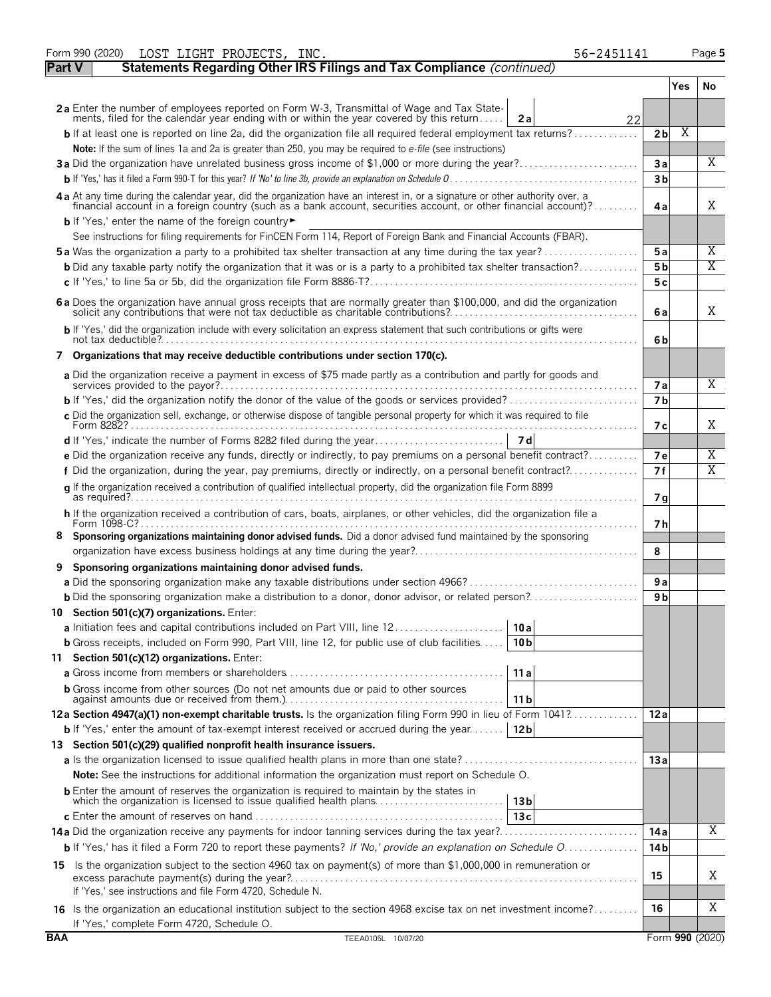|               | Form 990 (2020)<br>LOST LIGHT PROJECTS, INC.<br>56-2451141                                                                                                                                                                     |                 |     | Page 5 |
|---------------|--------------------------------------------------------------------------------------------------------------------------------------------------------------------------------------------------------------------------------|-----------------|-----|--------|
| <b>Part V</b> | Statements Regarding Other IRS Filings and Tax Compliance (continued)                                                                                                                                                          |                 |     |        |
|               |                                                                                                                                                                                                                                |                 | Yes | No.    |
|               | 2a Enter the number of employees reported on Form W-3, Transmittal of Wage and Tax State-<br>ments, filed for the calendar year ending with or within the year covered by this return<br>2a<br>22                              |                 |     |        |
|               | $\mathsf{b}$ If at least one is reported on line 2a, did the organization file all required federal employment tax returns?                                                                                                    | 2 <sub>b</sub>  | Χ   |        |
|               | Note: If the sum of lines 1a and 2a is greater than 250, you may be required to e-file (see instructions)                                                                                                                      |                 |     |        |
|               | 3a Did the organization have unrelated business gross income of \$1,000 or more during the year?                                                                                                                               | 3a              |     | X      |
|               |                                                                                                                                                                                                                                | 3 <sub>b</sub>  |     |        |
|               | 4 a At any time during the calendar year, did the organization have an interest in, or a signature or other authority over, a financial account in a foreign country (such as a bank account, securities account, or other fin | 4a              |     | X      |
|               | <b>b</b> If 'Yes,' enter the name of the foreign country                                                                                                                                                                       |                 |     |        |
|               | See instructions for filing requirements for FinCEN Form 114, Report of Foreign Bank and Financial Accounts (FBAR).                                                                                                            |                 |     |        |
|               | <b>5a</b> Was the organization a party to a prohibited tax shelter transaction at any time during the tax year?                                                                                                                | 5a              |     | Χ      |
|               | <b>b</b> Did any taxable party notify the organization that it was or is a party to a prohibited tax shelter transaction?                                                                                                      | 5 b             |     | X      |
|               |                                                                                                                                                                                                                                | 5c              |     |        |
|               | 6 a Does the organization have annual gross receipts that are normally greater than \$100,000, and did the organization solicit any contributions that were not tax deductible as charitable contributions?                    | 6a              |     | X      |
|               | b If 'Yes,' did the organization include with every solicitation an express statement that such contributions or gifts were                                                                                                    | 6b              |     |        |
|               | 7 Organizations that may receive deductible contributions under section 170(c).                                                                                                                                                |                 |     |        |
|               | a Did the organization receive a payment in excess of \$75 made partly as a contribution and partly for goods and                                                                                                              | <b>7a</b>       |     | X      |
|               |                                                                                                                                                                                                                                | 7 <sub>b</sub>  |     |        |
|               | c Did the organization sell, exchange, or otherwise dispose of tangible personal property for which it was required to file                                                                                                    | 7 с             |     | X      |
|               |                                                                                                                                                                                                                                |                 |     |        |
|               | e Did the organization receive any funds, directly or indirectly, to pay premiums on a personal benefit contract?                                                                                                              | 7e              |     | Χ      |
|               | f Did the organization, during the year, pay premiums, directly or indirectly, on a personal benefit contract?                                                                                                                 | 7f              |     | Χ      |
|               | g If the organization received a contribution of qualified intellectual property, did the organization file Form 8899                                                                                                          | 7g              |     |        |
|               | h If the organization received a contribution of cars, boats, airplanes, or other vehicles, did the organization file a                                                                                                        | 7 h             |     |        |
|               | Sponsoring organizations maintaining donor advised funds. Did a donor advised fund maintained by the sponsoring                                                                                                                |                 |     |        |
|               |                                                                                                                                                                                                                                | 8               |     |        |
| 9             | Sponsoring organizations maintaining donor advised funds.                                                                                                                                                                      |                 |     |        |
|               |                                                                                                                                                                                                                                | 9a              |     |        |
|               |                                                                                                                                                                                                                                | 9 b             |     |        |
|               | 10 Section 501(c)(7) organizations. Enter:                                                                                                                                                                                     |                 |     |        |
|               | 10 a                                                                                                                                                                                                                           |                 |     |        |
|               | <b>b</b> Gross receipts, included on Form 990, Part VIII, line 12, for public use of club facilities<br>10 <sub>b</sub>                                                                                                        |                 |     |        |
|               | 11 Section 501(c)(12) organizations. Enter:<br>11a                                                                                                                                                                             |                 |     |        |
|               | <b>b</b> Gross income from other sources (Do not net amounts due or paid to other sources                                                                                                                                      |                 |     |        |
|               | 11 b                                                                                                                                                                                                                           |                 |     |        |
|               | 12a Section 4947(a)(1) non-exempt charitable trusts. Is the organization filing Form 990 in lieu of Form 1041?                                                                                                                 | 12a             |     |        |
|               | <b>b</b> If 'Yes,' enter the amount of tax-exempt interest received or accrued during the year   12b                                                                                                                           |                 |     |        |
|               | 13 Section 501(c)(29) qualified nonprofit health insurance issuers.                                                                                                                                                            |                 |     |        |
|               |                                                                                                                                                                                                                                | 13a             |     |        |
|               | <b>Note:</b> See the instructions for additional information the organization must report on Schedule O.                                                                                                                       |                 |     |        |
|               | <b>b</b> Enter the amount of reserves the organization is required to maintain by the states in<br>which the organization is licensed to issue qualified health plans<br>13 <sub>b</sub>                                       |                 |     |        |
|               | 13c                                                                                                                                                                                                                            |                 |     |        |
|               |                                                                                                                                                                                                                                | 14 a            |     | Χ      |
|               | b If 'Yes,' has it filed a Form 720 to report these payments? If 'No,' provide an explanation on Schedule O                                                                                                                    | 14 b            |     |        |
|               | 15 Is the organization subject to the section 4960 tax on payment(s) of more than \$1,000,000 in remuneration or                                                                                                               | 15              |     | Χ      |
|               | If 'Yes,' see instructions and file Form 4720, Schedule N.                                                                                                                                                                     |                 |     |        |
|               | 16 Is the organization an educational institution subject to the section 4968 excise tax on net investment income?<br>If 'Yes,' complete Form 4720, Schedule O.                                                                | 16              |     | Χ      |
| <b>BAA</b>    | TEEA0105L 10/07/20                                                                                                                                                                                                             | Form 990 (2020) |     |        |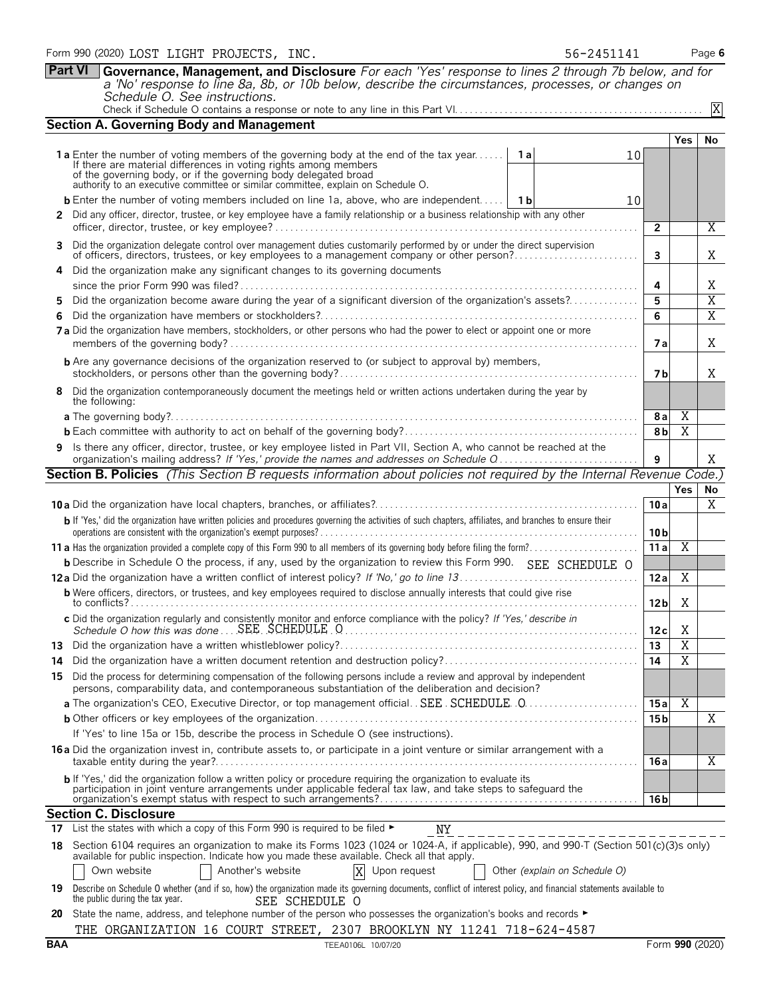|     | 1a Enter the number of voting members of the governing body at the end of the tax year<br>If there are material differences in voting rights among members                                                                              | 1al                           | 10 |                         |                       |                 |  |  |  |  |  |
|-----|-----------------------------------------------------------------------------------------------------------------------------------------------------------------------------------------------------------------------------------------|-------------------------------|----|-------------------------|-----------------------|-----------------|--|--|--|--|--|
|     | of the governing body, or if the governing body delegated broad<br>authority to an executive committee or similar committee, explain on Schedule O.                                                                                     |                               |    |                         |                       |                 |  |  |  |  |  |
|     | <b>b</b> Enter the number of voting members included on line 1a, above, who are independent   1b                                                                                                                                        |                               | 10 |                         |                       |                 |  |  |  |  |  |
| 2   | Did any officer, director, trustee, or key employee have a family relationship or a business relationship with any other                                                                                                                |                               |    |                         |                       |                 |  |  |  |  |  |
|     |                                                                                                                                                                                                                                         |                               |    | $\overline{2}$          |                       | $\overline{X}$  |  |  |  |  |  |
| 3   | Did the organization delegate control over management duties customarily performed by or under the direct supervision                                                                                                                   |                               |    | $\overline{\mathbf{3}}$ |                       | Χ               |  |  |  |  |  |
| 4   | Did the organization make any significant changes to its governing documents                                                                                                                                                            |                               |    |                         |                       |                 |  |  |  |  |  |
|     |                                                                                                                                                                                                                                         |                               |    |                         |                       |                 |  |  |  |  |  |
| 5   | Did the organization become aware during the year of a significant diversion of the organization's assets?                                                                                                                              |                               |    |                         |                       |                 |  |  |  |  |  |
| 6   |                                                                                                                                                                                                                                         |                               |    | 6                       |                       | $\overline{X}$  |  |  |  |  |  |
|     | 7a Did the organization have members, stockholders, or other persons who had the power to elect or appoint one or more                                                                                                                  |                               |    |                         |                       |                 |  |  |  |  |  |
|     | <b>b</b> Are any governance decisions of the organization reserved to (or subject to approval by) members,                                                                                                                              |                               |    |                         |                       |                 |  |  |  |  |  |
| 8   | Did the organization contemporaneously document the meetings held or written actions undertaken during the year by<br>the following:                                                                                                    |                               |    |                         |                       |                 |  |  |  |  |  |
|     |                                                                                                                                                                                                                                         |                               |    | 8a                      | X                     |                 |  |  |  |  |  |
|     |                                                                                                                                                                                                                                         |                               |    | 8 <sub>b</sub>          | X                     |                 |  |  |  |  |  |
| 9   | Is there any officer, director, trustee, or key employee listed in Part VII, Section A, who cannot be reached at the<br>organization's mailing address? If 'Yes,' provide the names and addresses on Schedule Q                         |                               |    | 9                       |                       | Χ               |  |  |  |  |  |
|     | Section B. Policies (This Section B requests information about policies not required by the Internal Revenue Code.)                                                                                                                     |                               |    |                         |                       |                 |  |  |  |  |  |
|     |                                                                                                                                                                                                                                         |                               |    |                         | <b>Yes</b>            | No              |  |  |  |  |  |
|     |                                                                                                                                                                                                                                         |                               |    | 10a                     |                       | Χ               |  |  |  |  |  |
|     | b If 'Yes,' did the organization have written policies and procedures governing the activities of such chapters, affiliates, and branches to ensure their                                                                               |                               |    | 10 <sub>b</sub>         |                       |                 |  |  |  |  |  |
|     |                                                                                                                                                                                                                                         |                               |    | 11a                     | $\overline{X}$        |                 |  |  |  |  |  |
|     | <b>b</b> Describe in Schedule O the process, if any, used by the organization to review this Form 990. SEE SCHEDULE O                                                                                                                   |                               |    |                         |                       |                 |  |  |  |  |  |
|     |                                                                                                                                                                                                                                         |                               |    | 12a                     | X                     |                 |  |  |  |  |  |
|     | <b>b</b> Were officers, directors, or trustees, and key employees required to disclose annually interests that could give rise                                                                                                          |                               |    | 12 <sub>b</sub>         | X                     |                 |  |  |  |  |  |
|     | c Did the organization regularly and consistently monitor and enforce compliance with the policy? If 'Yes,' describe in                                                                                                                 |                               |    | 12c                     | Χ                     |                 |  |  |  |  |  |
|     |                                                                                                                                                                                                                                         |                               |    | 13                      | $\overline{\text{X}}$ |                 |  |  |  |  |  |
| 14  |                                                                                                                                                                                                                                         |                               |    | 14                      | $\overline{\text{X}}$ |                 |  |  |  |  |  |
| 15  | Did the process for determining compensation of the following persons include a review and approval by independent<br>persons, comparability data, and contemporaneous substantiation of the deliberation and decision?                 |                               |    |                         |                       |                 |  |  |  |  |  |
|     |                                                                                                                                                                                                                                         |                               |    | 15a                     | $\overline{X}$        |                 |  |  |  |  |  |
|     |                                                                                                                                                                                                                                         |                               |    | 15 bl                   |                       | Χ               |  |  |  |  |  |
|     | If 'Yes' to line 15a or 15b, describe the process in Schedule O (see instructions).                                                                                                                                                     |                               |    |                         |                       |                 |  |  |  |  |  |
|     | 16 a Did the organization invest in, contribute assets to, or participate in a joint venture or similar arrangement with a                                                                                                              |                               |    | 16 a                    |                       | X               |  |  |  |  |  |
|     | b If 'Yes,' did the organization follow a written policy or procedure requiring the organization to evaluate its<br>participation in joint venture arrangements under applicable federal tax law, and take steps to safeguard the       |                               |    | 16 bl                   |                       |                 |  |  |  |  |  |
|     | <b>Section C. Disclosure</b>                                                                                                                                                                                                            |                               |    |                         |                       |                 |  |  |  |  |  |
|     | 17 List the states with which a copy of this Form 990 is required to be filed $\blacktriangleright$<br>NY                                                                                                                               |                               |    |                         |                       |                 |  |  |  |  |  |
| 18  | Section 6104 requires an organization to make its Forms 1023 (1024 or 1024-A, if applicable), 990, and 990-T (Section 501(c)(3)s only)<br>available for public inspection. Indicate how you made these available. Check all that apply. |                               |    |                         |                       |                 |  |  |  |  |  |
|     | Another's website<br>X<br>Upon request<br>Own website                                                                                                                                                                                   | Other (explain on Schedule O) |    |                         |                       |                 |  |  |  |  |  |
| 19  | Describe on Schedule O whether (and if so, how) the organization made its governing documents, conflict of interest policy, and financial statements available to<br>the public during the tax year.<br>SEE SCHEDULE O                  |                               |    |                         |                       |                 |  |  |  |  |  |
|     | 20 State the name, address, and telephone number of the person who possesses the organization's books and records ►                                                                                                                     |                               |    |                         |                       |                 |  |  |  |  |  |
|     |                                                                                                                                                                                                                                         |                               |    |                         |                       |                 |  |  |  |  |  |
| BAA | THE ORGANIZATION 16 COURT STREET, 2307 BROOKLYN NY 11241 718-624-4587                                                                                                                                                                   |                               |    |                         |                       | Form 990 (2020) |  |  |  |  |  |

**Part VI Governance, Management, and Disclosure** *For each 'Yes' response to lines 2 through 7b below, and for a 'No' response to line 8a, 8b, or 10b below, describe the circumstances, processes, or changes on*

Check if Schedule O contains a response or note to any line in this Part VI. . . . . . . . . . . . . . . . . . . . . . . . . . . . . . . . . . . . . . . . . . . . . . . . . .

*Schedule O. See instructions.*

**Section A. Governing Body and Management**

**Yes No**

X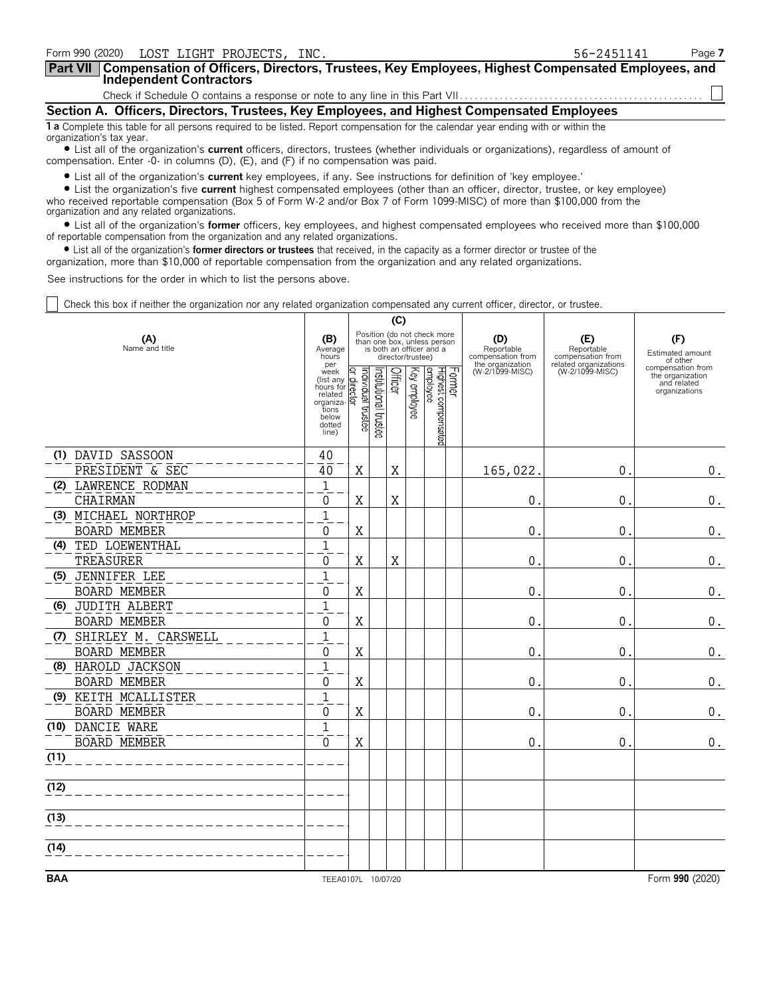| Form 990 (2020) LOST LIGHT PROJECTS, INC.                                                                                                                      | 56-2451141 | Page 7 |
|----------------------------------------------------------------------------------------------------------------------------------------------------------------|------------|--------|
| Part VII   Compensation of Officers, Directors, Trustees, Key Employees, Highest Compensated Employees, and<br><b>Independent Contractors</b>                  |            |        |
|                                                                                                                                                                |            |        |
| Section A. Officers, Directors, Trustees, Key Employees, and Highest Compensated Employees                                                                     |            |        |
| 1 a Complete this table for all persons required to be listed. Report compensation for the calendar year ending with or within the<br>organization's tax year. |            |        |

? List all of the organization's **current** officers, directors, trustees (whether individuals or organizations), regardless of amount of compensation. Enter -0- in columns (D), (E), and (F) if no compensation was paid.

? List all of the organization's **current** key employees, if any. See instructions for definition of 'key employee.'

? List the organization's five **current** highest compensated employees (other than an officer, director, trustee, or key employee) who received reportable compensation (Box 5 of Form W-2 and/or Box 7 of Form 1099-MISC) of more than \$100,000 from the organization and any related organizations.

? List all of the organization's **former** officers, key employees, and highest compensated employees who received more than \$100,000 of reportable compensation from the organization and any related organizations.

? List all of the organization's **former directors or trustees** that received, in the capacity as a former director or trustee of the

organization, more than \$10,000 of reportable compensation from the organization and any related organizations.

See instructions for the order in which to list the persons above.

Check this box if neither the organization nor any related organization compensated any current officer, director, or trustee.

| Position (do not check more<br>(F)<br>(A)<br>(D)<br>(E)<br>(B)<br>than one box, unless person<br>Name and title<br>is both an officer and a<br>Reportable<br>Reportable<br>Average<br>Estimated amount<br>director/trustee)<br>compensation from<br>compensation from<br>hours<br>of other<br>related organizations<br>the organization<br>per<br>compensation from<br>Former<br>Institutional trustee<br>Officer<br>Key employee<br>Highest compensated<br>employee<br>(W-2/1099-MISC)<br>(W-2/1099-MISC)<br>ndividual trustee<br>week<br>the organization<br>director<br>(list any<br>and related<br>hours for<br>organizations<br>related<br>organiza-<br>tions<br>below<br>dotted<br>line)<br>(1) DAVID SASSOON<br>40<br>$\mathbf X$<br>PRESIDENT & SEC<br>X<br>165,022<br>0<br>40<br>$\mathbf 1$<br>(2) LAWRENCE RODMAN<br>$\mathbf X$<br>CHAIRMAN<br>X<br>0<br>0<br>0<br>$\mathbf{1}$<br>(3) MICHAEL NORTHROP<br><b>BOARD MEMBER</b><br>X<br>$\Omega$<br>0<br>0<br>$\overline{1}$<br>TED LOEWENTHAL<br>(4)<br>$\mathbf X$<br>TREASURER<br>X<br>$\pmb{0}$<br>0<br>0<br>$\mathbf{1}$<br>(5) JENNIFER LEE |                    |
|--------------------------------------------------------------------------------------------------------------------------------------------------------------------------------------------------------------------------------------------------------------------------------------------------------------------------------------------------------------------------------------------------------------------------------------------------------------------------------------------------------------------------------------------------------------------------------------------------------------------------------------------------------------------------------------------------------------------------------------------------------------------------------------------------------------------------------------------------------------------------------------------------------------------------------------------------------------------------------------------------------------------------------------------------------------------------------------------------------------|--------------------|
|                                                                                                                                                                                                                                                                                                                                                                                                                                                                                                                                                                                                                                                                                                                                                                                                                                                                                                                                                                                                                                                                                                              |                    |
|                                                                                                                                                                                                                                                                                                                                                                                                                                                                                                                                                                                                                                                                                                                                                                                                                                                                                                                                                                                                                                                                                                              |                    |
|                                                                                                                                                                                                                                                                                                                                                                                                                                                                                                                                                                                                                                                                                                                                                                                                                                                                                                                                                                                                                                                                                                              |                    |
|                                                                                                                                                                                                                                                                                                                                                                                                                                                                                                                                                                                                                                                                                                                                                                                                                                                                                                                                                                                                                                                                                                              | 0.                 |
|                                                                                                                                                                                                                                                                                                                                                                                                                                                                                                                                                                                                                                                                                                                                                                                                                                                                                                                                                                                                                                                                                                              |                    |
|                                                                                                                                                                                                                                                                                                                                                                                                                                                                                                                                                                                                                                                                                                                                                                                                                                                                                                                                                                                                                                                                                                              | 0.                 |
|                                                                                                                                                                                                                                                                                                                                                                                                                                                                                                                                                                                                                                                                                                                                                                                                                                                                                                                                                                                                                                                                                                              |                    |
|                                                                                                                                                                                                                                                                                                                                                                                                                                                                                                                                                                                                                                                                                                                                                                                                                                                                                                                                                                                                                                                                                                              | 0.                 |
|                                                                                                                                                                                                                                                                                                                                                                                                                                                                                                                                                                                                                                                                                                                                                                                                                                                                                                                                                                                                                                                                                                              |                    |
|                                                                                                                                                                                                                                                                                                                                                                                                                                                                                                                                                                                                                                                                                                                                                                                                                                                                                                                                                                                                                                                                                                              | $\boldsymbol{0}$ . |
|                                                                                                                                                                                                                                                                                                                                                                                                                                                                                                                                                                                                                                                                                                                                                                                                                                                                                                                                                                                                                                                                                                              |                    |
| $\mathbf X$<br><b>BOARD MEMBER</b><br>0<br>0<br>0                                                                                                                                                                                                                                                                                                                                                                                                                                                                                                                                                                                                                                                                                                                                                                                                                                                                                                                                                                                                                                                            | 0.                 |
| $\mathbf{1}$<br>(6) JUDITH ALBERT                                                                                                                                                                                                                                                                                                                                                                                                                                                                                                                                                                                                                                                                                                                                                                                                                                                                                                                                                                                                                                                                            |                    |
| X<br><b>BOARD MEMBER</b><br>0<br>$\Omega$<br>0                                                                                                                                                                                                                                                                                                                                                                                                                                                                                                                                                                                                                                                                                                                                                                                                                                                                                                                                                                                                                                                               | $\boldsymbol{0}$ . |
| $\mathbf{1}$<br>(7) SHIRLEY M. CARSWELL                                                                                                                                                                                                                                                                                                                                                                                                                                                                                                                                                                                                                                                                                                                                                                                                                                                                                                                                                                                                                                                                      |                    |
| <b>BOARD MEMBER</b><br>$\mathbf X$<br>$\Omega$<br>$\Omega$<br>$\mathbf 0$                                                                                                                                                                                                                                                                                                                                                                                                                                                                                                                                                                                                                                                                                                                                                                                                                                                                                                                                                                                                                                    | $\boldsymbol{0}$ . |
| $\mathbf{1}$<br>(8) HAROLD JACKSON                                                                                                                                                                                                                                                                                                                                                                                                                                                                                                                                                                                                                                                                                                                                                                                                                                                                                                                                                                                                                                                                           |                    |
| <b>BOARD MEMBER</b><br>X<br>$\Omega$<br>0<br>0                                                                                                                                                                                                                                                                                                                                                                                                                                                                                                                                                                                                                                                                                                                                                                                                                                                                                                                                                                                                                                                               | 0.                 |
| $\mathbf{1}$<br>(9) KEITH MCALLISTER                                                                                                                                                                                                                                                                                                                                                                                                                                                                                                                                                                                                                                                                                                                                                                                                                                                                                                                                                                                                                                                                         |                    |
| $\mathbf X$<br>BOARD MEMBER<br>$\Omega$<br>0<br>0                                                                                                                                                                                                                                                                                                                                                                                                                                                                                                                                                                                                                                                                                                                                                                                                                                                                                                                                                                                                                                                            | 0.                 |
| $\mathbf{1}$<br>(10) DANCIE WARE                                                                                                                                                                                                                                                                                                                                                                                                                                                                                                                                                                                                                                                                                                                                                                                                                                                                                                                                                                                                                                                                             |                    |
| BOARD MEMBER<br>$\mathbf X$<br>$\Omega$<br>0<br>0                                                                                                                                                                                                                                                                                                                                                                                                                                                                                                                                                                                                                                                                                                                                                                                                                                                                                                                                                                                                                                                            | $0$ .              |
| (11)                                                                                                                                                                                                                                                                                                                                                                                                                                                                                                                                                                                                                                                                                                                                                                                                                                                                                                                                                                                                                                                                                                         |                    |
| (12)                                                                                                                                                                                                                                                                                                                                                                                                                                                                                                                                                                                                                                                                                                                                                                                                                                                                                                                                                                                                                                                                                                         |                    |
| (13)                                                                                                                                                                                                                                                                                                                                                                                                                                                                                                                                                                                                                                                                                                                                                                                                                                                                                                                                                                                                                                                                                                         |                    |
| (14)                                                                                                                                                                                                                                                                                                                                                                                                                                                                                                                                                                                                                                                                                                                                                                                                                                                                                                                                                                                                                                                                                                         |                    |
| <b>BAA</b><br>Form 990 (2020)<br>TEEA0107L 10/07/20                                                                                                                                                                                                                                                                                                                                                                                                                                                                                                                                                                                                                                                                                                                                                                                                                                                                                                                                                                                                                                                          |                    |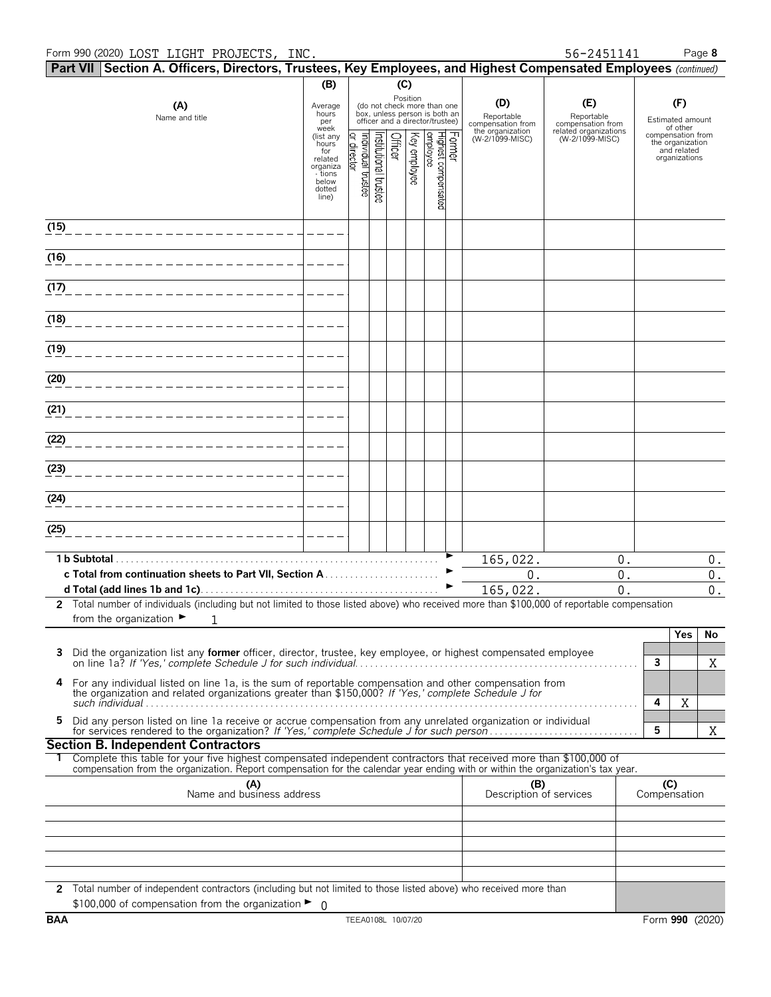#### Form 990 (2020) Page **8** LOST LIGHT PROJECTS, INC. 56-2451141

|      |               | Part VII Section A. Officers, Directors, Trustees, Key Employees, and Highest Compensated Employees (continued)                                                                                                                                        |                                                                      |                                    |                      |         |              |                                                                                                             |                                        |                                          |              |                                                                       |                  |
|------|---------------|--------------------------------------------------------------------------------------------------------------------------------------------------------------------------------------------------------------------------------------------------------|----------------------------------------------------------------------|------------------------------------|----------------------|---------|--------------|-------------------------------------------------------------------------------------------------------------|----------------------------------------|------------------------------------------|--------------|-----------------------------------------------------------------------|------------------|
|      |               |                                                                                                                                                                                                                                                        | (B)                                                                  |                                    |                      | (C)     |              |                                                                                                             |                                        |                                          |              |                                                                       |                  |
|      |               | (A)<br>Name and title                                                                                                                                                                                                                                  | Average<br>hours<br>per<br>week                                      |                                    |                      |         |              | Position<br>(do not check more than one<br>box, unless person is both an<br>officer and a director/trustee) | (D)<br>Reportable<br>compensation from | (E)<br>Reportable<br>compensation from   |              | (F)<br>Estimated amount<br>of other                                   |                  |
|      |               |                                                                                                                                                                                                                                                        | (list any<br>hours<br>for<br>related<br>organiza<br>- tions<br>below | ndividual trustee<br>ō,<br>irector | nstitutional trustee | Officer | Key employee | Former<br>Highest compensated<br> employee                                                                  | the organization<br>(W-2/1099-MISC)    | related organizations<br>(W-2/1099-MISC) |              | compensation from<br>the organization<br>and related<br>organizations |                  |
|      |               |                                                                                                                                                                                                                                                        | dotted<br>line)                                                      |                                    |                      |         |              |                                                                                                             |                                        |                                          |              |                                                                       |                  |
| (15) |               |                                                                                                                                                                                                                                                        |                                                                      |                                    |                      |         |              |                                                                                                             |                                        |                                          |              |                                                                       |                  |
| (16) |               |                                                                                                                                                                                                                                                        |                                                                      |                                    |                      |         |              |                                                                                                             |                                        |                                          |              |                                                                       |                  |
| (17) |               |                                                                                                                                                                                                                                                        |                                                                      |                                    |                      |         |              |                                                                                                             |                                        |                                          |              |                                                                       |                  |
| (18) |               |                                                                                                                                                                                                                                                        |                                                                      |                                    |                      |         |              |                                                                                                             |                                        |                                          |              |                                                                       |                  |
| (19) |               |                                                                                                                                                                                                                                                        |                                                                      |                                    |                      |         |              |                                                                                                             |                                        |                                          |              |                                                                       |                  |
| (20) |               |                                                                                                                                                                                                                                                        |                                                                      |                                    |                      |         |              |                                                                                                             |                                        |                                          |              |                                                                       |                  |
| (21) |               |                                                                                                                                                                                                                                                        |                                                                      |                                    |                      |         |              |                                                                                                             |                                        |                                          |              |                                                                       |                  |
| (22) |               |                                                                                                                                                                                                                                                        |                                                                      |                                    |                      |         |              |                                                                                                             |                                        |                                          |              |                                                                       |                  |
| (23) |               |                                                                                                                                                                                                                                                        |                                                                      |                                    |                      |         |              |                                                                                                             |                                        |                                          |              |                                                                       |                  |
| (24) |               |                                                                                                                                                                                                                                                        |                                                                      |                                    |                      |         |              |                                                                                                             |                                        |                                          |              |                                                                       |                  |
| (25) |               |                                                                                                                                                                                                                                                        |                                                                      |                                    |                      |         |              |                                                                                                             |                                        |                                          |              |                                                                       |                  |
|      | 1 b Subtotal. |                                                                                                                                                                                                                                                        |                                                                      |                                    |                      |         |              |                                                                                                             | 165,022.                               | 0.                                       |              |                                                                       | $0$ .            |
|      |               |                                                                                                                                                                                                                                                        |                                                                      |                                    |                      |         |              |                                                                                                             | $0$ .                                  | 0.                                       |              |                                                                       | $0$ .            |
|      |               |                                                                                                                                                                                                                                                        |                                                                      |                                    |                      |         |              |                                                                                                             | 165,022.                               | 0.                                       |              |                                                                       | $\overline{0}$ . |
|      |               | 2 Total number of individuals (including but not limited to those listed above) who received more than \$100,000 of reportable compensation<br>from the organization $\blacktriangleright$<br>1                                                        |                                                                      |                                    |                      |         |              |                                                                                                             |                                        |                                          |              |                                                                       |                  |
|      |               |                                                                                                                                                                                                                                                        |                                                                      |                                    |                      |         |              |                                                                                                             |                                        |                                          |              | Yes                                                                   | No               |
| 3    |               | Did the organization list any <b>former</b> officer, director, trustee, key employee, or highest compensated employee                                                                                                                                  |                                                                      |                                    |                      |         |              |                                                                                                             |                                        |                                          | $\mathbf{3}$ |                                                                       | X                |
| 4    |               | For any individual listed on line 1a, is the sum of reportable compensation and other compensation from<br>the organization and related organizations greater than \$150,000? If 'Yes,' complete Schedule J for                                        |                                                                      |                                    |                      |         |              |                                                                                                             |                                        |                                          | 4            | Χ                                                                     |                  |
| 5    |               | Did any person listed on line 1a receive or accrue compensation from any unrelated organization or individual<br>for services rendered to the organization? If 'Yes,' complete Schedule J for such person                                              |                                                                      |                                    |                      |         |              |                                                                                                             |                                        |                                          | 5            |                                                                       | X                |
|      |               | <b>Section B. Independent Contractors</b>                                                                                                                                                                                                              |                                                                      |                                    |                      |         |              |                                                                                                             |                                        |                                          |              |                                                                       |                  |
|      |               | Complete this table for your five highest compensated independent contractors that received more than \$100,000 of<br>compensation from the organization. Report compensation for the calendar year ending with or within the organization's tax year. |                                                                      |                                    |                      |         |              |                                                                                                             |                                        |                                          |              |                                                                       |                  |
|      |               | (A)<br>Name and business address                                                                                                                                                                                                                       |                                                                      |                                    |                      |         |              |                                                                                                             | (B)<br>Description of services         |                                          | Compensation | (C)                                                                   |                  |
|      |               |                                                                                                                                                                                                                                                        |                                                                      |                                    |                      |         |              |                                                                                                             |                                        |                                          |              |                                                                       |                  |
|      |               |                                                                                                                                                                                                                                                        |                                                                      |                                    |                      |         |              |                                                                                                             |                                        |                                          |              |                                                                       |                  |
|      |               |                                                                                                                                                                                                                                                        |                                                                      |                                    |                      |         |              |                                                                                                             |                                        |                                          |              |                                                                       |                  |
|      |               | 2 Total number of independent contractors (including but not limited to those listed above) who received more than                                                                                                                                     |                                                                      |                                    |                      |         |              |                                                                                                             |                                        |                                          |              |                                                                       |                  |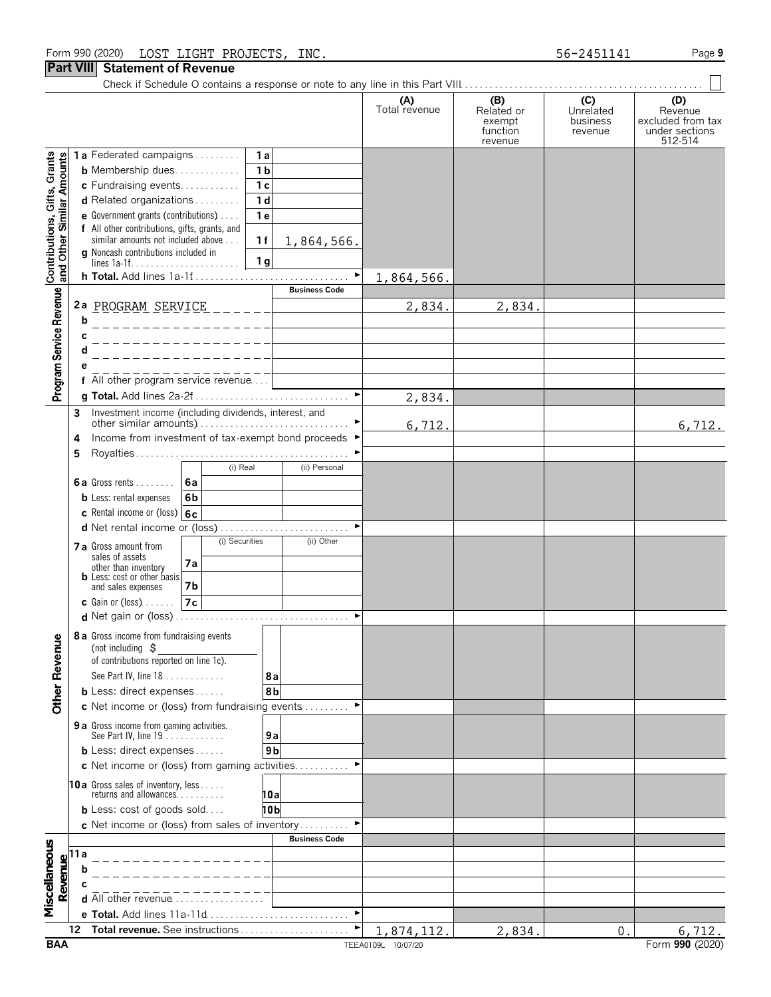Check if Schedule O contains a response or note to any line in this Part VIII.

|                                                           |                                                                                                                                  |                                                                                                                            |                                                                                                                                      |                       | (A)<br>Total revenue             | (B)<br>Related or<br>exempt<br>function<br>revenue | (C)<br>Unrelated<br>business<br>revenue | (D)<br>Revenue<br>excluded from tax<br>under sections<br>512-514 |
|-----------------------------------------------------------|----------------------------------------------------------------------------------------------------------------------------------|----------------------------------------------------------------------------------------------------------------------------|--------------------------------------------------------------------------------------------------------------------------------------|-----------------------|----------------------------------|----------------------------------------------------|-----------------------------------------|------------------------------------------------------------------|
|                                                           |                                                                                                                                  | 1a Federated campaigns                                                                                                     | 1a                                                                                                                                   |                       |                                  |                                                    |                                         |                                                                  |
|                                                           |                                                                                                                                  | <b>b</b> Membership dues                                                                                                   | 1 <sub>b</sub>                                                                                                                       |                       |                                  |                                                    |                                         |                                                                  |
|                                                           |                                                                                                                                  | c Fundraising events                                                                                                       | 1 <sub>c</sub>                                                                                                                       |                       |                                  |                                                    |                                         |                                                                  |
|                                                           |                                                                                                                                  | d Related organizations                                                                                                    | 1 <sub>d</sub>                                                                                                                       |                       |                                  |                                                    |                                         |                                                                  |
|                                                           |                                                                                                                                  | <b>e</b> Government grants (contributions) $\ldots$                                                                        | 1 <sub>e</sub>                                                                                                                       |                       |                                  |                                                    |                                         |                                                                  |
| Contributions, Gifts, Grants<br>and Other Similar Amounts |                                                                                                                                  | f All other contributions, gifts, grants, and<br>similar amounts not included above<br>g Noncash contributions included in | 1f                                                                                                                                   | 1,864,566.            |                                  |                                                    |                                         |                                                                  |
|                                                           |                                                                                                                                  |                                                                                                                            | 1 <sub>g</sub>                                                                                                                       | $\blacktriangleright$ |                                  |                                                    |                                         |                                                                  |
|                                                           |                                                                                                                                  |                                                                                                                            |                                                                                                                                      | <b>Business Code</b>  | 1,864,566.                       |                                                    |                                         |                                                                  |
| Program Service Revenue                                   |                                                                                                                                  | 2a PROGRAM SERVICE                                                                                                         |                                                                                                                                      |                       | 2,834.                           | 2,834.                                             |                                         |                                                                  |
|                                                           | b                                                                                                                                |                                                                                                                            | $\frac{1}{2}$                                                                                                                        |                       |                                  |                                                    |                                         |                                                                  |
|                                                           |                                                                                                                                  |                                                                                                                            | $\overline{\phantom{a}}$ . $\overline{\phantom{a}}$ . $\overline{\phantom{a}}$ . $\overline{\phantom{a}}$ . $\overline{\phantom{a}}$ |                       |                                  |                                                    |                                         |                                                                  |
|                                                           |                                                                                                                                  |                                                                                                                            |                                                                                                                                      |                       |                                  |                                                    |                                         |                                                                  |
|                                                           |                                                                                                                                  |                                                                                                                            |                                                                                                                                      |                       |                                  |                                                    |                                         |                                                                  |
|                                                           |                                                                                                                                  | f All other program service revenue                                                                                        |                                                                                                                                      |                       |                                  |                                                    |                                         |                                                                  |
|                                                           |                                                                                                                                  |                                                                                                                            |                                                                                                                                      |                       | 2,834.                           |                                                    |                                         |                                                                  |
|                                                           | 3                                                                                                                                | Investment income (including dividends, interest, and                                                                      |                                                                                                                                      |                       |                                  |                                                    |                                         |                                                                  |
|                                                           |                                                                                                                                  |                                                                                                                            |                                                                                                                                      |                       | 6,712.                           |                                                    |                                         | 6,712.                                                           |
|                                                           | 4                                                                                                                                | Income from investment of tax-exempt bond proceeds ▶                                                                       |                                                                                                                                      |                       |                                  |                                                    |                                         |                                                                  |
|                                                           | 5                                                                                                                                |                                                                                                                            |                                                                                                                                      |                       |                                  |                                                    |                                         |                                                                  |
|                                                           |                                                                                                                                  | 6a                                                                                                                         | (i) Real                                                                                                                             | (ii) Personal         |                                  |                                                    |                                         |                                                                  |
|                                                           |                                                                                                                                  | <b>6a</b> Gross rents $\ldots$<br>6 <sub>b</sub>                                                                           |                                                                                                                                      |                       |                                  |                                                    |                                         |                                                                  |
|                                                           |                                                                                                                                  | <b>b</b> Less: rental expenses<br>c Rental income or (loss) $6c$                                                           |                                                                                                                                      |                       |                                  |                                                    |                                         |                                                                  |
|                                                           |                                                                                                                                  |                                                                                                                            |                                                                                                                                      |                       |                                  |                                                    |                                         |                                                                  |
|                                                           |                                                                                                                                  |                                                                                                                            | (i) Securities                                                                                                                       | (ii) Other            |                                  |                                                    |                                         |                                                                  |
|                                                           |                                                                                                                                  | <b>7 a</b> Gross amount from<br>sales of assets                                                                            |                                                                                                                                      |                       |                                  |                                                    |                                         |                                                                  |
|                                                           |                                                                                                                                  | 7a<br>other than inventory<br><b>b</b> Less: cost or other basis                                                           |                                                                                                                                      |                       |                                  |                                                    |                                         |                                                                  |
|                                                           |                                                                                                                                  | 7b<br>and sales expenses                                                                                                   |                                                                                                                                      |                       |                                  |                                                    |                                         |                                                                  |
|                                                           |                                                                                                                                  | 7c <br><b>c</b> Gain or (loss) $\ldots$                                                                                    |                                                                                                                                      |                       |                                  |                                                    |                                         |                                                                  |
|                                                           |                                                                                                                                  |                                                                                                                            |                                                                                                                                      |                       |                                  |                                                    |                                         |                                                                  |
| ω                                                         |                                                                                                                                  | 8 a Gross income from fundraising events<br>(not including $\zeta$                                                         |                                                                                                                                      |                       |                                  |                                                    |                                         |                                                                  |
|                                                           |                                                                                                                                  | of contributions reported on line 1c).                                                                                     |                                                                                                                                      |                       |                                  |                                                    |                                         |                                                                  |
| Other Revenu                                              |                                                                                                                                  | See Part IV, line 18                                                                                                       | 8а                                                                                                                                   |                       |                                  |                                                    |                                         |                                                                  |
|                                                           |                                                                                                                                  | <b>b</b> Less: direct expenses                                                                                             | 8b                                                                                                                                   |                       |                                  |                                                    |                                         |                                                                  |
|                                                           |                                                                                                                                  | c Net income or (loss) from fundraising events                                                                             |                                                                                                                                      |                       |                                  |                                                    |                                         |                                                                  |
|                                                           |                                                                                                                                  | 9 a Gross income from gaming activities.<br>See Part IV, line 19.                                                          | 9a                                                                                                                                   |                       |                                  |                                                    |                                         |                                                                  |
|                                                           |                                                                                                                                  | <b>b</b> Less: direct expenses                                                                                             | 9 <sub>b</sub>                                                                                                                       |                       |                                  |                                                    |                                         |                                                                  |
|                                                           |                                                                                                                                  | c Net income or (loss) from gaming activities                                                                              |                                                                                                                                      |                       |                                  |                                                    |                                         |                                                                  |
|                                                           |                                                                                                                                  |                                                                                                                            |                                                                                                                                      |                       |                                  |                                                    |                                         |                                                                  |
|                                                           |                                                                                                                                  | 10a Gross sales of inventory, less<br>returns and allowances                                                               | 10a                                                                                                                                  |                       |                                  |                                                    |                                         |                                                                  |
|                                                           |                                                                                                                                  | <b>b</b> Less: cost of goods sold                                                                                          | 10b                                                                                                                                  |                       |                                  |                                                    |                                         |                                                                  |
|                                                           |                                                                                                                                  | c Net income or (loss) from sales of inventory                                                                             |                                                                                                                                      |                       |                                  |                                                    |                                         |                                                                  |
|                                                           |                                                                                                                                  |                                                                                                                            |                                                                                                                                      | <b>Business Code</b>  |                                  |                                                    |                                         |                                                                  |
|                                                           |                                                                                                                                  |                                                                                                                            |                                                                                                                                      |                       |                                  |                                                    |                                         |                                                                  |
|                                                           |                                                                                                                                  |                                                                                                                            |                                                                                                                                      |                       |                                  |                                                    |                                         |                                                                  |
|                                                           | $\begin{array}{c}\n\hline\n\text{Revalue} \\ \hline\n\text{or} \\ \hline\n\text{or} \\ \hline\n\text{or} \\ \hline\n\end{array}$ |                                                                                                                            |                                                                                                                                      |                       |                                  |                                                    |                                         |                                                                  |
| Miscellaneous                                             |                                                                                                                                  | <b>d</b> All other revenue $\ldots \ldots \ldots \ldots \ldots$                                                            |                                                                                                                                      |                       |                                  |                                                    |                                         |                                                                  |
|                                                           |                                                                                                                                  |                                                                                                                            |                                                                                                                                      |                       |                                  |                                                    |                                         |                                                                  |
| <b>BAA</b>                                                | 12                                                                                                                               | Total revenue. See instructions                                                                                            |                                                                                                                                      |                       | 1,874,112.<br>TEEA0109L 10/07/20 | 2,834                                              | 0.                                      | 6,712.<br>Form 990 (2020)                                        |
|                                                           |                                                                                                                                  |                                                                                                                            |                                                                                                                                      |                       |                                  |                                                    |                                         |                                                                  |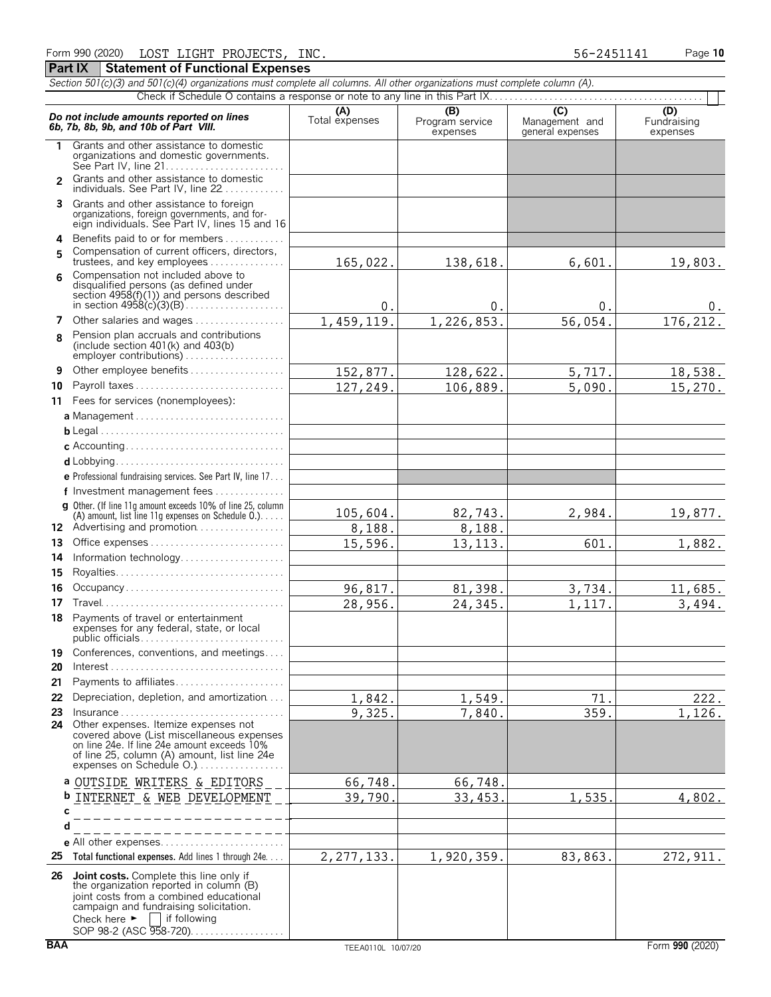**Part IX | Statement of Functional Expenses** 

|               | Section 501(c)(3) and 501(c)(4) organizations must complete all columns. All other organizations must complete column (A).                                                                                    |                       |                                    |                                           |                                |  |  |  |
|---------------|---------------------------------------------------------------------------------------------------------------------------------------------------------------------------------------------------------------|-----------------------|------------------------------------|-------------------------------------------|--------------------------------|--|--|--|
|               | Check if Schedule O contains a response or note to any line in this Part IX                                                                                                                                   |                       |                                    |                                           |                                |  |  |  |
|               | Do not include amounts reported on lines<br>6b, 7b, 8b, 9b, and 10b of Part VIII.                                                                                                                             | (A)<br>Total expenses | (B)<br>Program service<br>expenses | (C)<br>Management and<br>general expenses | (D)<br>Fundraising<br>expenses |  |  |  |
| 1             | Grants and other assistance to domestic<br>organizations and domestic governments.                                                                                                                            |                       |                                    |                                           |                                |  |  |  |
| $\mathcal{P}$ | Grants and other assistance to domestic<br>individuals. See Part IV, line 22                                                                                                                                  |                       |                                    |                                           |                                |  |  |  |
|               | 3 Grants and other assistance to foreign<br>organizations, foreign governments, and for-<br>eign individuals. See Part IV, lines 15 and 16                                                                    |                       |                                    |                                           |                                |  |  |  |
| 5             | 4 Benefits paid to or for members<br>Compensation of current officers, directors,<br>trustees, and key employees                                                                                              | 165,022.              | 138,618.                           | 6,601.                                    | 19,803.                        |  |  |  |
| 6             | Compensation not included above to<br>disqualified persons (as defined under<br>section $4958(f)(1)$ ) and persons described                                                                                  | 0.                    | 0.                                 | 0.                                        |                                |  |  |  |
| 7             | Other salaries and wages                                                                                                                                                                                      | 1,459,119.            | 1,226,853.                         | 56,054.                                   | 0.<br>176,212.                 |  |  |  |
| 8             | Pension plan accruals and contributions<br>(include section $401(k)$ and $403(b)$<br>employer contributions)                                                                                                  |                       |                                    |                                           |                                |  |  |  |
| 9             | Other employee benefits                                                                                                                                                                                       |                       |                                    |                                           |                                |  |  |  |
| 10            | Payroll taxes                                                                                                                                                                                                 | 152,877.              | 128,622.                           | 5,717.                                    | 18,538.                        |  |  |  |
|               | 11 Fees for services (nonemployees):                                                                                                                                                                          | 127,249.              | 106,889.                           | 5,090.                                    | 15,270.                        |  |  |  |
|               |                                                                                                                                                                                                               |                       |                                    |                                           |                                |  |  |  |
|               |                                                                                                                                                                                                               |                       |                                    |                                           |                                |  |  |  |
|               |                                                                                                                                                                                                               |                       |                                    |                                           |                                |  |  |  |
|               |                                                                                                                                                                                                               |                       |                                    |                                           |                                |  |  |  |
|               | e Professional fundraising services. See Part IV, line 17                                                                                                                                                     |                       |                                    |                                           |                                |  |  |  |
|               | f Investment management fees                                                                                                                                                                                  |                       |                                    |                                           |                                |  |  |  |
|               | g Other. (If line 11g amount exceeds 10% of line 25, column                                                                                                                                                   |                       |                                    |                                           |                                |  |  |  |
|               | (A) amount, list line 11g expenses on Schedule 0.)<br>12 Advertising and promotion                                                                                                                            | 105,604.<br>8,188.    | 82,743.<br>8,188.                  | 2,984.                                    | 19,877.                        |  |  |  |
| 13            | Office expenses                                                                                                                                                                                               | 15,596.               | 13, 113.                           | 601.                                      | 1,882.                         |  |  |  |
| 14            | Information technology                                                                                                                                                                                        |                       |                                    |                                           |                                |  |  |  |
| 15            |                                                                                                                                                                                                               |                       |                                    |                                           |                                |  |  |  |
| 16            | Occupancy                                                                                                                                                                                                     | 96,817.               | 81,398.                            | 3,734.                                    | 11,685.                        |  |  |  |
| 17            |                                                                                                                                                                                                               | 28,956.               | 24,345.                            | 1,117.                                    | 3,494.                         |  |  |  |
|               | 18 Payments of travel or entertainment<br>expenses for any federal, state, or local<br>public officials                                                                                                       |                       |                                    |                                           |                                |  |  |  |
| 19<br>20      | Conferences, conventions, and meetings                                                                                                                                                                        |                       |                                    |                                           |                                |  |  |  |
| 21            | Payments to affiliates                                                                                                                                                                                        |                       |                                    |                                           |                                |  |  |  |
| 22            | Depreciation, depletion, and amortization                                                                                                                                                                     | 1,842.                | 1,549.                             | 71.                                       | 222.                           |  |  |  |
| 23            | $insurance \ldots \ldots \ldots \ldots \ldots \ldots$                                                                                                                                                         | 9,325.                | 7,840.                             | 359.                                      | 1,126.                         |  |  |  |
| 24            | Other expenses. Itemize expenses not<br>covered above (List miscellaneous expenses<br>on line 24e. If line 24e amount exceeds 10%<br>of line 25, column (A) amount, list line 24e<br>expenses on Schedule O.) |                       |                                    |                                           |                                |  |  |  |
|               | a OUTSIDE WRITERS & EDITORS                                                                                                                                                                                   | 66,748.               | 66,748                             |                                           |                                |  |  |  |
|               | <b>b</b> INTERNET & WEB DEVELOPMENT                                                                                                                                                                           | 39,790.               | 33, 453.                           | 1,535                                     | 4,802.                         |  |  |  |
| с             |                                                                                                                                                                                                               |                       |                                    |                                           |                                |  |  |  |
| d             |                                                                                                                                                                                                               |                       |                                    |                                           |                                |  |  |  |
|               |                                                                                                                                                                                                               |                       |                                    |                                           |                                |  |  |  |
| 25            | Total functional expenses. Add lines 1 through 24e.                                                                                                                                                           | 2, 277, 133.          | 1,920,359.                         | 83,863.                                   | 272, 911.                      |  |  |  |
| 26            | <b>Joint costs.</b> Complete this line only if<br>the organization reported in column (B)<br>joint costs from a combined educational<br>campaign and fundraising solicitation.                                |                       |                                    |                                           |                                |  |  |  |

Check here  $\blacktriangleright$  | if following

SOP 98-2 (ASC 958-720). . . . . . . . . . . . . . . . .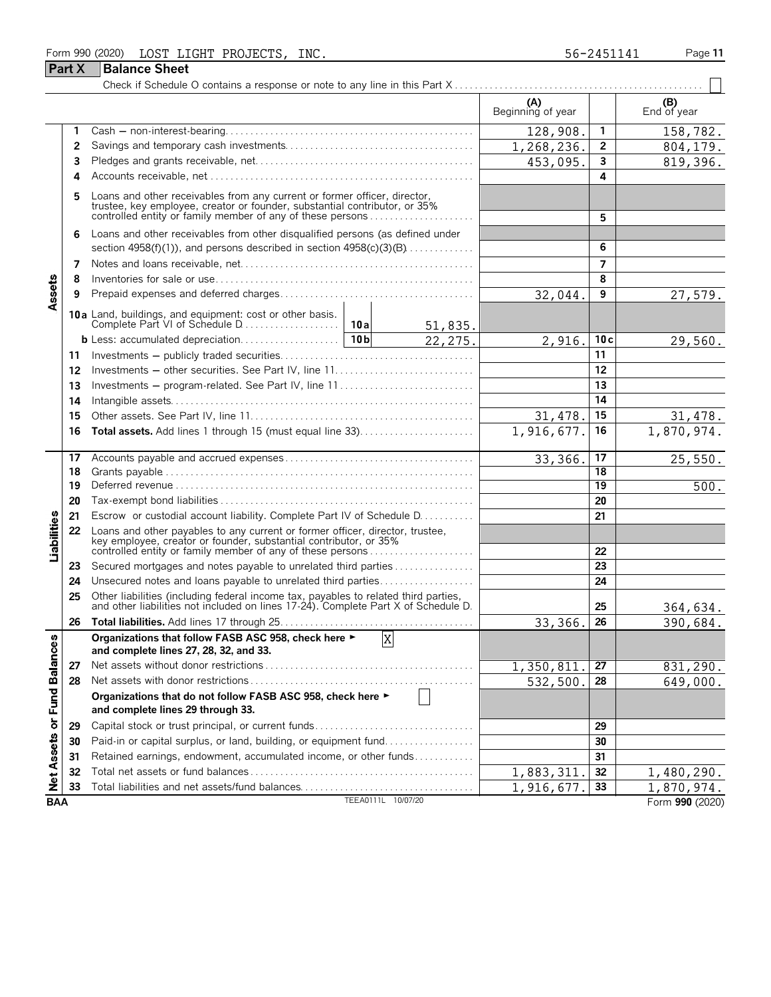| Form 990 (2020) | LOST<br>LIGHT        | PROJECTS. | INC. | 56-2451141 | Page 11 |
|-----------------|----------------------|-----------|------|------------|---------|
| <b>Part X</b>   | <b>Balance Sheet</b> |           |      |            |         |

|                            |    |                                                                                                                                                                                                                    |            |                         | (A)<br>Beginning of year |                 | (B)<br>End of year |
|----------------------------|----|--------------------------------------------------------------------------------------------------------------------------------------------------------------------------------------------------------------------|------------|-------------------------|--------------------------|-----------------|--------------------|
|                            | 1  |                                                                                                                                                                                                                    |            |                         | 128,908.                 | $\mathbf{1}$    | 158,782.           |
|                            | 2  |                                                                                                                                                                                                                    |            |                         | 1,268,236.               | $\overline{2}$  | 804, 179.          |
|                            | 3  |                                                                                                                                                                                                                    |            | 453,095.                | 3                        | 819,396.        |                    |
|                            | 4  |                                                                                                                                                                                                                    |            |                         |                          | 4               |                    |
|                            | 5  | Loans and other receivables from any current or former officer, director, trustee, key employee, creator or founder, substantial contributor, or 35%<br>controlled entity or family member of any of these persons |            | 5                       |                          |                 |                    |
|                            | 6  | Loans and other receivables from other disqualified persons (as defined under                                                                                                                                      |            |                         |                          |                 |                    |
|                            |    | section 4958(f)(1)), and persons described in section $4958(c)(3)(B)$                                                                                                                                              |            |                         |                          | 6               |                    |
|                            | 7  |                                                                                                                                                                                                                    |            |                         |                          | $\overline{7}$  |                    |
|                            | 8  |                                                                                                                                                                                                                    |            |                         |                          | 8               |                    |
| Assets                     | 9  |                                                                                                                                                                                                                    |            |                         | 32,044.                  | 9               | 27,579.            |
|                            |    |                                                                                                                                                                                                                    |            |                         |                          |                 |                    |
|                            |    |                                                                                                                                                                                                                    |            | 51,835.<br>22,275.      | 2,916.                   | 10c             | 29,560.            |
|                            | 11 |                                                                                                                                                                                                                    |            |                         |                          | 11              |                    |
|                            | 12 |                                                                                                                                                                                                                    |            |                         |                          | 12              |                    |
|                            | 13 | Investments – program-related. See Part IV, line 11                                                                                                                                                                |            |                         |                          | 13              |                    |
|                            | 14 |                                                                                                                                                                                                                    |            |                         |                          | 14              |                    |
|                            | 15 |                                                                                                                                                                                                                    |            |                         | 31,478                   | 15              | 31,478.            |
|                            | 16 | Total assets. Add lines 1 through 15 (must equal line 33)                                                                                                                                                          | 1,916,677. | 16                      | 1,870,974.               |                 |                    |
|                            |    |                                                                                                                                                                                                                    |            |                         |                          |                 |                    |
|                            | 17 |                                                                                                                                                                                                                    |            |                         | 33,366.                  | 17              | 25,550.            |
|                            | 18 |                                                                                                                                                                                                                    |            |                         |                          | 18              |                    |
|                            | 19 |                                                                                                                                                                                                                    |            |                         |                          | $\overline{19}$ | $\overline{500}$ . |
|                            | 20 |                                                                                                                                                                                                                    |            |                         |                          | 20              |                    |
|                            | 21 | Escrow or custodial account liability. Complete Part IV of Schedule D.                                                                                                                                             |            |                         |                          | 21              |                    |
| Liabilities                | 22 | Loans and other payables to any current or former officer, director, trustee,<br>key employee, creator or founder, substantial contributor, or 35%<br>controlled entity or family member of any of these persons   |            |                         |                          | 22              |                    |
|                            | 23 | Secured mortgages and notes payable to unrelated third parties                                                                                                                                                     |            |                         |                          | 23              |                    |
|                            | 24 | Unsecured notes and loans payable to unrelated third parties                                                                                                                                                       |            |                         |                          | 24              |                    |
|                            | 25 | Other liabilities (including federal income tax, payables to related third parties, and other liabilities not included on lines 17-24). Complete Part X of Schedule D.                                             |            |                         |                          | 25              | 364,634.           |
|                            | 26 |                                                                                                                                                                                                                    |            |                         | 33,366.                  | 26              | 390,684.           |
| ω                          |    | Organizations that follow FASB ASC 958, check here ►                                                                                                                                                               |            | $\overline{\mathbf{X}}$ |                          |                 |                    |
|                            |    | and complete lines 27, 28, 32, and 33.                                                                                                                                                                             |            |                         |                          |                 |                    |
|                            | 27 |                                                                                                                                                                                                                    |            |                         | 1,350,811                | 27              | 831,290.           |
|                            | 28 |                                                                                                                                                                                                                    |            |                         | 532,500.                 | 28              | 649,000.           |
| Net Assets or Fund Balance |    | Organizations that do not follow FASB ASC 958, check here ►<br>and complete lines 29 through 33.                                                                                                                   |            |                         |                          |                 |                    |
|                            | 29 | Capital stock or trust principal, or current funds                                                                                                                                                                 |            |                         |                          | 29              |                    |
|                            | 30 | Paid-in or capital surplus, or land, building, or equipment fund                                                                                                                                                   |            |                         |                          | 30              |                    |
|                            | 31 | Retained earnings, endowment, accumulated income, or other funds                                                                                                                                                   |            |                         |                          | 31              |                    |
|                            | 32 |                                                                                                                                                                                                                    |            |                         | 1,883,311                | 32              | 1,480,290.         |
|                            | 33 | Total liabilities and net assets/fund balances                                                                                                                                                                     |            |                         | 1,916,677.               | 33              | 1,870,974.         |
| <b>BAA</b>                 |    |                                                                                                                                                                                                                    |            | TEEA0111L 10/07/20      |                          |                 | Form 990 (2020)    |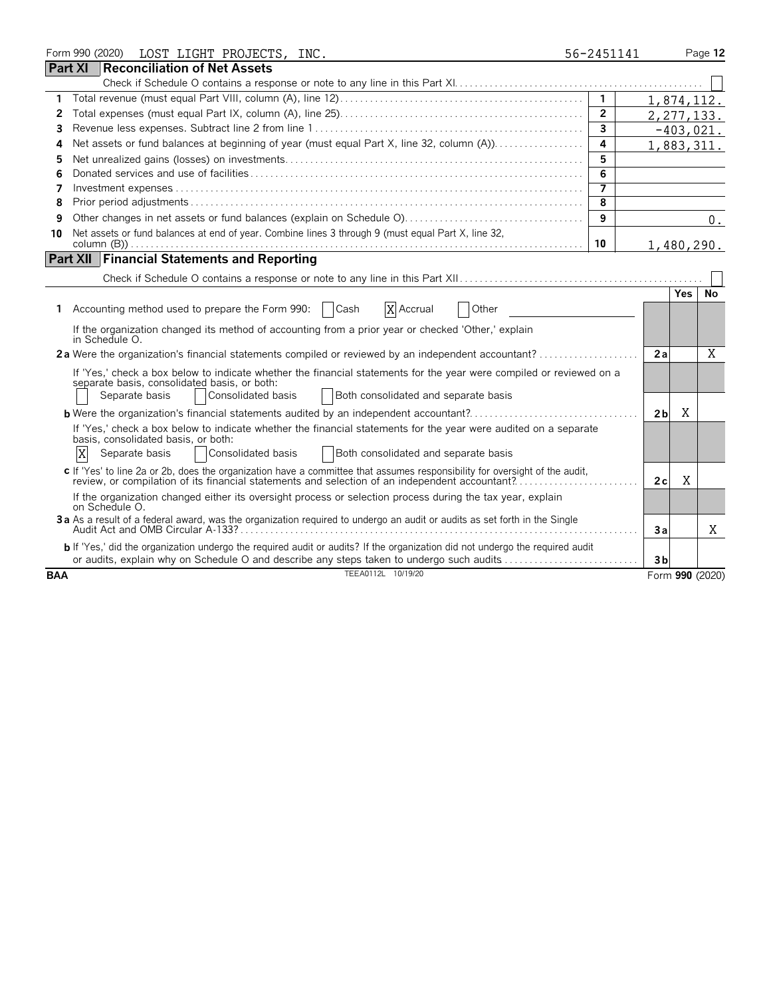|            | Form 990 (2020)<br>LOST LIGHT PROJECTS, INC.                                                                                                                                                                                                         | 56-2451141     |                |            | Page 12         |
|------------|------------------------------------------------------------------------------------------------------------------------------------------------------------------------------------------------------------------------------------------------------|----------------|----------------|------------|-----------------|
|            | Part XI<br>Reconciliation of Net Assets                                                                                                                                                                                                              |                |                |            |                 |
|            |                                                                                                                                                                                                                                                      |                |                |            |                 |
| 1.         |                                                                                                                                                                                                                                                      | $\overline{1}$ | 1,874,112.     |            |                 |
| 2          |                                                                                                                                                                                                                                                      | $\overline{2}$ |                |            | 2, 277, 133.    |
| 3          |                                                                                                                                                                                                                                                      | $\overline{3}$ |                |            | $-403,021.$     |
| 4          | Net assets or fund balances at beginning of year (must equal Part X, line 32, column (A))                                                                                                                                                            | 4              |                |            | 1,883,311.      |
| 5          |                                                                                                                                                                                                                                                      | 5              |                |            |                 |
| 6          |                                                                                                                                                                                                                                                      | $\overline{6}$ |                |            |                 |
| 7          |                                                                                                                                                                                                                                                      |                |                |            |                 |
| 8          |                                                                                                                                                                                                                                                      | 8              |                |            |                 |
| 9          |                                                                                                                                                                                                                                                      | 9              |                |            | 0.              |
| 10         | Net assets or fund balances at end of year. Combine lines 3 through 9 (must equal Part X, line 32,                                                                                                                                                   | 10             |                |            | 1,480,290.      |
|            | <b>Financial Statements and Reporting</b><br><b>Part XII</b>                                                                                                                                                                                         |                |                |            |                 |
|            |                                                                                                                                                                                                                                                      |                |                |            |                 |
|            |                                                                                                                                                                                                                                                      |                |                | <b>Yes</b> | No              |
| 1.         | Accounting method used to prepare the Form 990:<br>Cash<br>X Accrual<br>Other                                                                                                                                                                        |                |                |            |                 |
|            | If the organization changed its method of accounting from a prior year or checked 'Other,' explain<br>in Schedule O.                                                                                                                                 |                |                |            |                 |
|            | 2a Were the organization's financial statements compiled or reviewed by an independent accountant?                                                                                                                                                   |                | 2a             |            | X               |
|            | If 'Yes,' check a box below to indicate whether the financial statements for the year were compiled or reviewed on a<br>separate basis, consolidated basis, or both:<br>Consolidated basis<br>Both consolidated and separate basis<br>Separate basis |                |                |            |                 |
|            | <b>b</b> Were the organization's financial statements audited by an independent accountant?                                                                                                                                                          |                | 2 <sub>b</sub> | Χ          |                 |
|            | If 'Yes,' check a box below to indicate whether the financial statements for the year were audited on a separate<br>basis, consolidated basis, or both:<br>Χ<br>Consolidated basis<br>Both consolidated and separate basis<br>Separate basis         |                |                |            |                 |
|            | c If 'Yes' to line 2a or 2b, does the organization have a committee that assumes responsibility for oversight of the audit,<br>review, or compilation of its financial statements and selection of an independent accountant?                        |                | 2c             | X          |                 |
|            | If the organization changed either its oversight process or selection process during the tax year, explain<br>on Schedule O.                                                                                                                         |                |                |            |                 |
|            | 3a As a result of a federal award, was the organization required to undergo an audit or audits as set forth in the Single                                                                                                                            |                | 3a             |            | X               |
|            | b If 'Yes,' did the organization undergo the required audit or audits? If the organization did not undergo the required audit<br>or audits, explain why on Schedule O and describe any steps taken to undergo such audits                            |                | 3 <sub>b</sub> |            |                 |
| <b>BAA</b> | TEEA0112L 10/19/20                                                                                                                                                                                                                                   |                |                |            | Form 990 (2020) |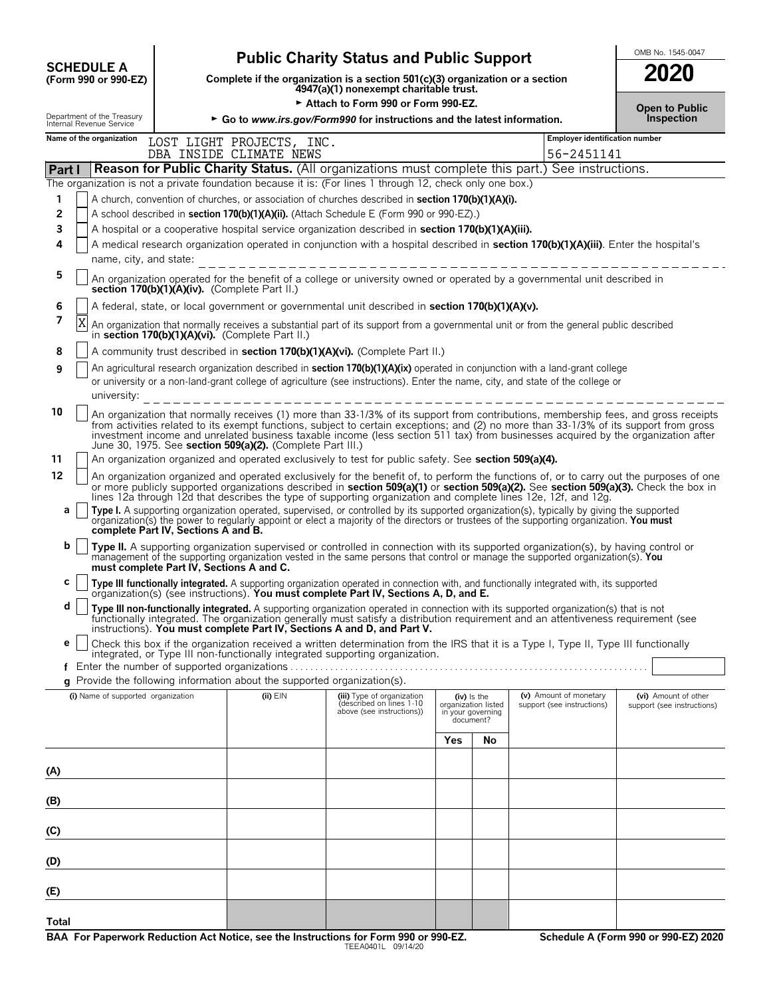| <b>SCHEDULE A</b>                      |  |
|----------------------------------------|--|
| $T_{\rm CMB}$ 000 $_{\rm C}$ 000 $E$ 7 |  |

# **OMB No. 1545-0047**<br>
Complete if the organization is a section 501(c)(3) organization or a section<br> **SCOLE A**<br> **SCOLE A**<br> **SCOLE A**<br> **SCOLE A**<br> **SCOLE A**<br> **SCOLE A**<br> **SCOLE A**<br> **SCOLE A**<br> **SCOLE A**<br> **SCOLE A**<br> **SCOLE A**<br>

**COMPOSCHEDULE A**<br>(Form 990 or 990-EZ) Complete if the organization is a section 501(c)(3) organization or a section<br>4947(a)(1) nonexempt charitable trust.

|        |                                                                                    |                                               | Attach to Form 990 or Form 990-EZ.                                       | <b>Open to Public</b><br>Inspection                                                                                                                                                                                                                                                                                                                                                                                |     |                                                                        |                                                      |                                                    |
|--------|------------------------------------------------------------------------------------|-----------------------------------------------|--------------------------------------------------------------------------|--------------------------------------------------------------------------------------------------------------------------------------------------------------------------------------------------------------------------------------------------------------------------------------------------------------------------------------------------------------------------------------------------------------------|-----|------------------------------------------------------------------------|------------------------------------------------------|----------------------------------------------------|
|        | Department of the Treasury<br>Internal Revenue Service<br>Name of the organization |                                               |                                                                          | ► Go to www.irs.gov/Form990 for instructions and the latest information.                                                                                                                                                                                                                                                                                                                                           |     |                                                                        | Employer identification number                       |                                                    |
|        |                                                                                    |                                               | LOST LIGHT PROJECTS, INC.<br>DBA INSIDE CLIMATE NEWS                     |                                                                                                                                                                                                                                                                                                                                                                                                                    |     |                                                                        | 56-2451141                                           |                                                    |
| Part I |                                                                                    |                                               |                                                                          | <b>Reason for Public Charity Status.</b> (All organizations must complete this part.) See instructions.                                                                                                                                                                                                                                                                                                            |     |                                                                        |                                                      |                                                    |
|        |                                                                                    |                                               |                                                                          | The organization is not a private foundation because it is: (For lines 1 through 12, check only one box.)                                                                                                                                                                                                                                                                                                          |     |                                                                        |                                                      |                                                    |
| 1      |                                                                                    |                                               |                                                                          | A church, convention of churches, or association of churches described in section 170(b)(1)(A)(i).                                                                                                                                                                                                                                                                                                                 |     |                                                                        |                                                      |                                                    |
| 2      |                                                                                    |                                               |                                                                          | A school described in section 170(b)(1)(A)(ii). (Attach Schedule E (Form 990 or 990-EZ).)                                                                                                                                                                                                                                                                                                                          |     |                                                                        |                                                      |                                                    |
| 3      |                                                                                    |                                               |                                                                          | A hospital or a cooperative hospital service organization described in section 170(b)(1)(A)(iii).                                                                                                                                                                                                                                                                                                                  |     |                                                                        |                                                      |                                                    |
| 4      | name, city, and state:                                                             |                                               |                                                                          | A medical research organization operated in conjunction with a hospital described in section 170(b)(1)(A)(iii). Enter the hospital's                                                                                                                                                                                                                                                                               |     |                                                                        |                                                      |                                                    |
| 5      |                                                                                    | section 170(b)(1)(A)(iv). (Complete Part II.) |                                                                          | An organization operated for the benefit of a college or university owned or operated by a governmental unit described in                                                                                                                                                                                                                                                                                          |     |                                                                        |                                                      |                                                    |
| 6      |                                                                                    |                                               |                                                                          | A federal, state, or local government or governmental unit described in section 170(b)(1)(A)(v).                                                                                                                                                                                                                                                                                                                   |     |                                                                        |                                                      |                                                    |
| 7      | Χ                                                                                  |                                               | in section 170(b)(1)(A)(vi). (Complete Part II.)                         | An organization that normally receives a substantial part of its support from a governmental unit or from the general public described                                                                                                                                                                                                                                                                             |     |                                                                        |                                                      |                                                    |
| 8      |                                                                                    |                                               |                                                                          | A community trust described in section 170(b)(1)(A)(vi). (Complete Part II.)                                                                                                                                                                                                                                                                                                                                       |     |                                                                        |                                                      |                                                    |
| 9      | university:                                                                        |                                               |                                                                          | An agricultural research organization described in <b>section 170(b)(1)(A)(ix)</b> operated in conjunction with a land-grant college<br>or university or a non-land-grant college of agriculture (see instructions). Enter the name, city, and state of the college or                                                                                                                                             |     |                                                                        |                                                      |                                                    |
| 10     |                                                                                    |                                               |                                                                          |                                                                                                                                                                                                                                                                                                                                                                                                                    |     |                                                                        |                                                      |                                                    |
|        |                                                                                    |                                               | June 30, 1975. See section 509(a)(2). (Complete Part III.)               | An organization that normally receives (1) more than 33-1/3% of its support from contributions, membership fees, and gross receipts<br>from activities related to its exempt functions, subject to certain exceptions; and (2) no more than 33-1/3% of its support from gross<br>investment income and unrelated business taxable income (less section 511 tax) from businesses acquired by the organization after |     |                                                                        |                                                      |                                                    |
| 11     |                                                                                    |                                               |                                                                          | An organization organized and operated exclusively to test for public safety. See section 509(a)(4).                                                                                                                                                                                                                                                                                                               |     |                                                                        |                                                      |                                                    |
| 12     |                                                                                    |                                               |                                                                          | An organization organized and operated exclusively for the benefit of, to perform the functions of, or to carry out the purposes of one<br>or more publicly supported organizations described in section 509(a)(1) or section 509(a)(2). See section 509(a)(3). Check the box in<br>lines 12a through 12d that describes the type of supporting organization and complete lines 12e, 12f, and 12g.                 |     |                                                                        |                                                      |                                                    |
| а      |                                                                                    | complete Part IV, Sections A and B.           |                                                                          | Type I. A supporting organization operated, supervised, or controlled by its supported organization(s), typically by giving the supported organization(s) the power to regularly appoint or elect a majority of the directors                                                                                                                                                                                      |     |                                                                        |                                                      |                                                    |
| b      |                                                                                    | must complete Part IV, Sections A and C.      |                                                                          | Type II. A supporting organization supervised or controlled in connection with its supported organization(s), by having control or<br>management of the supporting organization vested in the same persons that control or manage the supported organization(s). You                                                                                                                                               |     |                                                                        |                                                      |                                                    |
| С      |                                                                                    |                                               |                                                                          | Type III functionally integrated. A supporting organization operated in connection with, and functionally integrated with, its supported organization(s) (see instructions). You must complete Part IV, Sections A, D, and E.                                                                                                                                                                                      |     |                                                                        |                                                      |                                                    |
| d      |                                                                                    |                                               |                                                                          | Type III non-functionally integrated. A supporting organization operated in connection with its supported organization(s) that is not<br>functionally integrated. The organization generally must satisfy a distribution requirement and an attentiveness requirement (see<br>instructions). You must complete Part IV, Sections A and D, and Part V.                                                              |     |                                                                        |                                                      |                                                    |
| е      |                                                                                    |                                               |                                                                          | Check this box if the organization received a written determination from the IRS that it is a Type I, Type II, Type III functionally                                                                                                                                                                                                                                                                               |     |                                                                        |                                                      |                                                    |
|        |                                                                                    |                                               | Enter the number of supported organizations                              | integrated, or Type III non-functionally integrated supporting organization.                                                                                                                                                                                                                                                                                                                                       |     |                                                                        |                                                      |                                                    |
|        |                                                                                    |                                               | g Provide the following information about the supported organization(s). |                                                                                                                                                                                                                                                                                                                                                                                                                    |     |                                                                        |                                                      |                                                    |
|        | (i) Name of supported organization                                                 |                                               | $(ii)$ $EIN$                                                             | (iii) Type of organization<br>described on lines 1-10<br>above (see instructions))                                                                                                                                                                                                                                                                                                                                 |     | $(iv)$ is the<br>organization listed<br>in your governing<br>document? | (v) Amount of monetary<br>support (see instructions) | (vi) Amount of other<br>support (see instructions) |
|        |                                                                                    |                                               |                                                                          |                                                                                                                                                                                                                                                                                                                                                                                                                    | Yes | No                                                                     |                                                      |                                                    |
| (A)    |                                                                                    |                                               |                                                                          |                                                                                                                                                                                                                                                                                                                                                                                                                    |     |                                                                        |                                                      |                                                    |
| (B)    |                                                                                    |                                               |                                                                          |                                                                                                                                                                                                                                                                                                                                                                                                                    |     |                                                                        |                                                      |                                                    |
| (C)    |                                                                                    |                                               |                                                                          |                                                                                                                                                                                                                                                                                                                                                                                                                    |     |                                                                        |                                                      |                                                    |
| (D)    |                                                                                    |                                               |                                                                          |                                                                                                                                                                                                                                                                                                                                                                                                                    |     |                                                                        |                                                      |                                                    |
| (E)    |                                                                                    |                                               |                                                                          |                                                                                                                                                                                                                                                                                                                                                                                                                    |     |                                                                        |                                                      |                                                    |
| Total  |                                                                                    |                                               |                                                                          |                                                                                                                                                                                                                                                                                                                                                                                                                    |     |                                                                        |                                                      |                                                    |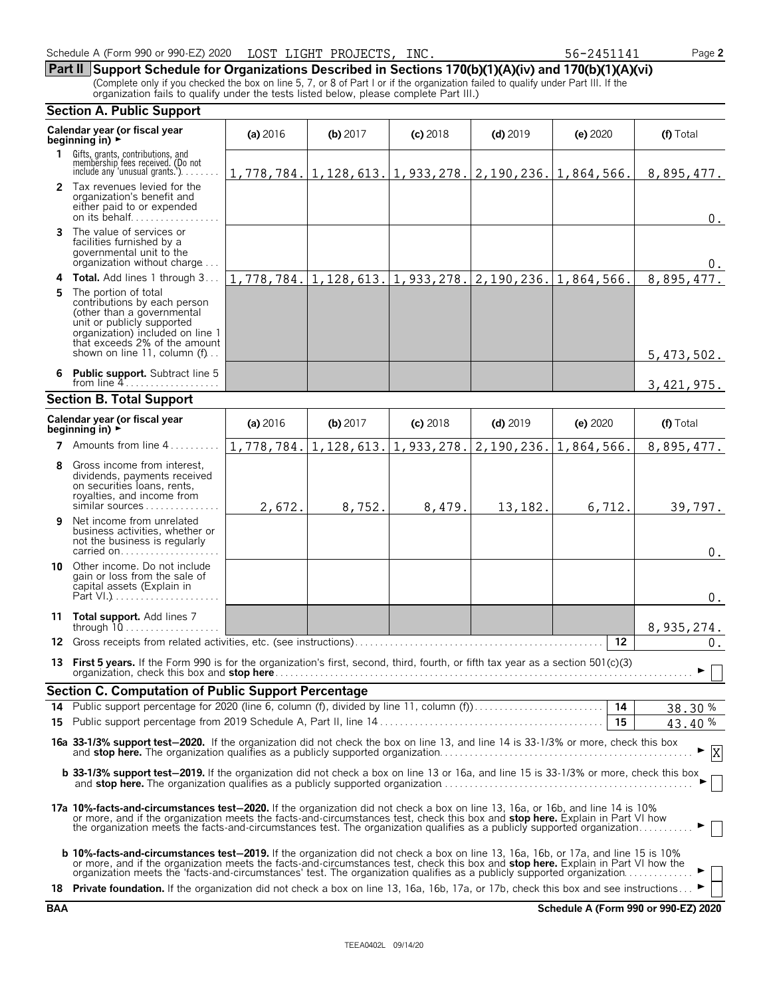| Schedule A (Form 990 or 990-EZ) 2020<br>LOST LIGHT PROJECTS, | INC. | 56-2451141 | Page 2 |
|--------------------------------------------------------------|------|------------|--------|
|--------------------------------------------------------------|------|------------|--------|

**Part II Support Schedule for Organizations Described in Sections 170(b)(1)(A)(iv) and 170(b)(1)(A)(vi)** (Complete only if you checked the box on line 5, 7, or 8 of Part I or if the organization failed to qualify under Part III. If the organization fails to qualify under the tests listed below, please complete Part III.)

|    | <b>Section A. Public Support</b>                                                                                                                                                                                                                                                                                                                                                                        |          |            |            |                                                                  |            |            |
|----|---------------------------------------------------------------------------------------------------------------------------------------------------------------------------------------------------------------------------------------------------------------------------------------------------------------------------------------------------------------------------------------------------------|----------|------------|------------|------------------------------------------------------------------|------------|------------|
|    | Calendar year (or fiscal year<br>beginning in) $\rightarrow$                                                                                                                                                                                                                                                                                                                                            | (a) 2016 | (b) $2017$ | $(c)$ 2018 | $(d)$ 2019                                                       | $(e)$ 2020 | (f) Total  |
| 1. | Gifts, grants, contributions, and<br>membership fees received. (Do not<br>include any 'unusual grants.'). $\ldots$ .                                                                                                                                                                                                                                                                                    |          |            |            | $1,778,784.$   1,128,613.  1,933,278.  2,190,236.  1,864,566.    |            | 8,895,477. |
|    | 2 Tax revenues levied for the<br>organization's benefit and<br>either paid to or expended<br>on its behalf                                                                                                                                                                                                                                                                                              |          |            |            |                                                                  |            | $0$ .      |
|    | 3 The value of services or<br>facilities furnished by a<br>governmental unit to the<br>organization without charge                                                                                                                                                                                                                                                                                      |          |            |            |                                                                  |            | υ.         |
|    | 4 Total. Add lines 1 through 3                                                                                                                                                                                                                                                                                                                                                                          |          |            |            | 1, 778, 784. 1, 128, 613. 1, 933, 278. 2, 190, 236. 1, 864, 566. |            | 8,895,477. |
| 5  | The portion of total<br>contributions by each person<br>(other than a governmental<br>unit or publicly supported<br>organization) included on line 1<br>that exceeds 2% of the amount<br>shown on line 11, column (f)                                                                                                                                                                                   |          |            |            |                                                                  |            | 5,473,502. |
|    | 6 Public support. Subtract line 5<br>from line $4$                                                                                                                                                                                                                                                                                                                                                      |          |            |            |                                                                  |            | 3,421,975. |
|    | <b>Section B. Total Support</b>                                                                                                                                                                                                                                                                                                                                                                         |          |            |            |                                                                  |            |            |
|    | Calendar year (or fiscal year<br>beginning in) $\rightarrow$                                                                                                                                                                                                                                                                                                                                            | (a) 2016 | $(b)$ 2017 | $(c)$ 2018 | $(d)$ 2019                                                       | (e) 2020   | (f) Total  |
|    | 7 Amounts from line 4                                                                                                                                                                                                                                                                                                                                                                                   |          |            |            | 1,778,784. 1,128,613. 1,933,278. 2,190,236. 1,864,566.           |            | 8,895,477. |
|    | Gross income from interest,<br>dividends, payments received<br>on securities loans, rents,<br>royalties, and income from<br>similar sources                                                                                                                                                                                                                                                             | 2,672.   | 8,752.     | 8,479.     | 13,182.                                                          | 6,712.     | 39,797.    |
| 9  | Net income from unrelated<br>business activities, whether or<br>not the business is regularly<br>carried on                                                                                                                                                                                                                                                                                             |          |            |            |                                                                  |            | $0$ .      |
|    | 10 Other income. Do not include<br>gain or loss from the sale of<br>capital assets (Explain in                                                                                                                                                                                                                                                                                                          |          |            |            |                                                                  |            | $0$ .      |
|    | 11 Total support. Add lines 7                                                                                                                                                                                                                                                                                                                                                                           |          |            |            |                                                                  |            | 8,935,274. |
|    | 12 Gross receipts from related activities, etc. (see instructions).                                                                                                                                                                                                                                                                                                                                     |          |            |            |                                                                  | 12         | $0$ .      |
|    | 13 First 5 years. If the Form 990 is for the organization's first, second, third, fourth, or fifth tax year as a section 501(c)(3)                                                                                                                                                                                                                                                                      |          |            |            |                                                                  |            |            |
|    | Section C. Computation of Public Support Percentage                                                                                                                                                                                                                                                                                                                                                     |          |            |            |                                                                  |            |            |
|    |                                                                                                                                                                                                                                                                                                                                                                                                         |          |            |            |                                                                  |            | 38.30%     |
|    |                                                                                                                                                                                                                                                                                                                                                                                                         |          |            |            |                                                                  |            | 43.40%     |
|    | 16a 33-1/3% support test-2020. If the organization did not check the box on line 13, and line 14 is 33-1/3% or more, check this box                                                                                                                                                                                                                                                                     |          |            |            |                                                                  |            |            |
|    | b 33-1/3% support test-2019. If the organization did not check a box on line 13 or 16a, and line 15 is 33-1/3% or more, check this box                                                                                                                                                                                                                                                                  |          |            |            |                                                                  |            |            |
|    | 17a 10%-facts-and-circumstances test-2020. If the organization did not check a box on line 13, 16a, or 16b, and line 14 is 10%<br>or more, and if the organization meets the facts-and-circumstances test, check this box and stop here. Explain in Part VI how<br>the organization meets the facts-and-circumstances test. The organization qualifies as a publicly supported organization             |          |            |            |                                                                  |            |            |
|    | <b>b 10%-facts-and-circumstances test-2019.</b> If the organization did not check a box on line 13, 16a, 16b, or 17a, and line 15 is 10%<br>or more, and if the organization meets the facts-and-circumstances test, check this box and stop here. Explain in Part VI how the<br>organization meets the 'facts-and-circumstances' test. The organization qualifies as a publicly supported organization |          |            |            |                                                                  |            |            |
|    | 18 Private foundation. If the organization did not check a box on line 13, 16a, 16b, 17a, or 17b, check this box and see instructions                                                                                                                                                                                                                                                                   |          |            |            |                                                                  |            |            |

**BAA Schedule A (Form 990 or 990-EZ) 2020**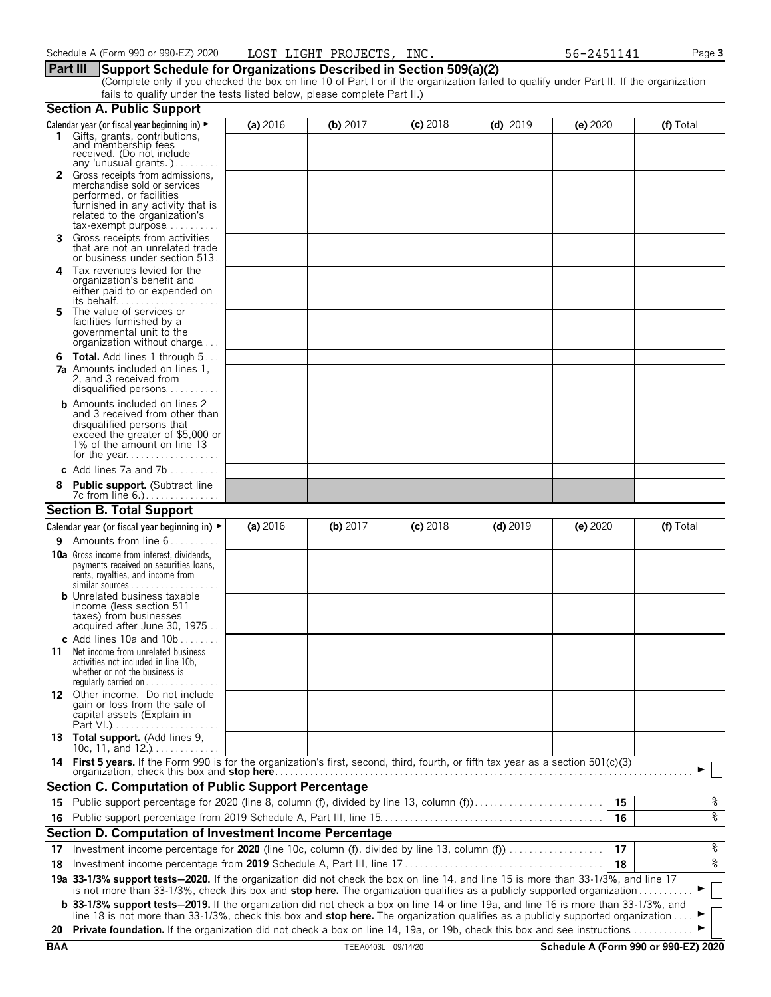### **Part III Support Schedule for Organizations Described in Section 509(a)(2)**

(Complete only if you checked the box on line 10 of Part I or if the organization failed to qualify under Part II. If the organization fails to qualify under the tests listed below, please complete Part II.)

|            | <b>Section A. Public Support</b>                                                                                                                                                                                                                               |          |                    |            |            |                                      |           |
|------------|----------------------------------------------------------------------------------------------------------------------------------------------------------------------------------------------------------------------------------------------------------------|----------|--------------------|------------|------------|--------------------------------------|-----------|
|            | Calendar year (or fiscal year beginning in) ►                                                                                                                                                                                                                  | (a) 2016 | (b) $2017$         | $(c)$ 2018 | $(d)$ 2019 | (e) 2020                             | (f) Total |
|            | 1 Gifts, grants, contributions,<br>and membership fees<br>received. (Do not include<br>any 'unusual grants.')                                                                                                                                                  |          |                    |            |            |                                      |           |
|            | 2 Gross receipts from admissions,<br>merchandise sold or services<br>performed, or facilities<br>furnished in any activity that is<br>related to the organization's<br>$tax\text{-}exempt$ purpose                                                             |          |                    |            |            |                                      |           |
| 3.         | Gross receipts from activities<br>that are not an unrelated trade<br>or business under section 513.                                                                                                                                                            |          |                    |            |            |                                      |           |
| 4          | Tax revenues levied for the<br>organization's benefit and<br>either paid to or expended on                                                                                                                                                                     |          |                    |            |            |                                      |           |
| 5.         | The value of services or<br>facilities furnished by a<br>governmental unit to the<br>organization without charge                                                                                                                                               |          |                    |            |            |                                      |           |
| 6          | <b>Total.</b> Add lines 1 through 5<br><b>7a</b> Amounts included on lines 1,<br>2, and 3 received from<br>disqualified persons                                                                                                                                |          |                    |            |            |                                      |           |
|            | <b>b</b> Amounts included on lines 2<br>and 3 received from other than<br>disqualified persons that<br>exceed the greater of \$5,000 or<br>1% of the amount on line 13                                                                                         |          |                    |            |            |                                      |           |
|            | c Add lines $7a$ and $7b$                                                                                                                                                                                                                                      |          |                    |            |            |                                      |           |
|            | <b>Public support.</b> (Subtract line                                                                                                                                                                                                                          |          |                    |            |            |                                      |           |
|            | <b>Section B. Total Support</b>                                                                                                                                                                                                                                |          |                    |            |            |                                      |           |
|            | Calendar year (or fiscal year beginning in) $\blacktriangleright$                                                                                                                                                                                              | (a) 2016 | (b) 2017           | $(c)$ 2018 | $(d)$ 2019 | (e) 2020                             | (f) Total |
| 9.         | Amounts from line 6                                                                                                                                                                                                                                            |          |                    |            |            |                                      |           |
|            | <b>10a</b> Gross income from interest, dividends,<br>payments received on securities loans,<br>rents, royalties, and income from<br><b>b</b> Unrelated business taxable<br>income (less section 511<br>taxes) from businesses<br>acquired after June 30, 1975  |          |                    |            |            |                                      |           |
|            | c Add lines 10a and $10b$                                                                                                                                                                                                                                      |          |                    |            |            |                                      |           |
| 11         | Net income from unrelated business<br>activities not included in line 10b,<br>whether or not the business is<br>regularly carried on $\dots\dots\dots\dots$                                                                                                    |          |                    |            |            |                                      |           |
|            | 12 Other income. Do not include<br>gain or loss from the sale of<br>capital assets (Explain in                                                                                                                                                                 |          |                    |            |            |                                      |           |
|            | 13 Total support. (Add lines 9,<br>10c, 11, and $12$                                                                                                                                                                                                           |          |                    |            |            |                                      |           |
|            | 14 First 5 years. If the Form 990 is for the organization's first, second, third, fourth, or fifth tax year as a section 501(c)(3)<br>organization, check this box and stop here                                                                               |          |                    |            |            |                                      |           |
|            | <b>Section C. Computation of Public Support Percentage</b>                                                                                                                                                                                                     |          |                    |            |            |                                      |           |
|            | 15 Public support percentage for 2020 (line 8, column (f), divided by line 13, column (f)                                                                                                                                                                      |          |                    |            |            | 15                                   | န့        |
|            |                                                                                                                                                                                                                                                                |          |                    |            |            | 16                                   | ०१०       |
|            | Section D. Computation of Investment Income Percentage                                                                                                                                                                                                         |          |                    |            |            |                                      |           |
| 17         |                                                                                                                                                                                                                                                                |          |                    |            |            | 17                                   | %         |
| 18         |                                                                                                                                                                                                                                                                |          |                    |            |            | 18                                   | ०७        |
|            | 19a 33-1/3% support tests-2020. If the organization did not check the box on line 14, and line 15 is more than 33-1/3%, and line 17<br>is not more than 33-1/3%, check this box and stop here. The organization qualifies as a publicly supported organization |          |                    |            |            |                                      |           |
|            | <b>b</b> 33-1/3% support tests-2019. If the organization did not check a box on line 14 or line 19a, and line 16 is more than 33-1/3%, and                                                                                                                     |          |                    |            |            |                                      |           |
| 20         | line 18 is not more than 33-1/3%, check this box and stop here. The organization qualifies as a publicly supported organization<br>Private foundation. If the organization did not check a box on line 14, 19a, or 19b, check this box and see instructions.   |          |                    |            |            |                                      |           |
| <b>BAA</b> |                                                                                                                                                                                                                                                                |          | TEEA0403L 09/14/20 |            |            | Schedule A (Form 990 or 990-EZ) 2020 |           |
|            |                                                                                                                                                                                                                                                                |          |                    |            |            |                                      |           |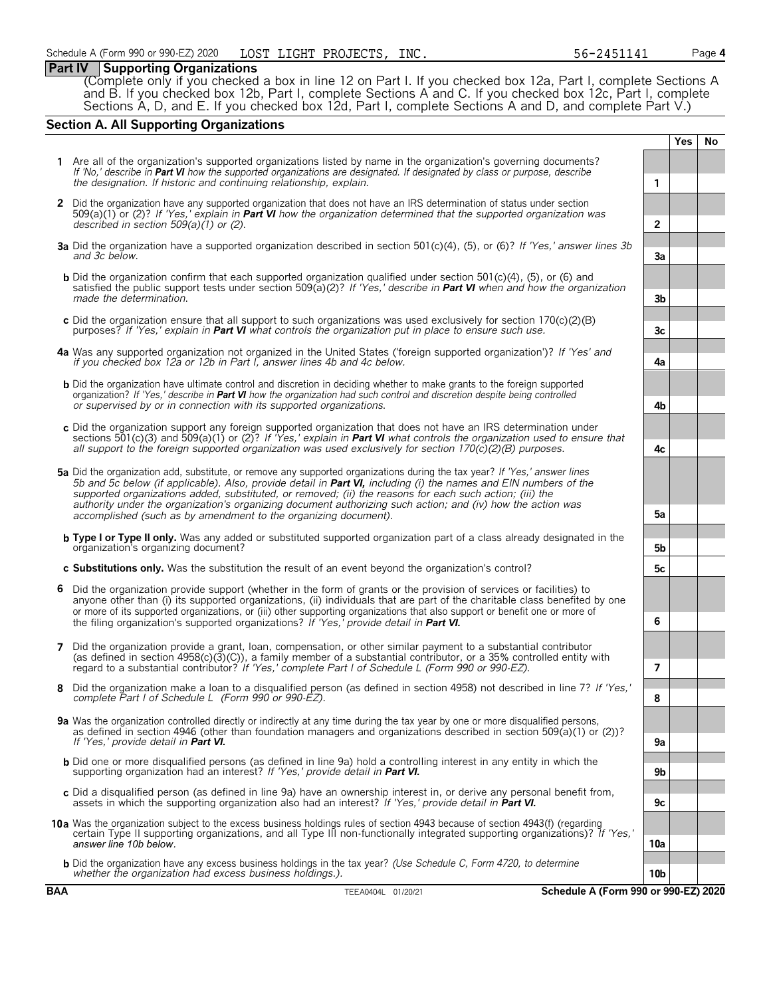# **Part IV Supporting Organizations**

(Complete only if you checked a box in line 12 on Part I. If you checked box 12a, Part I, complete Sections A and B. If you checked box 12b, Part I, complete Sections A and C. If you checked box 12c, Part I, complete Sections A, D, and E. If you checked box 12d, Part I, complete Sections A and D, and complete Part V.)

# **Section A. All Supporting Organizations**

|   |                                                                                                                                                                                                                                                                                                                                                                                                                                                                                                                                                      |                 | <b>Yes</b> | <b>No</b> |
|---|------------------------------------------------------------------------------------------------------------------------------------------------------------------------------------------------------------------------------------------------------------------------------------------------------------------------------------------------------------------------------------------------------------------------------------------------------------------------------------------------------------------------------------------------------|-----------------|------------|-----------|
|   | 1 Are all of the organization's supported organizations listed by name in the organization's governing documents?<br>If 'No,' describe in Part VI how the supported organizations are designated. If designated by class or purpose, describe<br>the designation. If historic and continuing relationship, explain.                                                                                                                                                                                                                                  | 1               |            |           |
|   | 2 Did the organization have any supported organization that does not have an IRS determination of status under section<br>509(a)(1) or (2)? If 'Yes,' explain in <b>Part VI</b> how the organization determined that the supported organization was<br>described in section $509(a)(1)$ or (2).                                                                                                                                                                                                                                                      | $\overline{2}$  |            |           |
|   | 3a Did the organization have a supported organization described in section 501(c)(4), (5), or (6)? If 'Yes,' answer lines 3b<br>and 3c below.                                                                                                                                                                                                                                                                                                                                                                                                        | 3a              |            |           |
|   | <b>b</b> Did the organization confirm that each supported organization qualified under section 501(c)(4), (5), or (6) and<br>satisfied the public support tests under section 509(a)(2)? If 'Yes,' describe in Part VI when and how the organization<br>made the determination.                                                                                                                                                                                                                                                                      | 3 <sub>b</sub>  |            |           |
|   | c Did the organization ensure that all support to such organizations was used exclusively for section $170(c)(2)(B)$<br>purposes? If 'Yes,' explain in <b>Part VI</b> what controls the organization put in place to ensure such use.                                                                                                                                                                                                                                                                                                                | 3c              |            |           |
|   | 4a Was any supported organization not organized in the United States ('foreign supported organization')? If 'Yes' and<br>if you checked box 12a or 12b in Part I, answer lines 4b and 4c below.                                                                                                                                                                                                                                                                                                                                                      | 4a              |            |           |
|   | <b>b</b> Did the organization have ultimate control and discretion in deciding whether to make grants to the foreign supported<br>organization? If 'Yes,' describe in <b>Part VI</b> how the organization had such control and discretion despite being controlled<br>or supervised by or in connection with its supported organizations.                                                                                                                                                                                                            | 4b              |            |           |
|   | c Did the organization support any foreign supported organization that does not have an IRS determination under<br>sections 501(c)(3) and 509(a)(1) or (2)? If 'Yes,' explain in <b>Part VI</b> what controls the organization used to ensure that<br>all support to the foreign supported organization was used exclusively for section $170(c)(2)(B)$ purposes.                                                                                                                                                                                    | 4c              |            |           |
|   | 5a Did the organization add, substitute, or remove any supported organizations during the tax year? If 'Yes,' answer lines<br>5b and 5c below (if applicable). Also, provide detail in <b>Part VI</b> , including (i) the names and EIN numbers of the<br>supported organizations added, substituted, or removed; (ii) the reasons for each such action; (iii) the<br>authority under the organization's organizing document authorizing such action; and (iv) how the action was<br>accomplished (such as by amendment to the organizing document). | 5a              |            |           |
|   | <b>b</b> Type I or Type II only. Was any added or substituted supported organization part of a class already designated in the<br>organization's organizing document?                                                                                                                                                                                                                                                                                                                                                                                | 5b              |            |           |
|   | c Substitutions only. Was the substitution the result of an event beyond the organization's control?                                                                                                                                                                                                                                                                                                                                                                                                                                                 | 5с              |            |           |
| 6 | Did the organization provide support (whether in the form of grants or the provision of services or facilities) to<br>anyone other than (i) its supported organizations, (ii) individuals that are part of the charitable class benefited by one<br>or more of its supported organizations, or (iii) other supporting organizations that also support or benefit one or more of<br>the filing organization's supported organizations? If 'Yes,' provide detail in Part VI.                                                                           | 6               |            |           |
| 7 | Did the organization provide a grant, loan, compensation, or other similar payment to a substantial contributor<br>(as defined in section $4958(c)(3)(c)$ ), a family member of a substantial contributor, or a 35% controlled entity with<br>regard to a substantial contributor? If 'Yes,' complete Part I of Schedule L (Form 990 or 990-EZ).                                                                                                                                                                                                     | 7               |            |           |
| 8 | Did the organization make a loan to a disqualified person (as defined in section 4958) not described in line 7? If 'Yes,'<br>complete Part I of Schedule L (Form 990 or 990-EZ).                                                                                                                                                                                                                                                                                                                                                                     | 8               |            |           |
|   | 9a Was the organization controlled directly or indirectly at any time during the tax year by one or more disqualified persons,<br>as defined in section 4946 (other than foundation managers and organizations described in section 509(a)(1) or (2))?<br>If 'Yes,' provide detail in <b>Part VI.</b>                                                                                                                                                                                                                                                | 9a              |            |           |
|   | <b>b</b> Did one or more disqualified persons (as defined in line 9a) hold a controlling interest in any entity in which the<br>supporting organization had an interest? If 'Yes,' provide detail in Part VI.                                                                                                                                                                                                                                                                                                                                        | 9b              |            |           |
|   | c Did a disqualified person (as defined in line 9a) have an ownership interest in, or derive any personal benefit from,<br>assets in which the supporting organization also had an interest? If 'Yes,' provide detail in <b>Part VI.</b>                                                                                                                                                                                                                                                                                                             | 9c              |            |           |
|   | 10a Was the organization subject to the excess business holdings rules of section 4943 because of section 4943(f) (regarding<br>certain Type II supporting organizations, and all Type III non-functionally integrated supporting organizations)? If 'Yes,'<br>answer line 10b below.                                                                                                                                                                                                                                                                | 10a             |            |           |
|   | <b>b</b> Did the organization have any excess business holdings in the tax year? (Use Schedule C, Form 4720, to determine<br>whether the organization had excess business holdings.).                                                                                                                                                                                                                                                                                                                                                                | 10 <sub>b</sub> |            |           |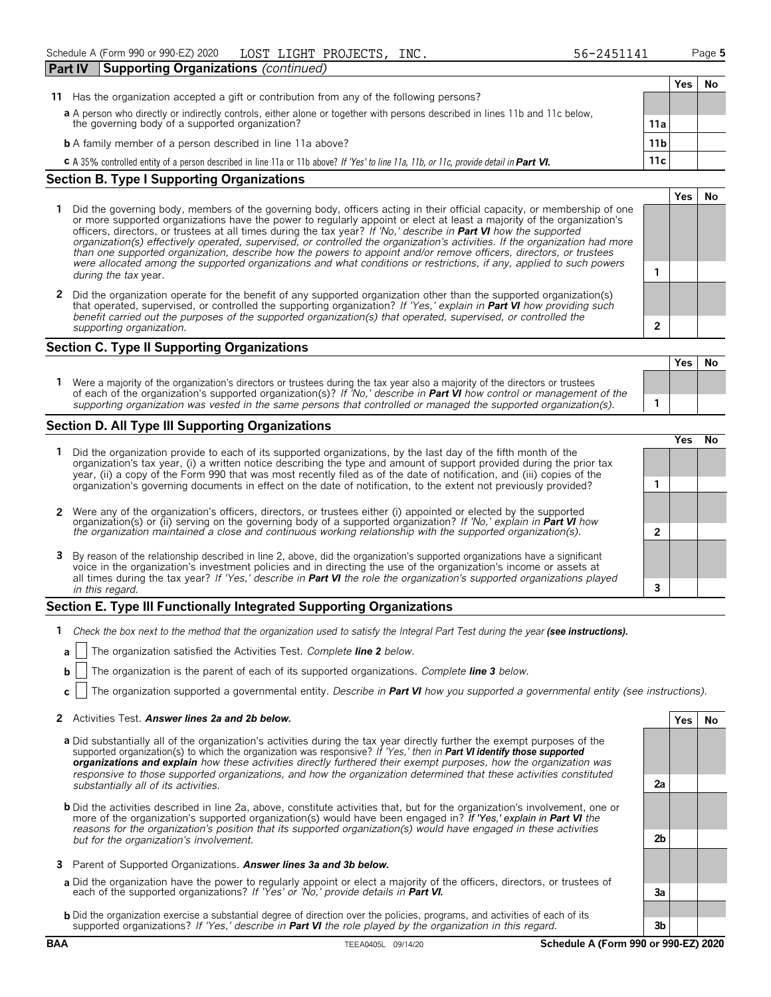| Part IV                                                                                                                     | Supporting Organizations (continued)                                                                                                    |     |     |    |  |  |
|-----------------------------------------------------------------------------------------------------------------------------|-----------------------------------------------------------------------------------------------------------------------------------------|-----|-----|----|--|--|
|                                                                                                                             |                                                                                                                                         |     | Yes | No |  |  |
| 11                                                                                                                          | Has the organization accepted a gift or contribution from any of the following persons?                                                 |     |     |    |  |  |
| a A person who directly or indirectly controls, either alone or together with persons described in lines 11b and 11c below, |                                                                                                                                         |     |     |    |  |  |
|                                                                                                                             | the governing body of a supported organization?                                                                                         | 11a |     |    |  |  |
| <b>b</b> A family member of a person described in line 11a above?<br>11 <sub>b</sub>                                        |                                                                                                                                         |     |     |    |  |  |
|                                                                                                                             | C A 35% controlled entity of a person described in line 11a or 11b above? If 'Yes' to line 11a, 11b, or 11c, provide detail in Part VI. | 11c |     |    |  |  |
| Section R. Tyne   Supporting Organizations                                                                                  |                                                                                                                                         |     |     |    |  |  |

## **Section B. Type I Supporting Organizations**

- **1** Did the governing body, members of the governing body, officers acting in their official capacity, or membership of one or more supported organizations have the power to regularly appoint or elect at least a majority of the organization's officers, directors, or trustees at all times during the tax year? *If 'No,' describe in Part VI how the supported organization(s) effectively operated, supervised, or controlled the organization's activities. If the organization had more than one supported organization, describe how the powers to appoint and/or remove officers, directors, or trustees were allocated among the supported organizations and what conditions or restrictions, if any, applied to such powers* **<sup>1</sup>** *during the tax* year.
- **2** Did the organization operate for the benefit of any supported organization other than the supported organization(s) that operated, supervised, or controlled the supporting organization? *If 'Yes,' explain in Part VI how providing such benefit carried out the purposes of the supported organization(s) that operated, supervised, or controlled the supporting organization.* **2**

# **Section C. Type II Supporting Organizations**

**Yes No 1** Were a majority of the organization's directors or trustees during the tax year also a majority of the directors or trustees of each of the organization's supported organization(s)? *If 'No,' describe in Part VI how control or management of the supporting organization was vested in the same persons that controlled or managed the supported organization(s).* **1**

#### **Section D. All Type III Supporting Organizations**

|                                                                                                                                                                                                                                                                                                                                                                                       | ∕e< |  |
|---------------------------------------------------------------------------------------------------------------------------------------------------------------------------------------------------------------------------------------------------------------------------------------------------------------------------------------------------------------------------------------|-----|--|
| 1 Did the organization provide to each of its supported organizations, by the last day of the fifth month of the<br>organization's tax year, (i) a written notice describing the type and amount of support provided during the prior tax<br>year, (ii) a copy of the Form 990 that was most recently filed as of the date of notification, and (iii) copies of the                   |     |  |
| organization's governing documents in effect on the date of notification, to the extent not previously provided?                                                                                                                                                                                                                                                                      |     |  |
| 2 Were any of the organization's officers, directors, or trustees either (i) appointed or elected by the supported organization(s) or (ii) serving on the governing body of a supported organization? If 'No,' explain in Part                                                                                                                                                        |     |  |
|                                                                                                                                                                                                                                                                                                                                                                                       |     |  |
| 3 By reason of the relationship described in line 2, above, did the organization's supported organizations have a significant<br>voice in the organization's investment policies and in directing the use of the organization's income or assets at<br>all times during the tax year? If 'Yes,' describe in <b>Part VI</b> the role the organization's supported organizations played |     |  |
| in this regard.                                                                                                                                                                                                                                                                                                                                                                       |     |  |

#### **Section E. Type III Functionally Integrated Supporting Organizations**

- **1** *Check the box next to the method that the organization used to satisfy the Integral Part Test during the year (see instructions).* 
	- **a** The organization satisfied the Activities Test. *Complete line 2 below.*
	- **b** The organization is the parent of each of its supported organizations. *Complete line 3 below.*
	- **c** The organization supported a governmental entity. *Describe in Part VI how you supported a governmental entity (see instructions).*

#### **2** Activities Test. *Answer lines 2a and 2b below.* **Yes No**

- **a** Did substantially all of the organization's activities during the tax year directly further the exempt purposes of the supported organization(s) to which the organization was responsive? *If 'Yes,' then in Part VI identify those supported organizations and explain how these activities directly furthered their exempt purposes, how the organization was responsive to those supported organizations, and how the organization determined that these activities constituted substantially all of its activities.* **2a**
- **b** Did the activities described in line 2a, above, constitute activities that, but for the organization's involvement, one or more of the organization's supported organization(s) would have been engaged in? *If 'Yes,' explain in Part VI the reasons for the organization's position that its supported organization(s) would have engaged in these activities but for the organization's involvement.* **2b**
- **3** Parent of Supported Organizations. *Answer lines 3a and 3b below.*
- **a** Did the organization have the power to regularly appoint or elect a majority of the officers, directors, or trustees of each of the supported organizations? *If 'Yes' or 'No,' provide details in Part VI.* **3a**
- **b** Did the organization exercise a substantial degree of direction over the policies, programs, and activities of each of its supported organizations? *If 'Yes,' describe in Part VI the role played by the organization in this regard.* **3b**

**Yes No**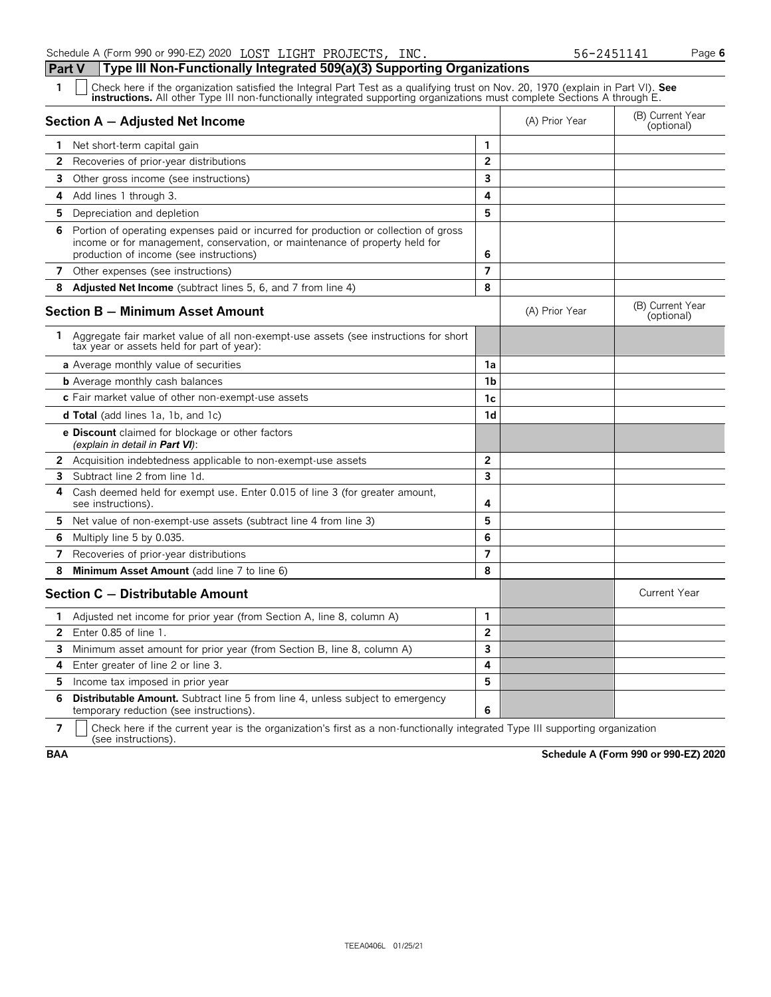Schedule A (Form 990 or 990-EZ) 2020 LOST LIGHT PROJECTS, INC. 56-2451141 Page 6

| Part V         | Type III Non-Functionally Integrated 509(a)(3) Supporting Organizations                                                                                                                                                                                       |                |                                |                                |
|----------------|---------------------------------------------------------------------------------------------------------------------------------------------------------------------------------------------------------------------------------------------------------------|----------------|--------------------------------|--------------------------------|
| 1              | Check here if the organization satisfied the Integral Part Test as a qualifying trust on Nov. 20, 1970 (explain in Part VI). See<br>instructions. All other Type III non-functionally integrated supporting organizations must complete Sections A through E. |                |                                |                                |
|                | Section A - Adjusted Net Income                                                                                                                                                                                                                               | (A) Prior Year | (B) Current Year<br>(optional) |                                |
| 1.             | Net short-term capital gain                                                                                                                                                                                                                                   | 1              |                                |                                |
| $\mathbf{2}$   | Recoveries of prior-year distributions                                                                                                                                                                                                                        | $\overline{2}$ |                                |                                |
| 3              | Other gross income (see instructions)                                                                                                                                                                                                                         | 3              |                                |                                |
| 4              | Add lines 1 through 3.                                                                                                                                                                                                                                        | 4              |                                |                                |
| 5              | Depreciation and depletion                                                                                                                                                                                                                                    | 5              |                                |                                |
| 6              | Portion of operating expenses paid or incurred for production or collection of gross<br>income or for management, conservation, or maintenance of property held for<br>production of income (see instructions)                                                | 6              |                                |                                |
| 7              | Other expenses (see instructions)                                                                                                                                                                                                                             | $\overline{7}$ |                                |                                |
| 8              | Adjusted Net Income (subtract lines 5, 6, and 7 from line 4)                                                                                                                                                                                                  | 8              |                                |                                |
|                | <b>Section B - Minimum Asset Amount</b>                                                                                                                                                                                                                       |                | (A) Prior Year                 | (B) Current Year<br>(optional) |
|                | 1 Aggregate fair market value of all non-exempt-use assets (see instructions for short<br>tax year or assets held for part of year):                                                                                                                          |                |                                |                                |
|                | a Average monthly value of securities                                                                                                                                                                                                                         | 1a             |                                |                                |
|                | <b>b</b> Average monthly cash balances                                                                                                                                                                                                                        | 1 <sub>b</sub> |                                |                                |
|                | c Fair market value of other non-exempt-use assets                                                                                                                                                                                                            | 1c             |                                |                                |
|                | <b>d Total</b> (add lines 1a, 1b, and 1c)                                                                                                                                                                                                                     | 1d             |                                |                                |
|                | e Discount claimed for blockage or other factors<br>(explain in detail in <b>Part VI</b> ):                                                                                                                                                                   |                |                                |                                |
|                | <b>2</b> Acquisition indebtedness applicable to non-exempt-use assets                                                                                                                                                                                         | $\overline{2}$ |                                |                                |
| 3              | Subtract line 2 from line 1d.                                                                                                                                                                                                                                 | 3              |                                |                                |
| 4              | Cash deemed held for exempt use. Enter 0.015 of line 3 (for greater amount,<br>see instructions).                                                                                                                                                             | 4              |                                |                                |
| 5.             | Net value of non-exempt-use assets (subtract line 4 from line 3)                                                                                                                                                                                              | 5              |                                |                                |
| 6              | Multiply line 5 by 0.035.                                                                                                                                                                                                                                     | 6              |                                |                                |
| 7              | Recoveries of prior-year distributions                                                                                                                                                                                                                        | 7              |                                |                                |
| 8              | Minimum Asset Amount (add line 7 to line 6)                                                                                                                                                                                                                   | 8              |                                |                                |
|                | Section C - Distributable Amount                                                                                                                                                                                                                              |                |                                | <b>Current Year</b>            |
| 1              | Adjusted net income for prior year (from Section A, line 8, column A)                                                                                                                                                                                         | 1              |                                |                                |
| $\overline{2}$ | Enter 0.85 of line 1.                                                                                                                                                                                                                                         | $\overline{2}$ |                                |                                |
| 3              | Minimum asset amount for prior year (from Section B, line 8, column A)                                                                                                                                                                                        | 3              |                                |                                |
| 4              | Enter greater of line 2 or line 3.                                                                                                                                                                                                                            | 4              |                                |                                |
| 5              | Income tax imposed in prior year                                                                                                                                                                                                                              | 5              |                                |                                |
| 6              | <b>Distributable Amount.</b> Subtract line 5 from line 4, unless subject to emergency<br>temporary reduction (see instructions).                                                                                                                              | 6              |                                |                                |

**7**  $\mid$  Check here if the current year is the organization's first as a non-functionally integrated Type III supporting organization (see instructions).

**BAA Schedule A (Form 990 or 990-EZ) 2020**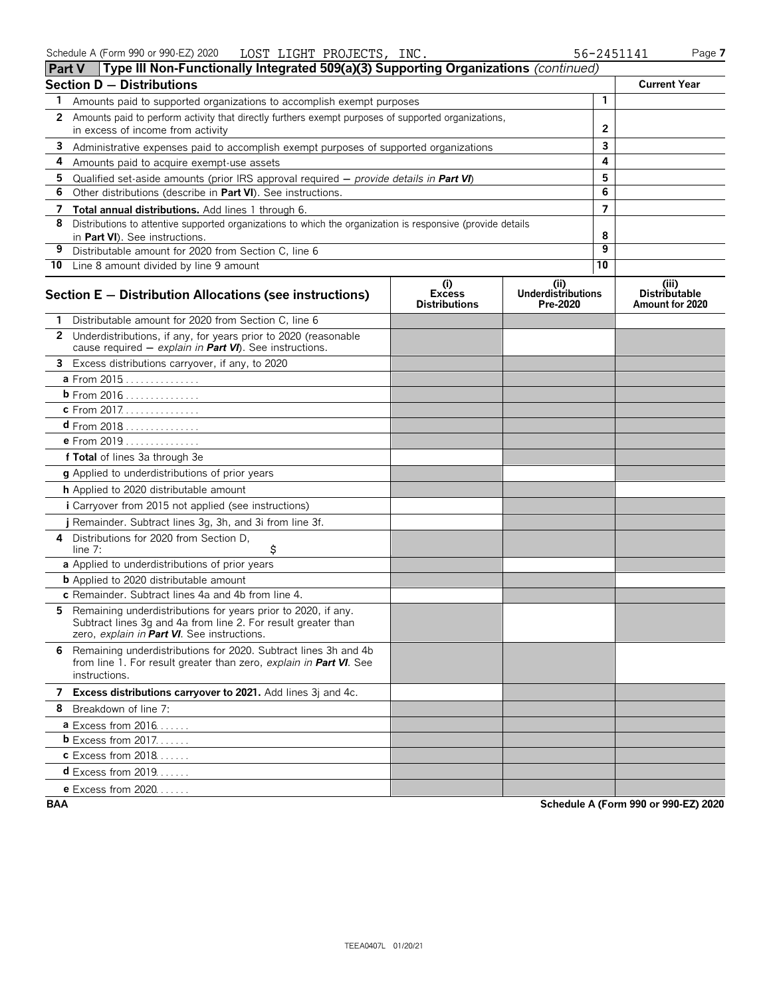| <b>Part V</b> | Type III Non-Functionally Integrated 509(a)(3) Supporting Organizations (continued)                                                                                           |                                              |                                               |                 |                                                  |
|---------------|-------------------------------------------------------------------------------------------------------------------------------------------------------------------------------|----------------------------------------------|-----------------------------------------------|-----------------|--------------------------------------------------|
|               | <b>Section D - Distributions</b>                                                                                                                                              |                                              |                                               |                 | <b>Current Year</b>                              |
| 1             | Amounts paid to supported organizations to accomplish exempt purposes                                                                                                         |                                              |                                               | $\mathbf{1}$    |                                                  |
| 2             | Amounts paid to perform activity that directly furthers exempt purposes of supported organizations,                                                                           |                                              |                                               |                 |                                                  |
|               | in excess of income from activity                                                                                                                                             |                                              | $\mathbf{2}$                                  |                 |                                                  |
| 3             | Administrative expenses paid to accomplish exempt purposes of supported organizations                                                                                         |                                              |                                               | 3               |                                                  |
| 4             | Amounts paid to acquire exempt-use assets                                                                                                                                     |                                              |                                               | 4               |                                                  |
| 5             | Qualified set-aside amounts (prior IRS approval required $-$ provide details in <b>Part VI</b> )                                                                              |                                              |                                               | 5               |                                                  |
| 6             | Other distributions (describe in Part VI). See instructions.                                                                                                                  |                                              |                                               | 6               |                                                  |
| 7             | Total annual distributions. Add lines 1 through 6.                                                                                                                            |                                              |                                               | $\overline{7}$  |                                                  |
| 8             | Distributions to attentive supported organizations to which the organization is responsive (provide details<br>in Part VI). See instructions.                                 |                                              |                                               | 8               |                                                  |
| 9             | Distributable amount for 2020 from Section C, line 6                                                                                                                          |                                              |                                               | 9               |                                                  |
|               | 10 Line 8 amount divided by line 9 amount                                                                                                                                     |                                              |                                               | $\overline{10}$ |                                                  |
|               | Section E - Distribution Allocations (see instructions)                                                                                                                       | (i)<br><b>Excess</b><br><b>Distributions</b> | (ii)<br><b>Underdistributions</b><br>Pre-2020 |                 | (iii)<br><b>Distributable</b><br>Amount for 2020 |
|               | Distributable amount for 2020 from Section C, line 6                                                                                                                          |                                              |                                               |                 |                                                  |
|               | 2 Underdistributions, if any, for years prior to 2020 (reasonable<br>cause required - explain in Part VI). See instructions.                                                  |                                              |                                               |                 |                                                  |
|               | 3 Excess distributions carryover, if any, to 2020                                                                                                                             |                                              |                                               |                 |                                                  |
|               | a From 2015                                                                                                                                                                   |                                              |                                               |                 |                                                  |
|               | <b>b</b> From 2016                                                                                                                                                            |                                              |                                               |                 |                                                  |
|               | c From 2017.                                                                                                                                                                  |                                              |                                               |                 |                                                  |
|               | $d$ From 2018                                                                                                                                                                 |                                              |                                               |                 |                                                  |
|               | <b>e</b> From 2019                                                                                                                                                            |                                              |                                               |                 |                                                  |
|               | f Total of lines 3a through 3e                                                                                                                                                |                                              |                                               |                 |                                                  |
|               | g Applied to underdistributions of prior years                                                                                                                                |                                              |                                               |                 |                                                  |
|               | h Applied to 2020 distributable amount                                                                                                                                        |                                              |                                               |                 |                                                  |
|               | <i>i</i> Carryover from 2015 not applied (see instructions)                                                                                                                   |                                              |                                               |                 |                                                  |
|               | j Remainder. Subtract lines 3g, 3h, and 3i from line 3f.                                                                                                                      |                                              |                                               |                 |                                                  |
| 4             | Distributions for 2020 from Section D.<br>\$<br>line $7:$                                                                                                                     |                                              |                                               |                 |                                                  |
|               | a Applied to underdistributions of prior years                                                                                                                                |                                              |                                               |                 |                                                  |
|               | <b>b</b> Applied to 2020 distributable amount                                                                                                                                 |                                              |                                               |                 |                                                  |
|               | c Remainder. Subtract lines 4a and 4b from line 4.                                                                                                                            |                                              |                                               |                 |                                                  |
| 5.            | Remaining underdistributions for years prior to 2020, if any.<br>Subtract lines 3g and 4a from line 2. For result greater than<br>zero, explain in Part VI. See instructions. |                                              |                                               |                 |                                                  |
|               | 6 Remaining underdistributions for 2020. Subtract lines 3h and 4b<br>from line 1. For result greater than zero, explain in Part VI. See<br>instructions.                      |                                              |                                               |                 |                                                  |
|               | 7 Excess distributions carryover to 2021. Add lines 3j and 4c.                                                                                                                |                                              |                                               |                 |                                                  |
|               | 8 Breakdown of line 7:                                                                                                                                                        |                                              |                                               |                 |                                                  |
|               | <b>a</b> Excess from $2016$                                                                                                                                                   |                                              |                                               |                 |                                                  |
|               | $b$ Excess from 2017.                                                                                                                                                         |                                              |                                               |                 |                                                  |
|               | <b>c</b> Excess from 2018                                                                                                                                                     |                                              |                                               |                 |                                                  |
|               | $d$ Excess from 2019.                                                                                                                                                         |                                              |                                               |                 |                                                  |
|               | <b>e</b> Excess from 2020                                                                                                                                                     |                                              |                                               |                 |                                                  |

**BAA Schedule A (Form 990 or 990-EZ) 2020**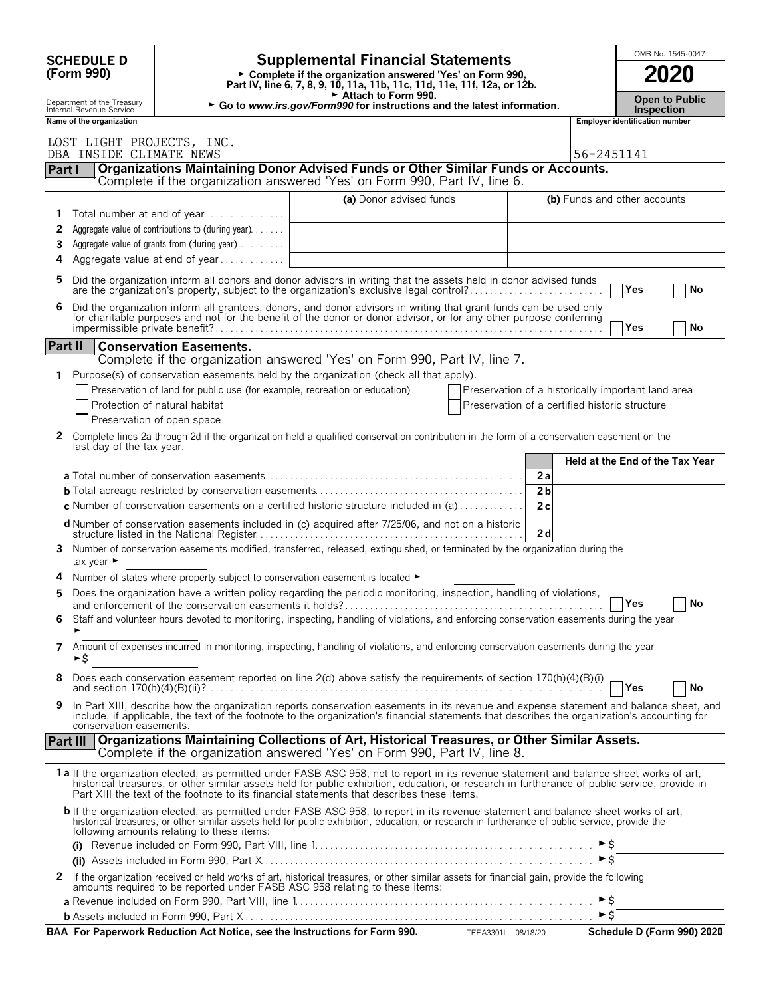| <b>Supplemental Financial Statements</b><br><b>SCHEDULE D</b><br>Complete if the organization answered 'Yes' on Form 990, |                                                                                                   |                                                                                                                                                                                                                                                                                                                                                                                        |                                                    |                              |                                |                                 |  |
|---------------------------------------------------------------------------------------------------------------------------|---------------------------------------------------------------------------------------------------|----------------------------------------------------------------------------------------------------------------------------------------------------------------------------------------------------------------------------------------------------------------------------------------------------------------------------------------------------------------------------------------|----------------------------------------------------|------------------------------|--------------------------------|---------------------------------|--|
| (Form 990)                                                                                                                |                                                                                                   | 2020                                                                                                                                                                                                                                                                                                                                                                                   |                                                    |                              |                                |                                 |  |
| Department of the Treasury<br>Internal Revenue Service                                                                    | <b>Inspection</b>                                                                                 | <b>Open to Public</b>                                                                                                                                                                                                                                                                                                                                                                  |                                                    |                              |                                |                                 |  |
| Name of the organization                                                                                                  |                                                                                                   |                                                                                                                                                                                                                                                                                                                                                                                        |                                                    |                              | Employer identification number |                                 |  |
| LOST LIGHT PROJECTS, INC.<br>DBA INSIDE CLIMATE NEWS                                                                      |                                                                                                   |                                                                                                                                                                                                                                                                                                                                                                                        |                                                    | 56-2451141                   |                                |                                 |  |
| Part I                                                                                                                    |                                                                                                   | Organizations Maintaining Donor Advised Funds or Other Similar Funds or Accounts.<br>Complete if the organization answered 'Yes' on Form 990, Part IV, line 6.                                                                                                                                                                                                                         |                                                    |                              |                                |                                 |  |
|                                                                                                                           |                                                                                                   | (a) Donor advised funds                                                                                                                                                                                                                                                                                                                                                                |                                                    | (b) Funds and other accounts |                                |                                 |  |
| 1.                                                                                                                        |                                                                                                   |                                                                                                                                                                                                                                                                                                                                                                                        |                                                    |                              |                                |                                 |  |
| 2                                                                                                                         | Aggregate value of contributions to (during year)<br>Aggregate value of grants from (during year) |                                                                                                                                                                                                                                                                                                                                                                                        |                                                    |                              |                                |                                 |  |
| 3<br>4                                                                                                                    | Aggregate value at end of year                                                                    |                                                                                                                                                                                                                                                                                                                                                                                        |                                                    |                              |                                |                                 |  |
| 5.                                                                                                                        |                                                                                                   | Did the organization inform all donors and donor advisors in writing that the assets held in donor advised funds                                                                                                                                                                                                                                                                       |                                                    |                              |                                |                                 |  |
|                                                                                                                           |                                                                                                   | are the organization's property, subject to the organization's exclusive legal control?                                                                                                                                                                                                                                                                                                |                                                    |                              | Yes                            | No                              |  |
|                                                                                                                           |                                                                                                   | Did the organization inform all grantees, donors, and donor advisors in writing that grant funds can be used only<br>for charitable purposes and not for the benefit of the donor or donor advisor, or for any other purpose conf                                                                                                                                                      |                                                    |                              | <b>Yes</b>                     | No                              |  |
| Part II                                                                                                                   | <b>Conservation Easements.</b>                                                                    | Complete if the organization answered 'Yes' on Form 990, Part IV, line 7.                                                                                                                                                                                                                                                                                                              |                                                    |                              |                                |                                 |  |
|                                                                                                                           |                                                                                                   | 1 Purpose(s) of conservation easements held by the organization (check all that apply).                                                                                                                                                                                                                                                                                                |                                                    |                              |                                |                                 |  |
|                                                                                                                           | Preservation of land for public use (for example, recreation or education)                        |                                                                                                                                                                                                                                                                                                                                                                                        | Preservation of a historically important land area |                              |                                |                                 |  |
|                                                                                                                           | Protection of natural habitat                                                                     |                                                                                                                                                                                                                                                                                                                                                                                        | Preservation of a certified historic structure     |                              |                                |                                 |  |
|                                                                                                                           | Preservation of open space                                                                        |                                                                                                                                                                                                                                                                                                                                                                                        |                                                    |                              |                                |                                 |  |
|                                                                                                                           |                                                                                                   | 2 Complete lines 2a through 2d if the organization held a qualified conservation contribution in the form of a conservation easement on the                                                                                                                                                                                                                                            |                                                    |                              |                                |                                 |  |
| last day of the tax year.                                                                                                 |                                                                                                   |                                                                                                                                                                                                                                                                                                                                                                                        |                                                    |                              |                                | Held at the End of the Tax Year |  |
|                                                                                                                           |                                                                                                   |                                                                                                                                                                                                                                                                                                                                                                                        | 2a                                                 |                              |                                |                                 |  |
|                                                                                                                           |                                                                                                   |                                                                                                                                                                                                                                                                                                                                                                                        | 2 <sub>b</sub>                                     |                              |                                |                                 |  |
|                                                                                                                           |                                                                                                   | <b>c</b> Number of conservation easements on a certified historic structure included in (a) $\dots \dots \dots$                                                                                                                                                                                                                                                                        | 2c                                                 |                              |                                |                                 |  |
|                                                                                                                           |                                                                                                   | d Number of conservation easements included in (c) acquired after 7/25/06, and not on a historic                                                                                                                                                                                                                                                                                       | 2d                                                 |                              |                                |                                 |  |
| tax year $\blacktriangleright$                                                                                            |                                                                                                   | 3 Number of conservation easements modified, transferred, released, extinguished, or terminated by the organization during the                                                                                                                                                                                                                                                         |                                                    |                              |                                |                                 |  |
|                                                                                                                           | Number of states where property subject to conservation easement is located ▶                     |                                                                                                                                                                                                                                                                                                                                                                                        |                                                    |                              |                                |                                 |  |
| 5                                                                                                                         |                                                                                                   | Does the organization have a written policy regarding the periodic monitoring, inspection, handling of violations,                                                                                                                                                                                                                                                                     |                                                    |                              |                                |                                 |  |
|                                                                                                                           |                                                                                                   | Staff and volunteer hours devoted to monitoring, inspecting, handling of violations, and enforcing conservation easements during the year                                                                                                                                                                                                                                              |                                                    |                              | Yes                            | No                              |  |
| ►\$                                                                                                                       |                                                                                                   | 7 Amount of expenses incurred in monitoring, inspecting, handling of violations, and enforcing conservation easements during the year                                                                                                                                                                                                                                                  |                                                    |                              |                                |                                 |  |
| 8                                                                                                                         |                                                                                                   | Does each conservation easement reported on line 2(d) above satisfy the requirements of section 170(h)(4)(B)(i)                                                                                                                                                                                                                                                                        |                                                    |                              | <b>Yes</b>                     | No                              |  |
| 9<br>conservation easements.                                                                                              |                                                                                                   | In Part XIII, describe how the organization reports conservation easements in its revenue and expense statement and balance sheet, and<br>include, if applicable, the text of the footnote to the organization's financial statements that describes the organization's accounting for                                                                                                 |                                                    |                              |                                |                                 |  |
|                                                                                                                           |                                                                                                   | Part III   Organizations Maintaining Collections of Art, Historical Treasures, or Other Similar Assets.<br>Complete if the organization answered 'Yes' on Form 990, Part IV, line 8.                                                                                                                                                                                                   |                                                    |                              |                                |                                 |  |
|                                                                                                                           |                                                                                                   | 1a If the organization elected, as permitted under FASB ASC 958, not to report in its revenue statement and balance sheet works of art,<br>historical treasures, or other similar assets held for public exhibition, education, or research in furtherance of public service, provide in<br>Part XIII the text of the footnote to its financial statements that describes these items. |                                                    |                              |                                |                                 |  |
|                                                                                                                           | following amounts relating to these items:                                                        | b If the organization elected, as permitted under FASB ASC 958, to report in its revenue statement and balance sheet works of art, historical treasures, or other similar assets held for public exhibition, education, or res                                                                                                                                                         |                                                    |                              |                                |                                 |  |
|                                                                                                                           |                                                                                                   |                                                                                                                                                                                                                                                                                                                                                                                        |                                                    |                              |                                |                                 |  |
|                                                                                                                           |                                                                                                   |                                                                                                                                                                                                                                                                                                                                                                                        |                                                    |                              |                                |                                 |  |
| 2                                                                                                                         |                                                                                                   | If the organization received or held works of art, historical treasures, or other similar assets for financial gain, provide the following<br>amounts required to be reported under FASB ASC 958 relating to these items:                                                                                                                                                              |                                                    |                              |                                |                                 |  |
|                                                                                                                           |                                                                                                   |                                                                                                                                                                                                                                                                                                                                                                                        |                                                    | $\triangleright$ \$          |                                |                                 |  |
|                                                                                                                           |                                                                                                   |                                                                                                                                                                                                                                                                                                                                                                                        |                                                    |                              |                                |                                 |  |

| Schedule D (Form 990) 2020<br>BAA For Paperwork Reduction Act Notice, see the Instructions for Form 990.<br>TEEA3301L 08/18/20 |
|--------------------------------------------------------------------------------------------------------------------------------|
|--------------------------------------------------------------------------------------------------------------------------------|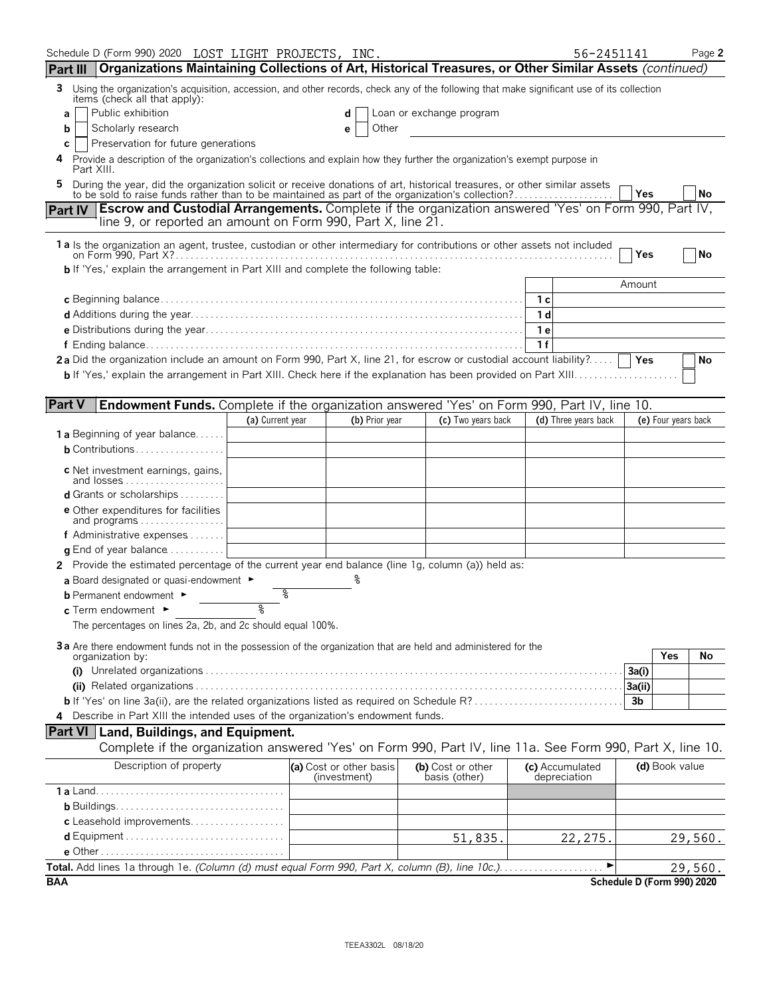|                  | Schedule D (Form 990) 2020 LOST LIGHT PROJECTS, INC.                                                                                                                                                                      |                  |                                         |                                    |     | 56-2451141                      |                            |     | Page 2    |
|------------------|---------------------------------------------------------------------------------------------------------------------------------------------------------------------------------------------------------------------------|------------------|-----------------------------------------|------------------------------------|-----|---------------------------------|----------------------------|-----|-----------|
| <b>Part III</b>  | Organizations Maintaining Collections of Art, Historical Treasures, or Other Similar Assets (continued)                                                                                                                   |                  |                                         |                                    |     |                                 |                            |     |           |
| 3                | Using the organization's acquisition, accession, and other records, check any of the following that make significant use of its collection                                                                                |                  |                                         |                                    |     |                                 |                            |     |           |
| a                | items (check all that apply):<br>Public exhibition                                                                                                                                                                        |                  | d                                       | Loan or exchange program           |     |                                 |                            |     |           |
| b                | Scholarly research                                                                                                                                                                                                        |                  | Other<br>е                              |                                    |     |                                 |                            |     |           |
| С                | Preservation for future generations                                                                                                                                                                                       |                  |                                         |                                    |     |                                 |                            |     |           |
| Part XIII.       | Provide a description of the organization's collections and explain how they further the organization's exempt purpose in                                                                                                 |                  |                                         |                                    |     |                                 |                            |     |           |
|                  | During the year, did the organization solicit or receive donations of art, historical treasures, or other similar assets to be sold to raise funds rather than to be maintained as part of the organization's collection? |                  |                                         |                                    |     |                                 | Yes                        |     | <b>No</b> |
| <b>Part IV</b>   | <b>Escrow and Custodial Arrangements.</b> Complete if the organization answered 'Yes' on Form 990, Part IV,                                                                                                               |                  |                                         |                                    |     |                                 |                            |     |           |
|                  | line 9, or reported an amount on Form 990, Part X, line 21.                                                                                                                                                               |                  |                                         |                                    |     |                                 |                            |     |           |
|                  | 1a Is the organization an agent, trustee, custodian or other intermediary for contributions or other assets not included                                                                                                  |                  |                                         |                                    |     |                                 |                            |     |           |
|                  |                                                                                                                                                                                                                           |                  |                                         |                                    |     |                                 | Yes                        |     | No        |
|                  | <b>b</b> If 'Yes,' explain the arrangement in Part XIII and complete the following table:                                                                                                                                 |                  |                                         |                                    |     |                                 | Amount                     |     |           |
|                  |                                                                                                                                                                                                                           |                  |                                         |                                    | 1 с |                                 |                            |     |           |
|                  |                                                                                                                                                                                                                           |                  |                                         |                                    | 1 d |                                 |                            |     |           |
|                  |                                                                                                                                                                                                                           |                  |                                         |                                    | 1 e |                                 |                            |     |           |
|                  |                                                                                                                                                                                                                           |                  |                                         |                                    | 1f  |                                 |                            |     |           |
|                  | 2a Did the organization include an amount on Form 990, Part X, line 21, for escrow or custodial account liability?                                                                                                        |                  |                                         |                                    |     |                                 |                            |     | No        |
|                  |                                                                                                                                                                                                                           |                  |                                         |                                    |     |                                 |                            |     |           |
|                  |                                                                                                                                                                                                                           |                  |                                         |                                    |     |                                 |                            |     |           |
| <b>Part V</b>    | <b>Endowment Funds.</b> Complete if the organization answered 'Yes' on Form 990, Part IV, line 10.                                                                                                                        |                  |                                         |                                    |     |                                 |                            |     |           |
|                  |                                                                                                                                                                                                                           | (a) Current year | (b) Prior year                          | (c) Two years back                 |     | (d) Three years back            | (e) Four years back        |     |           |
|                  | <b>1 a</b> Beginning of year balance<br><b>b</b> Contributions                                                                                                                                                            |                  |                                         |                                    |     |                                 |                            |     |           |
|                  |                                                                                                                                                                                                                           |                  |                                         |                                    |     |                                 |                            |     |           |
|                  | c Net investment earnings, gains,<br>and losses                                                                                                                                                                           |                  |                                         |                                    |     |                                 |                            |     |           |
|                  | <b>d</b> Grants or scholarships $\ldots \ldots \ldots$                                                                                                                                                                    |                  |                                         |                                    |     |                                 |                            |     |           |
|                  | <b>e</b> Other expenditures for facilities                                                                                                                                                                                |                  |                                         |                                    |     |                                 |                            |     |           |
|                  | and programs                                                                                                                                                                                                              |                  |                                         |                                    |     |                                 |                            |     |           |
|                  | <b>f</b> Administrative expenses $\dots$                                                                                                                                                                                  |                  |                                         |                                    |     |                                 |                            |     |           |
|                  | <b>g</b> End of year balance $\ldots$<br>2 Provide the estimated percentage of the current year end balance (line 1g, column (a)) held as:                                                                                |                  |                                         |                                    |     |                                 |                            |     |           |
|                  | a Board designated or quasi-endowment $\blacktriangleright$                                                                                                                                                               |                  |                                         |                                    |     |                                 |                            |     |           |
|                  | <b>b</b> Permanent endowment ►                                                                                                                                                                                            | ిం               |                                         |                                    |     |                                 |                            |     |           |
|                  | c Term endowment ►                                                                                                                                                                                                        | ୭                |                                         |                                    |     |                                 |                            |     |           |
|                  | The percentages on lines 2a, 2b, and 2c should equal 100%.                                                                                                                                                                |                  |                                         |                                    |     |                                 |                            |     |           |
|                  | 3a Are there endowment funds not in the possession of the organization that are held and administered for the                                                                                                             |                  |                                         |                                    |     |                                 |                            |     |           |
| organization by: |                                                                                                                                                                                                                           |                  |                                         |                                    |     |                                 |                            | Yes | No        |
|                  |                                                                                                                                                                                                                           |                  |                                         |                                    |     |                                 | 3a(i)                      |     |           |
|                  |                                                                                                                                                                                                                           |                  |                                         |                                    |     |                                 | 3a(ii)                     |     |           |
|                  | <b>b</b> If 'Yes' on line 3a(ii), are the related organizations listed as required on Schedule R?                                                                                                                         |                  |                                         |                                    |     |                                 | 3b                         |     |           |
|                  | 4 Describe in Part XIII the intended uses of the organization's endowment funds.                                                                                                                                          |                  |                                         |                                    |     |                                 |                            |     |           |
|                  | <b>Part VI</b> Land, Buildings, and Equipment.<br>Complete if the organization answered 'Yes' on Form 990, Part IV, line 11a. See Form 990, Part X, line 10.                                                              |                  |                                         |                                    |     |                                 |                            |     |           |
|                  |                                                                                                                                                                                                                           |                  |                                         |                                    |     |                                 |                            |     |           |
|                  | Description of property                                                                                                                                                                                                   |                  | (a) Cost or other basis<br>(investment) | (b) Cost or other<br>basis (other) |     | (c) Accumulated<br>depreciation | (d) Book value             |     |           |
|                  |                                                                                                                                                                                                                           |                  |                                         |                                    |     |                                 |                            |     |           |
|                  |                                                                                                                                                                                                                           |                  |                                         |                                    |     |                                 |                            |     |           |
|                  | c Leasehold improvements                                                                                                                                                                                                  |                  |                                         |                                    |     |                                 |                            |     |           |
|                  |                                                                                                                                                                                                                           |                  |                                         | 51,835.                            |     | 22,275.                         |                            |     | 29,560.   |
|                  | Total. Add lines 1a through 1e. (Column (d) must equal Form 990, Part X, column (B), line 10c.)                                                                                                                           |                  |                                         |                                    |     | ►                               |                            |     |           |
| <b>BAA</b>       |                                                                                                                                                                                                                           |                  |                                         |                                    |     |                                 | Schedule D (Form 990) 2020 |     | 29,560.   |
|                  |                                                                                                                                                                                                                           |                  |                                         |                                    |     |                                 |                            |     |           |

TEEA3302L 08/18/20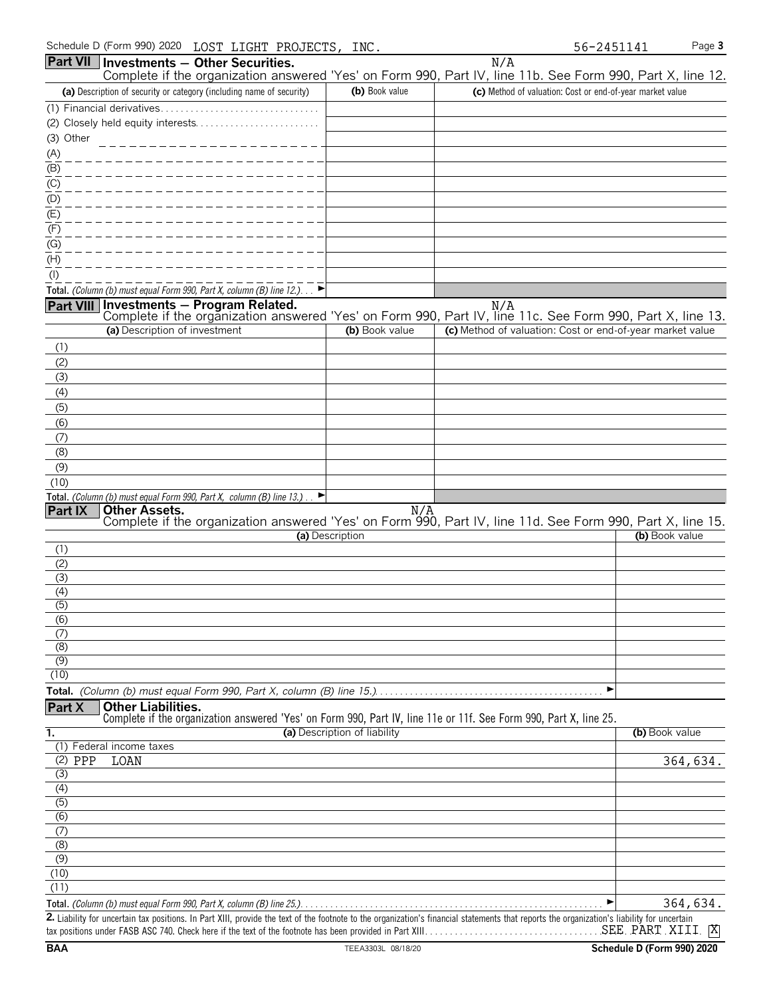| Schedule D (Form 990) 2020                                            | LOST LIGHT PROJECTS, | INC                          | 56-2451141                                                                                                        | Page 3         |
|-----------------------------------------------------------------------|----------------------|------------------------------|-------------------------------------------------------------------------------------------------------------------|----------------|
| Part VII   Investments - Other Securities.                            |                      |                              | N/A<br>Complete if the organization answered 'Yes' on Form 990, Part IV, line 11b. See Form 990, Part X, line 12. |                |
| (a) Description of security or category (including name of security)  |                      | (b) Book value               | (c) Method of valuation: Cost or end-of-year market value                                                         |                |
|                                                                       |                      |                              |                                                                                                                   |                |
|                                                                       |                      |                              |                                                                                                                   |                |
| (3) Other                                                             |                      |                              |                                                                                                                   |                |
| (A)                                                                   |                      |                              |                                                                                                                   |                |
| (B)                                                                   |                      |                              |                                                                                                                   |                |
| (C)                                                                   |                      |                              |                                                                                                                   |                |
| (D)                                                                   |                      |                              |                                                                                                                   |                |
| (E)                                                                   |                      |                              |                                                                                                                   |                |
| (F)<br>(G)                                                            |                      |                              |                                                                                                                   |                |
| (H)                                                                   |                      |                              |                                                                                                                   |                |
| $($ l $)$                                                             |                      |                              |                                                                                                                   |                |
| Total. (Column (b) must equal Form 990, Part X, column (B) line 12.)  |                      |                              |                                                                                                                   |                |
| Part VIII Investments - Program Related.                              |                      |                              | N/A                                                                                                               |                |
|                                                                       |                      |                              | Complete if the organization answered 'Yes' on Form 990, Part IV, line 11c. See Form 990, Part X, line 13.        |                |
| (a) Description of investment                                         |                      | (b) Book value               | (c) Method of valuation: Cost or end-of-year market value                                                         |                |
| (1)                                                                   |                      |                              |                                                                                                                   |                |
| (2)                                                                   |                      |                              |                                                                                                                   |                |
| (3)                                                                   |                      |                              |                                                                                                                   |                |
| (4)                                                                   |                      |                              |                                                                                                                   |                |
| (5)<br>(6)                                                            |                      |                              |                                                                                                                   |                |
| (7)                                                                   |                      |                              |                                                                                                                   |                |
| (8)                                                                   |                      |                              |                                                                                                                   |                |
| (9)                                                                   |                      |                              |                                                                                                                   |                |
| (10)                                                                  |                      |                              |                                                                                                                   |                |
| Total. (Column (b) must equal Form 990, Part X, column (B) line 13.). |                      |                              |                                                                                                                   |                |
| Part IX<br><b>Other Assets.</b>                                       |                      | N/A                          |                                                                                                                   |                |
|                                                                       | (a) Description      |                              | Complete if the organization answered 'Yes' on Form 990, Part IV, line 11d. See Form 990, Part X, line 15.        | (b) Book value |
| (1)                                                                   |                      |                              |                                                                                                                   |                |
| (2)                                                                   |                      |                              |                                                                                                                   |                |
| (3)                                                                   |                      |                              |                                                                                                                   |                |
| (4)                                                                   |                      |                              |                                                                                                                   |                |
| $\overline{(5)}$                                                      |                      |                              |                                                                                                                   |                |
| (6)                                                                   |                      |                              |                                                                                                                   |                |
| (7)<br>(8)                                                            |                      |                              |                                                                                                                   |                |
| (9)                                                                   |                      |                              |                                                                                                                   |                |
| (10)                                                                  |                      |                              |                                                                                                                   |                |
|                                                                       |                      |                              | ▶                                                                                                                 |                |
| <b>Other Liabilities.</b><br>Part X                                   |                      |                              |                                                                                                                   |                |
|                                                                       |                      |                              | Complete if the organization answered 'Yes' on Form 990, Part IV, line 11e or 11f. See Form 990, Part X, line 25. |                |
| 1.                                                                    |                      | (a) Description of liability |                                                                                                                   | (b) Book value |
| (1) Federal income taxes<br>$(2)$ PPP<br>LOAN                         |                      |                              |                                                                                                                   | 364,634.       |
| (3)                                                                   |                      |                              |                                                                                                                   |                |
| $\overline{(4)}$                                                      |                      |                              |                                                                                                                   |                |
| $\overline{(5)}$                                                      |                      |                              |                                                                                                                   |                |
| $\overline{(6)}$                                                      |                      |                              |                                                                                                                   |                |
| (7)                                                                   |                      |                              |                                                                                                                   |                |
| (8)                                                                   |                      |                              |                                                                                                                   |                |
| (9)                                                                   |                      |                              |                                                                                                                   |                |
| (10)<br>(11)                                                          |                      |                              |                                                                                                                   |                |
|                                                                       |                      |                              |                                                                                                                   | 364,634.       |
|                                                                       |                      |                              |                                                                                                                   |                |

**2.** Liability for uncertain tax positions. In Part XIII, provide the text of the footnote to the organization's financial statements that reports the organization's liability for uncertain tax positions under FASB ASC 740. Check here if the text of the footnote has been provided in Part XIII. . . . . . . . . . . . . . . . . . . . . . . . . . . . . . . . . . . . . . . . . . . . . . . . . . . . . . . . SEE PART XIII <mark>X</mark>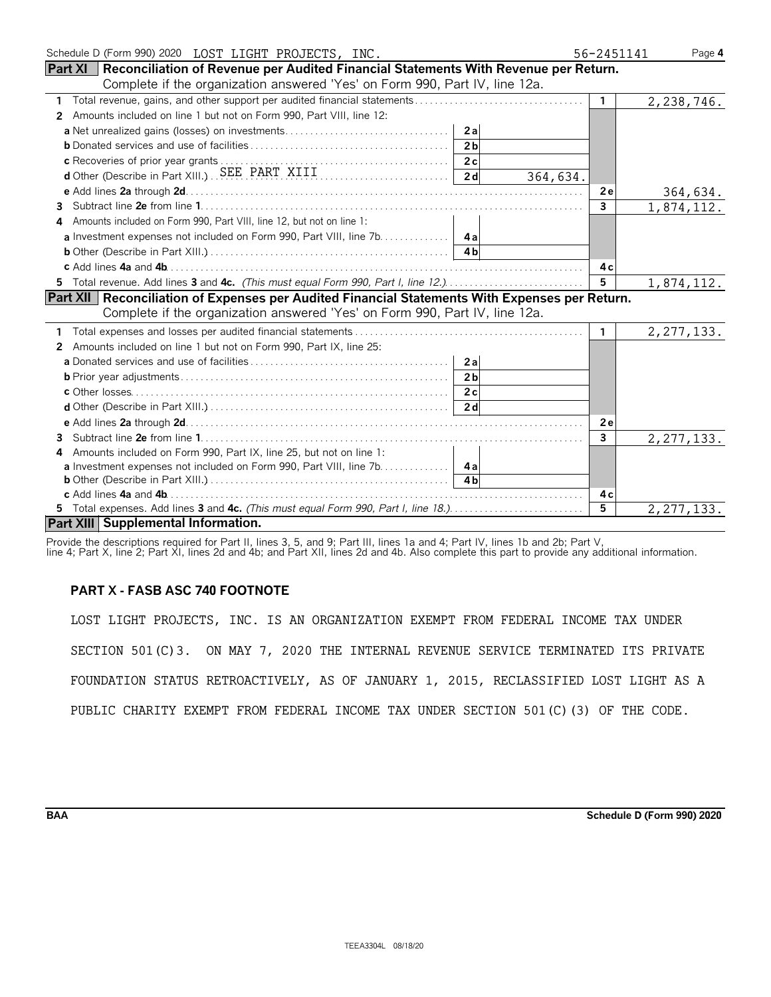| Schedule D (Form 990) 2020 LOST LIGHT PROJECTS, INC.                                                  | 56-2451141   | Page 4       |
|-------------------------------------------------------------------------------------------------------|--------------|--------------|
| <b>Part XI</b>   Reconciliation of Revenue per Audited Financial Statements With Revenue per Return.  |              |              |
| Complete if the organization answered 'Yes' on Form 990, Part IV, line 12a.                           |              |              |
| 1                                                                                                     | $\mathbf{1}$ | 2,238,746.   |
| Amounts included on line 1 but not on Form 990, Part VIII, line 12:<br>2                              |              |              |
| 2a                                                                                                    |              |              |
| 2 <sub>b</sub>                                                                                        |              |              |
|                                                                                                       |              |              |
| d Other (Describe in Part XIII.) SEE PART XIII [1]<br>364,634.                                        |              |              |
|                                                                                                       | 2el          | 364,634.     |
| 3.                                                                                                    | $\mathbf{3}$ | 1,874,112.   |
| Amounts included on Form 990, Part VIII, line 12, but not on line 1:                                  |              |              |
|                                                                                                       |              |              |
| 4 <sub>h</sub>                                                                                        |              |              |
|                                                                                                       | 4 c          |              |
| 5 Total revenue. Add lines 3 and 4c. (This must equal Form 990, Part I, line 12.)                     | 5            | 1,874,112.   |
| <b>Part XII Reconciliation of Expenses per Audited Financial Statements With Expenses per Return.</b> |              |              |
| Complete if the organization answered 'Yes' on Form 990, Part IV, line 12a.                           |              |              |
|                                                                                                       | $\mathbf{1}$ | 2, 277, 133. |
| Amounts included on line 1 but not on Form 990, Part IX, line 25:<br>2                                |              |              |
| 2a                                                                                                    |              |              |
| 2 <sub>b</sub>                                                                                        |              |              |
| 2c                                                                                                    |              |              |
| 2d                                                                                                    |              |              |
|                                                                                                       | 2e           |              |
| 3                                                                                                     | 3            | 2, 277, 133. |
| Amounts included on Form 990, Part IX, line 25, but not on line 1:<br>4                               |              |              |
| a Investment expenses not included on Form 990, Part VIII, line 7b. 4a                                |              |              |
| 4h                                                                                                    |              |              |
|                                                                                                       | 4 c          |              |
| 5 Total expenses. Add lines 3 and 4c. (This must equal Form 990, Part I, line 18.)                    | 5            | 2, 277, 133. |
| Part XIII Supplemental Information.                                                                   |              |              |

Provide the descriptions required for Part II, lines 3, 5, and 9; Part III, lines 1a and 4; Part IV, lines 1b and 2b; Part V,

line 4; Part X, line 2; Part XI, lines 2d and 4b; and Part XII, lines 2d and 4b. Also complete this part to provide any additional information.

# **PART X - FASB ASC 740 FOOTNOTE**

LOST LIGHT PROJECTS, INC. IS AN ORGANIZATION EXEMPT FROM FEDERAL INCOME TAX UNDER SECTION 501(C)3. ON MAY 7, 2020 THE INTERNAL REVENUE SERVICE TERMINATED ITS PRIVATE FOUNDATION STATUS RETROACTIVELY, AS OF JANUARY 1, 2015, RECLASSIFIED LOST LIGHT AS A PUBLIC CHARITY EXEMPT FROM FEDERAL INCOME TAX UNDER SECTION 501(C)(3) OF THE CODE.

**BAA Schedule D (Form 990) 2020**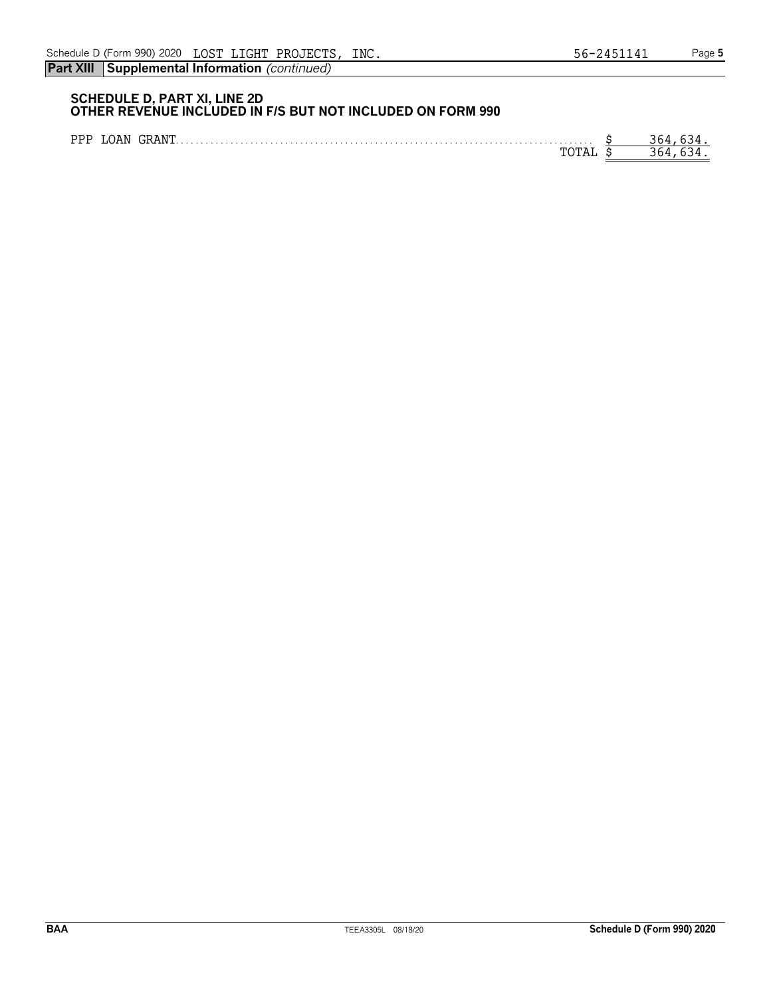|  | PPP LOAN GRANT. | 364 63a |
|--|-----------------|---------|
|  |                 | 364 637 |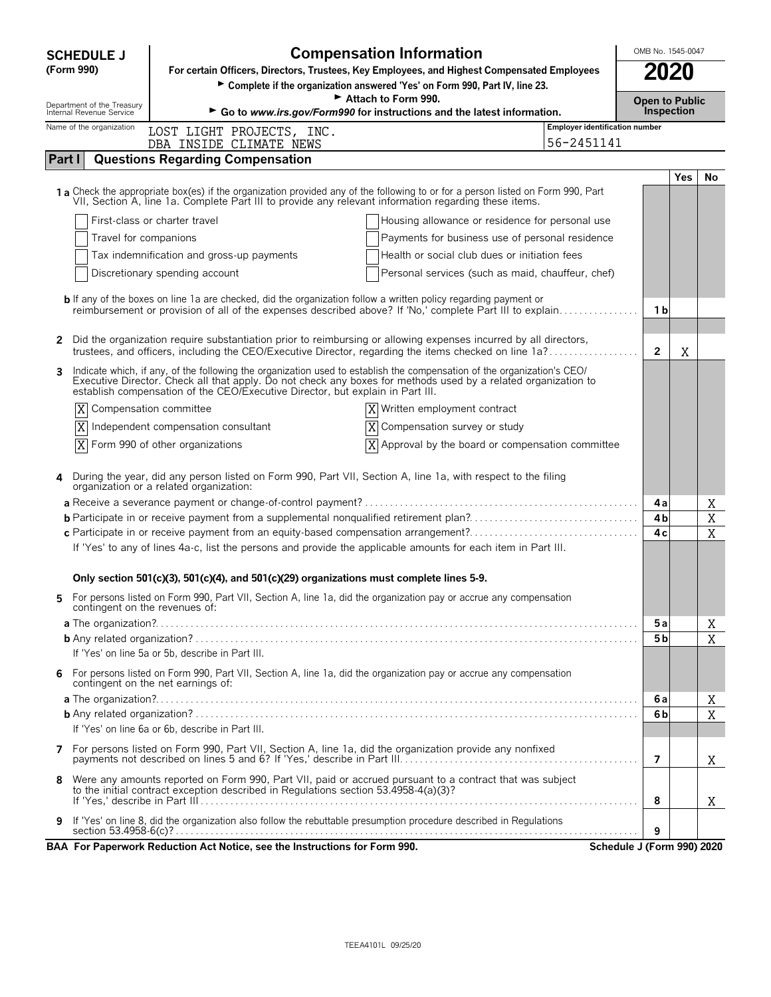| <b>SCHEDULE J</b>                                      | <b>Compensation Information</b><br>OMB No. 1545-0047                                                                                                                                                                                                                                                                |                                                       |                       |                            |     |    |  |  |
|--------------------------------------------------------|---------------------------------------------------------------------------------------------------------------------------------------------------------------------------------------------------------------------------------------------------------------------------------------------------------------------|-------------------------------------------------------|-----------------------|----------------------------|-----|----|--|--|
| (Form 990)                                             | For certain Officers, Directors, Trustees, Key Employees, and Highest Compensated Employees                                                                                                                                                                                                                         |                                                       | 2020                  |                            |     |    |  |  |
|                                                        | Complete if the organization answered 'Yes' on Form 990, Part IV, line 23.                                                                                                                                                                                                                                          |                                                       | <b>Open to Public</b> |                            |     |    |  |  |
| Department of the Treasury<br>Internal Revenue Service | Attach to Form 990.<br>Inspection<br>Go to www.irs.gov/Form990 for instructions and the latest information.                                                                                                                                                                                                         |                                                       |                       |                            |     |    |  |  |
| Name of the organization                               | Employer identification number<br>LOST LIGHT PROJECTS, INC.<br>56-2451141                                                                                                                                                                                                                                           |                                                       |                       |                            |     |    |  |  |
| Part I                                                 | DBA INSIDE CLIMATE NEWS<br><b>Questions Regarding Compensation</b>                                                                                                                                                                                                                                                  |                                                       |                       |                            |     |    |  |  |
|                                                        |                                                                                                                                                                                                                                                                                                                     |                                                       |                       |                            | Yes | No |  |  |
|                                                        | 1 a Check the appropriate box(es) if the organization provided any of the following to or for a person listed on Form 990, Part VII, Section A, line 1a. Complete Part III to provide any relevant information regarding these                                                                                      |                                                       |                       |                            |     |    |  |  |
|                                                        | First-class or charter travel                                                                                                                                                                                                                                                                                       | Housing allowance or residence for personal use       |                       |                            |     |    |  |  |
| Travel for companions                                  |                                                                                                                                                                                                                                                                                                                     | Payments for business use of personal residence       |                       |                            |     |    |  |  |
|                                                        | Tax indemnification and gross-up payments                                                                                                                                                                                                                                                                           | Health or social club dues or initiation fees         |                       |                            |     |    |  |  |
|                                                        | Discretionary spending account                                                                                                                                                                                                                                                                                      | Personal services (such as maid, chauffeur, chef)     |                       |                            |     |    |  |  |
|                                                        | <b>b</b> If any of the boxes on line 1a are checked, did the organization follow a written policy regarding payment or<br>reimbursement or provision of all of the expenses described above? If 'No,' complete Part III to explain                                                                                  |                                                       |                       | 1 b                        |     |    |  |  |
| $\mathbf{2}$                                           | Did the organization require substantiation prior to reimbursing or allowing expenses incurred by all directors,<br>trustees, and officers, including the CEO/Executive Director, regarding the items checked on line 1a?                                                                                           |                                                       |                       | $\mathbf{2}$               | Χ   |    |  |  |
| 3                                                      | Indicate which, if any, of the following the organization used to establish the compensation of the organization's CEO/<br>Executive Director. Check all that apply. Do not check any boxes for methods used by a related organiz<br>establish compensation of the CEO/Executive Director, but explain in Part III. |                                                       |                       |                            |     |    |  |  |
| X                                                      | Compensation committee                                                                                                                                                                                                                                                                                              | Written employment contract                           |                       |                            |     |    |  |  |
| X                                                      | Independent compensation consultant                                                                                                                                                                                                                                                                                 | Compensation survey or study                          |                       |                            |     |    |  |  |
| X                                                      | Form 990 of other organizations                                                                                                                                                                                                                                                                                     | $ X $ Approval by the board or compensation committee |                       |                            |     |    |  |  |
| 4                                                      | During the year, did any person listed on Form 990, Part VII, Section A, line 1a, with respect to the filing organization or a related organization:                                                                                                                                                                |                                                       |                       |                            |     |    |  |  |
|                                                        |                                                                                                                                                                                                                                                                                                                     |                                                       |                       | 4a                         |     | Χ  |  |  |
|                                                        | c Participate in or receive payment from an equity-based compensation arrangement?                                                                                                                                                                                                                                  |                                                       |                       | 4b<br>4 c                  |     | X  |  |  |
|                                                        | If 'Yes' to any of lines 4a-c, list the persons and provide the applicable amounts for each item in Part III.                                                                                                                                                                                                       |                                                       |                       |                            |     | X  |  |  |
|                                                        | Only section 501(c)(3), 501(c)(4), and 501(c)(29) organizations must complete lines 5-9.                                                                                                                                                                                                                            |                                                       |                       |                            |     |    |  |  |
| 5.<br>contingent on the revenues of:                   | For persons listed on Form 990, Part VII, Section A, line 1a, did the organization pay or accrue any compensation                                                                                                                                                                                                   |                                                       |                       |                            |     |    |  |  |
|                                                        |                                                                                                                                                                                                                                                                                                                     |                                                       |                       | 5a                         |     | Χ  |  |  |
|                                                        | If 'Yes' on line 5a or 5b, describe in Part III.                                                                                                                                                                                                                                                                    |                                                       |                       | 5 b                        |     | X  |  |  |
| 6                                                      | For persons listed on Form 990, Part VII, Section A, line 1a, did the organization pay or accrue any compensation<br>contingent on the net earnings of:                                                                                                                                                             |                                                       |                       |                            |     |    |  |  |
|                                                        |                                                                                                                                                                                                                                                                                                                     |                                                       |                       | 6 a                        |     | X  |  |  |
|                                                        |                                                                                                                                                                                                                                                                                                                     |                                                       |                       | 6b                         |     | X  |  |  |
|                                                        | If 'Yes' on line 6a or 6b, describe in Part III.                                                                                                                                                                                                                                                                    |                                                       |                       |                            |     |    |  |  |
| 7                                                      | For persons listed on Form 990, Part VII, Section A, line 1a, did the organization provide any nonfixed                                                                                                                                                                                                             |                                                       |                       | $\overline{7}$             |     | X  |  |  |
| 8                                                      | Were any amounts reported on Form 990, Part VII, paid or accrued pursuant to a contract that was subject<br>to the initial contract exception described in Regulations section 53.4958-4(a)(3)?                                                                                                                     |                                                       |                       | 8                          |     |    |  |  |
|                                                        | If 'Yes' on line 8, did the organization also follow the rebuttable presumption procedure described in Regulations                                                                                                                                                                                                  |                                                       |                       | 9                          |     | Χ  |  |  |
|                                                        | BAA For Paperwork Reduction Act Notice, see the Instructions for Form 990.                                                                                                                                                                                                                                          |                                                       |                       | Schedule J (Form 990) 2020 |     |    |  |  |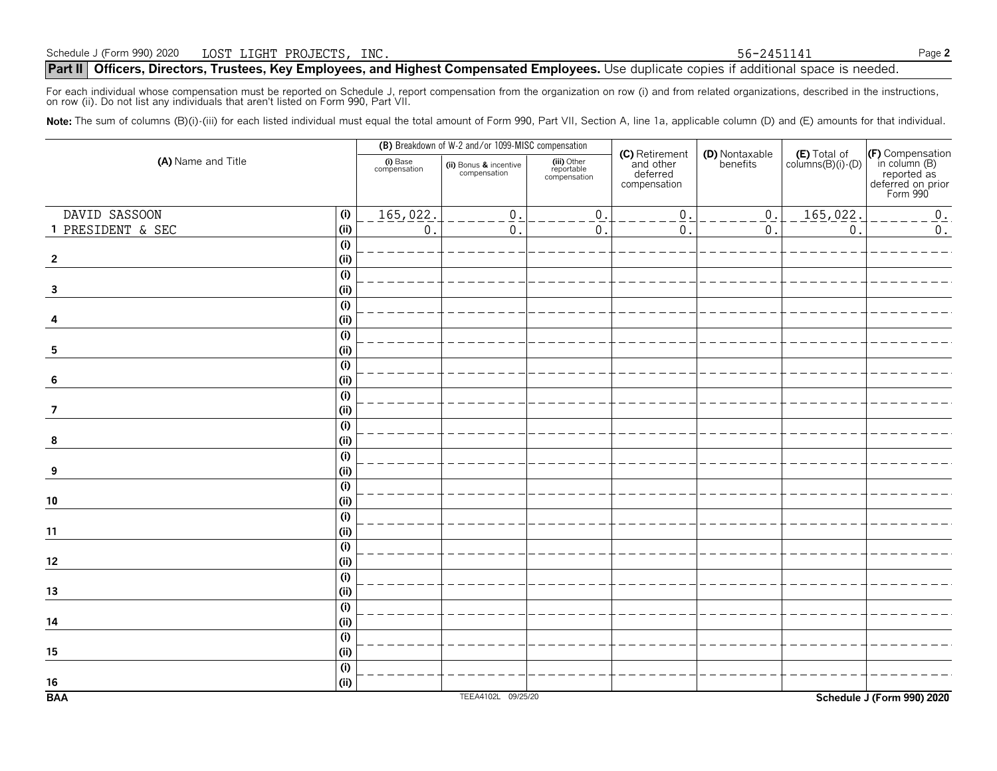#### **Part II** Officers, Directors, Trustees, Key Employees, and Highest Compensated Employees. Use duplicate copies if additional space is needed.

For each individual whose compensation must be reported on Schedule J, report compensation from the organization on row (i) and from related organizations, described in the instructions, on row (ii). Do not list any individuals that aren't listed on Form 990, Part VII.

Note: The sum of columns (B)(i)-(iii) for each listed individual must equal the total amount of Form 990, Part VII, Section A, line 1a, applicable column (D) and (E) amounts for that individual.

| (A) Name and Title      |                           |                          | (B) Breakdown of W-2 and/or 1099-MISC compensation |                                           |                                                         |                            |                                            |                                                                                   |
|-------------------------|---------------------------|--------------------------|----------------------------------------------------|-------------------------------------------|---------------------------------------------------------|----------------------------|--------------------------------------------|-----------------------------------------------------------------------------------|
|                         |                           | (i) Base<br>compensation | (ii) Bonus & incentive<br>compensation             | (iii) Other<br>reportable<br>compensation | (C) Retirement<br>and other<br>deferred<br>compensation | (D) Nontaxable<br>benefits | $(E)$ Total of<br>columns $(B)(i)$ - $(D)$ | (F) Compensation<br>in column (B)<br>reported as<br>deferred on prior<br>Form 990 |
| DAVID SASSOON           | (i)                       | 165,022.                 | $\mathbf{0}$                                       | $\mathbf{0}$                              | $\overline{0}$                                          | $\boldsymbol{0}$ .         | 165,022.                                   | $0$ .                                                                             |
| 1 PRESIDENT & SEC       | (i)                       | $\mathsf{O}$ .           | $\mathsf{0}$ .                                     | $\boldsymbol{0}$                          | $\mathbf 0$                                             | $0$ .                      | $\mathsf{0}$ .                             | $\mathbf 0$ .                                                                     |
|                         | (i)                       |                          |                                                    |                                           |                                                         |                            |                                            |                                                                                   |
| $\overline{2}$          | (i)                       |                          |                                                    |                                           |                                                         |                            |                                            |                                                                                   |
|                         | $\overline{(\mathsf{i})}$ |                          |                                                    |                                           |                                                         |                            |                                            |                                                                                   |
| $\mathbf{3}$            | (i)                       |                          |                                                    |                                           |                                                         |                            |                                            |                                                                                   |
|                         | $\overline{(\mathsf{i})}$ |                          |                                                    |                                           |                                                         |                            |                                            |                                                                                   |
| 4                       | (i)                       |                          |                                                    |                                           |                                                         |                            |                                            |                                                                                   |
|                         | (i)                       |                          |                                                    |                                           |                                                         |                            |                                            |                                                                                   |
| $\overline{\mathbf{5}}$ | (i)                       |                          |                                                    |                                           |                                                         |                            |                                            |                                                                                   |
|                         | $\overline{(\mathsf{i})}$ |                          |                                                    |                                           |                                                         |                            |                                            |                                                                                   |
| 6                       | (i)                       |                          |                                                    |                                           |                                                         |                            |                                            |                                                                                   |
|                         | $\overline{(\mathsf{i})}$ |                          |                                                    |                                           |                                                         |                            |                                            |                                                                                   |
| $\overline{7}$          | (i)                       |                          |                                                    |                                           |                                                         |                            |                                            |                                                                                   |
|                         | (i)                       |                          |                                                    |                                           |                                                         |                            |                                            |                                                                                   |
| 8                       | (i)                       |                          |                                                    |                                           |                                                         |                            |                                            |                                                                                   |
|                         | $\overline{(\mathsf{i})}$ |                          |                                                    |                                           |                                                         |                            |                                            |                                                                                   |
| 9                       | (i)                       |                          |                                                    |                                           |                                                         |                            |                                            |                                                                                   |
|                         | (i)                       |                          |                                                    |                                           |                                                         |                            |                                            |                                                                                   |
| 10                      | (i)                       |                          |                                                    |                                           |                                                         |                            |                                            |                                                                                   |
|                         | (i)                       |                          |                                                    |                                           |                                                         |                            |                                            |                                                                                   |
| 11                      | (i)                       |                          |                                                    |                                           |                                                         |                            |                                            |                                                                                   |
|                         | (i)                       |                          |                                                    |                                           |                                                         |                            |                                            |                                                                                   |
| 12                      | (i)                       |                          |                                                    |                                           |                                                         |                            |                                            |                                                                                   |
|                         | $\overline{(\mathsf{i})}$ |                          |                                                    |                                           |                                                         |                            |                                            |                                                                                   |
| 13                      | (i)                       |                          |                                                    |                                           |                                                         |                            |                                            |                                                                                   |
|                         | $\overline{(\mathsf{i})}$ |                          |                                                    |                                           |                                                         |                            |                                            |                                                                                   |
| 14                      | (i)                       |                          |                                                    |                                           |                                                         |                            |                                            |                                                                                   |
|                         | $\overline{(\mathsf{i})}$ |                          |                                                    |                                           |                                                         |                            |                                            |                                                                                   |
| 15                      | (i)                       |                          |                                                    |                                           |                                                         |                            |                                            |                                                                                   |
|                         | $\overline{(\mathsf{i})}$ |                          |                                                    |                                           |                                                         |                            |                                            |                                                                                   |
| 16                      | (i)                       |                          |                                                    |                                           |                                                         |                            |                                            |                                                                                   |
| <b>BAA</b>              |                           |                          | TEEA4102L 09/25/20                                 |                                           |                                                         |                            |                                            | Schedule J (Form 990) 2020                                                        |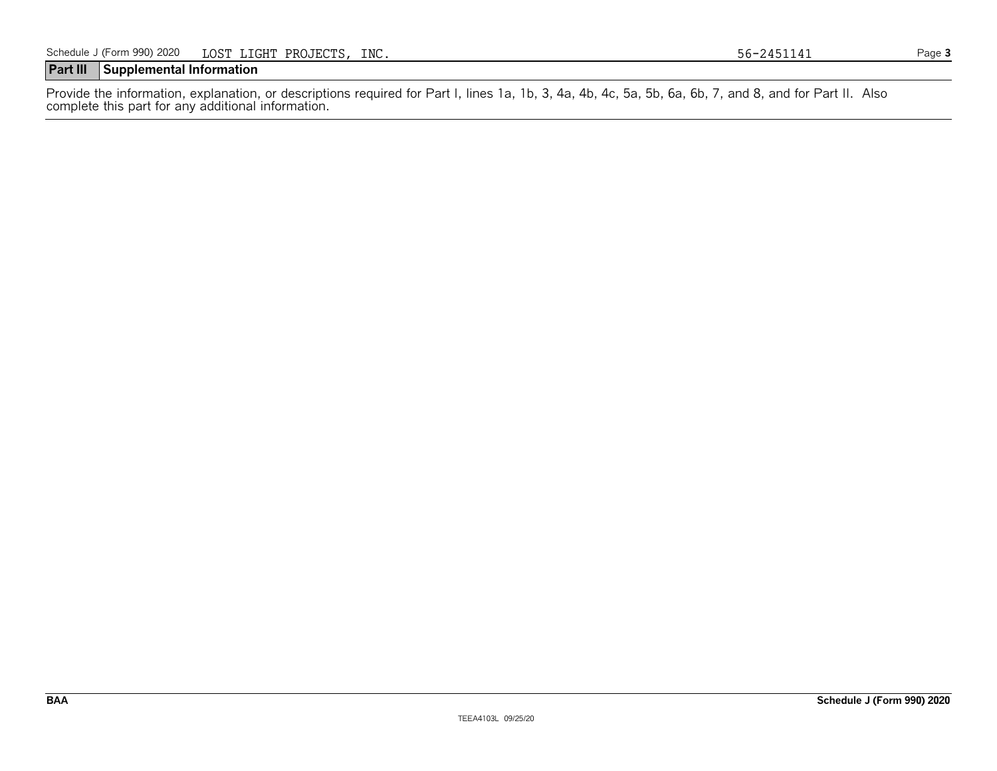# **Part III Supplemental Information**

Provide the information, explanation, or descriptions required for Part I, lines 1a, 1b, 3, 4a, 4b, 4c, 5a, 5b, 6a, 6b, 7, and 8, and for Part II. Also complete this part for any additional information.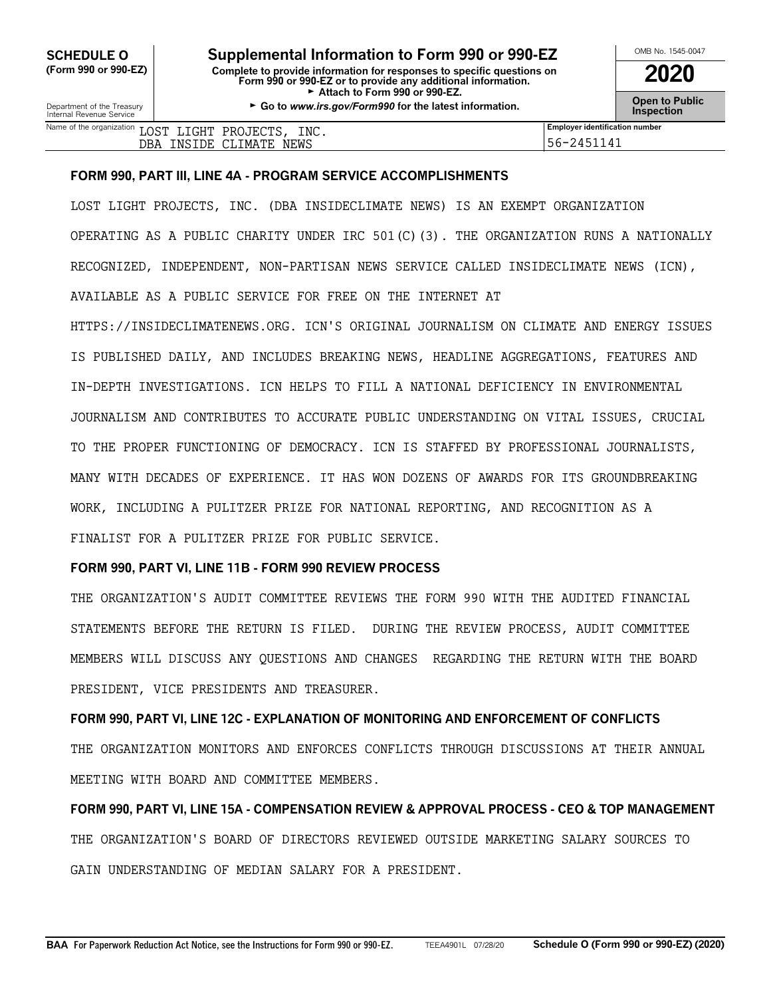**CHEDULE O** Supplemental Information to Form 990 or 990-EZ<br>
Form 990 or 990-EZ) Complete to provide information for responses to specific questions on **(Form 990 or 990-EZ) Complete to provide information for responses to specific questions on Form 990 or 990-EZ or to provide any additional information. 2020** Attach to Form 990 or 990-EZ.

Department of the Treasury **Constant Comment of the Collaboration Constant Constant Comment Constant Constant Constant Constant Constant Constant Constant Constant Constant Constant Constant Constant Constant Constant C** 

| Name of the organization<br>INC.<br>r ∩ ∩ m<br>PROJECTS<br>LIGHT<br>ד פחד | <br><b>Employer identification number</b> |
|---------------------------------------------------------------------------|-------------------------------------------|
| <b>NEWS</b><br>IMATE<br>TDE.<br>СLI<br>DBA<br>'NS                         | 1141<br>$\sqrt{2}$<br>うりー<br><u>.</u>     |

#### **FORM 990, PART III, LINE 4A - PROGRAM SERVICE ACCOMPLISHMENTS**

LOST LIGHT PROJECTS, INC. (DBA INSIDECLIMATE NEWS) IS AN EXEMPT ORGANIZATION OPERATING AS A PUBLIC CHARITY UNDER IRC 501(C)(3). THE ORGANIZATION RUNS A NATIONALLY RECOGNIZED, INDEPENDENT, NON-PARTISAN NEWS SERVICE CALLED INSIDECLIMATE NEWS (ICN), AVAILABLE AS A PUBLIC SERVICE FOR FREE ON THE INTERNET AT

HTTPS://INSIDECLIMATENEWS.ORG. ICN'S ORIGINAL JOURNALISM ON CLIMATE AND ENERGY ISSUES IS PUBLISHED DAILY, AND INCLUDES BREAKING NEWS, HEADLINE AGGREGATIONS, FEATURES AND IN-DEPTH INVESTIGATIONS. ICN HELPS TO FILL A NATIONAL DEFICIENCY IN ENVIRONMENTAL JOURNALISM AND CONTRIBUTES TO ACCURATE PUBLIC UNDERSTANDING ON VITAL ISSUES, CRUCIAL TO THE PROPER FUNCTIONING OF DEMOCRACY. ICN IS STAFFED BY PROFESSIONAL JOURNALISTS, MANY WITH DECADES OF EXPERIENCE. IT HAS WON DOZENS OF AWARDS FOR ITS GROUNDBREAKING WORK, INCLUDING A PULITZER PRIZE FOR NATIONAL REPORTING, AND RECOGNITION AS A FINALIST FOR A PULITZER PRIZE FOR PUBLIC SERVICE.

#### **FORM 990, PART VI, LINE 11B - FORM 990 REVIEW PROCESS**

THE ORGANIZATION'S AUDIT COMMITTEE REVIEWS THE FORM 990 WITH THE AUDITED FINANCIAL STATEMENTS BEFORE THE RETURN IS FILED. DURING THE REVIEW PROCESS, AUDIT COMMITTEE MEMBERS WILL DISCUSS ANY QUESTIONS AND CHANGES REGARDING THE RETURN WITH THE BOARD PRESIDENT, VICE PRESIDENTS AND TREASURER.

**FORM 990, PART VI, LINE 12C - EXPLANATION OF MONITORING AND ENFORCEMENT OF CONFLICTS** THE ORGANIZATION MONITORS AND ENFORCES CONFLICTS THROUGH DISCUSSIONS AT THEIR ANNUAL MEETING WITH BOARD AND COMMITTEE MEMBERS.

**FORM 990, PART VI, LINE 15A - COMPENSATION REVIEW & APPROVAL PROCESS - CEO & TOP MANAGEMENT** THE ORGANIZATION'S BOARD OF DIRECTORS REVIEWED OUTSIDE MARKETING SALARY SOURCES TO GAIN UNDERSTANDING OF MEDIAN SALARY FOR A PRESIDENT.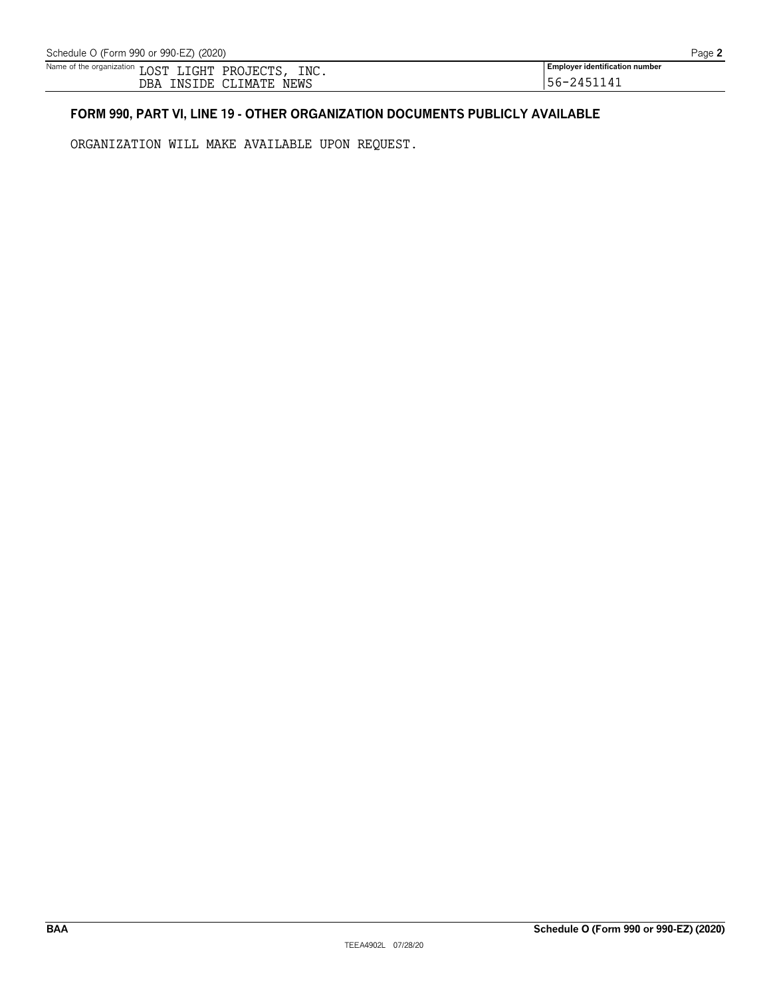| Name of the organization | $\cap$ $\cap$ $\Box$<br>טרח | ுபா<br>וחדו' | INC.<br>PRC<br><b>PROJEL</b> | <br><b>Employer identification number</b> |
|--------------------------|-----------------------------|--------------|------------------------------|-------------------------------------------|
|                          | __<br>DBA                   | 'DE<br>NS.   | NEWS<br>IMATE                | $\prime$<br>4<br>JU<br>-                  |

# **FORM 990, PART VI, LINE 19 - OTHER ORGANIZATION DOCUMENTS PUBLICLY AVAILABLE**

ORGANIZATION WILL MAKE AVAILABLE UPON REQUEST.